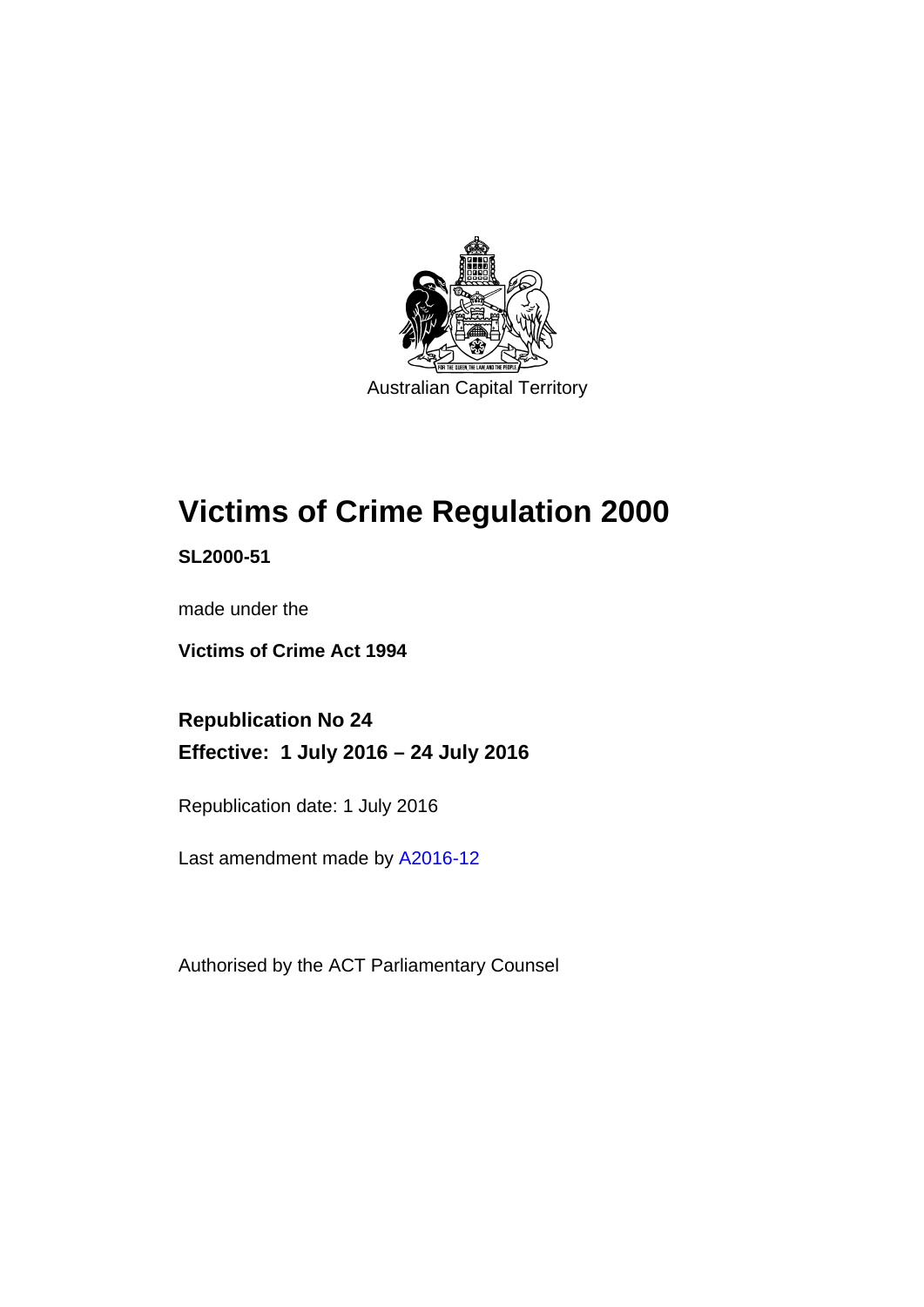

# **Victims of Crime Regulation 2000**

**SL2000-51** 

made under the

**Victims of Crime Act 1994** 

**Republication No 24 Effective: 1 July 2016 – 24 July 2016** 

Republication date: 1 July 2016

Last amendment made by [A2016-12](http://www.legislation.act.gov.au/a/2016-12)

Authorised by the ACT Parliamentary Counsel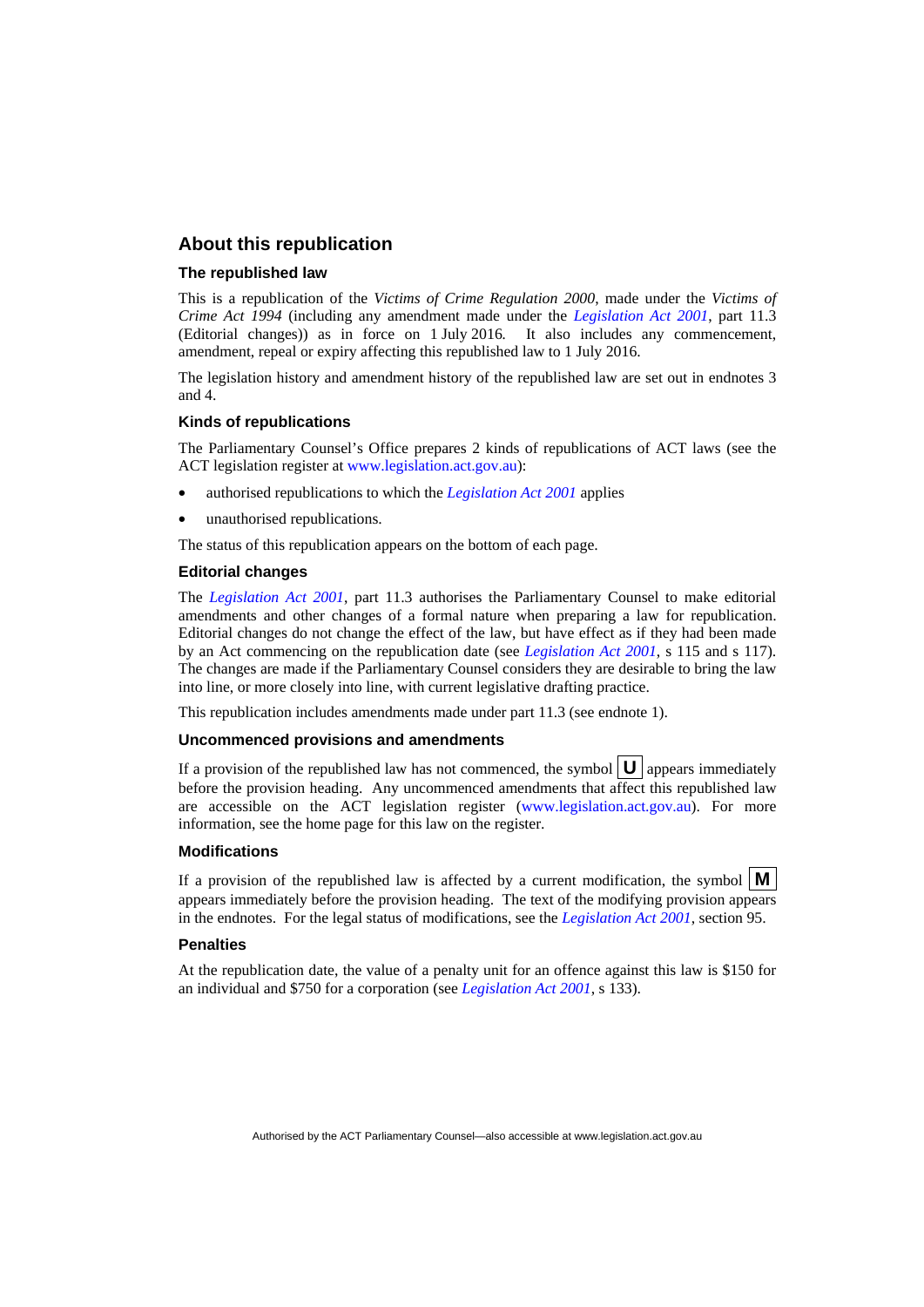### **About this republication**

### **The republished law**

This is a republication of the *Victims of Crime Regulation 2000*, made under the *Victims of Crime Act 1994* (including any amendment made under the *[Legislation Act 2001](http://www.legislation.act.gov.au/a/2001-14)*, part 11.3 (Editorial changes)) as in force on 1 July 2016*.* It also includes any commencement, amendment, repeal or expiry affecting this republished law to 1 July 2016.

The legislation history and amendment history of the republished law are set out in endnotes 3 and 4.

### **Kinds of republications**

The Parliamentary Counsel's Office prepares 2 kinds of republications of ACT laws (see the ACT legislation register at [www.legislation.act.gov.au](http://www.legislation.act.gov.au/)):

- authorised republications to which the *[Legislation Act 2001](http://www.legislation.act.gov.au/a/2001-14)* applies
- unauthorised republications.

The status of this republication appears on the bottom of each page.

### **Editorial changes**

The *[Legislation Act 2001](http://www.legislation.act.gov.au/a/2001-14)*, part 11.3 authorises the Parliamentary Counsel to make editorial amendments and other changes of a formal nature when preparing a law for republication. Editorial changes do not change the effect of the law, but have effect as if they had been made by an Act commencing on the republication date (see *[Legislation Act 2001](http://www.legislation.act.gov.au/a/2001-14)*, s 115 and s 117). The changes are made if the Parliamentary Counsel considers they are desirable to bring the law into line, or more closely into line, with current legislative drafting practice.

This republication includes amendments made under part 11.3 (see endnote 1).

### **Uncommenced provisions and amendments**

If a provision of the republished law has not commenced, the symbol  $\mathbf{U}$  appears immediately before the provision heading. Any uncommenced amendments that affect this republished law are accessible on the ACT legislation register [\(www.legislation.act.gov.au\)](http://www.legislation.act.gov.au/). For more information, see the home page for this law on the register.

### **Modifications**

If a provision of the republished law is affected by a current modification, the symbol  $\mathbf{M}$ appears immediately before the provision heading. The text of the modifying provision appears in the endnotes. For the legal status of modifications, see the *[Legislation Act 2001](http://www.legislation.act.gov.au/a/2001-14)*, section 95.

### **Penalties**

At the republication date, the value of a penalty unit for an offence against this law is \$150 for an individual and \$750 for a corporation (see *[Legislation Act 2001](http://www.legislation.act.gov.au/a/2001-14)*, s 133).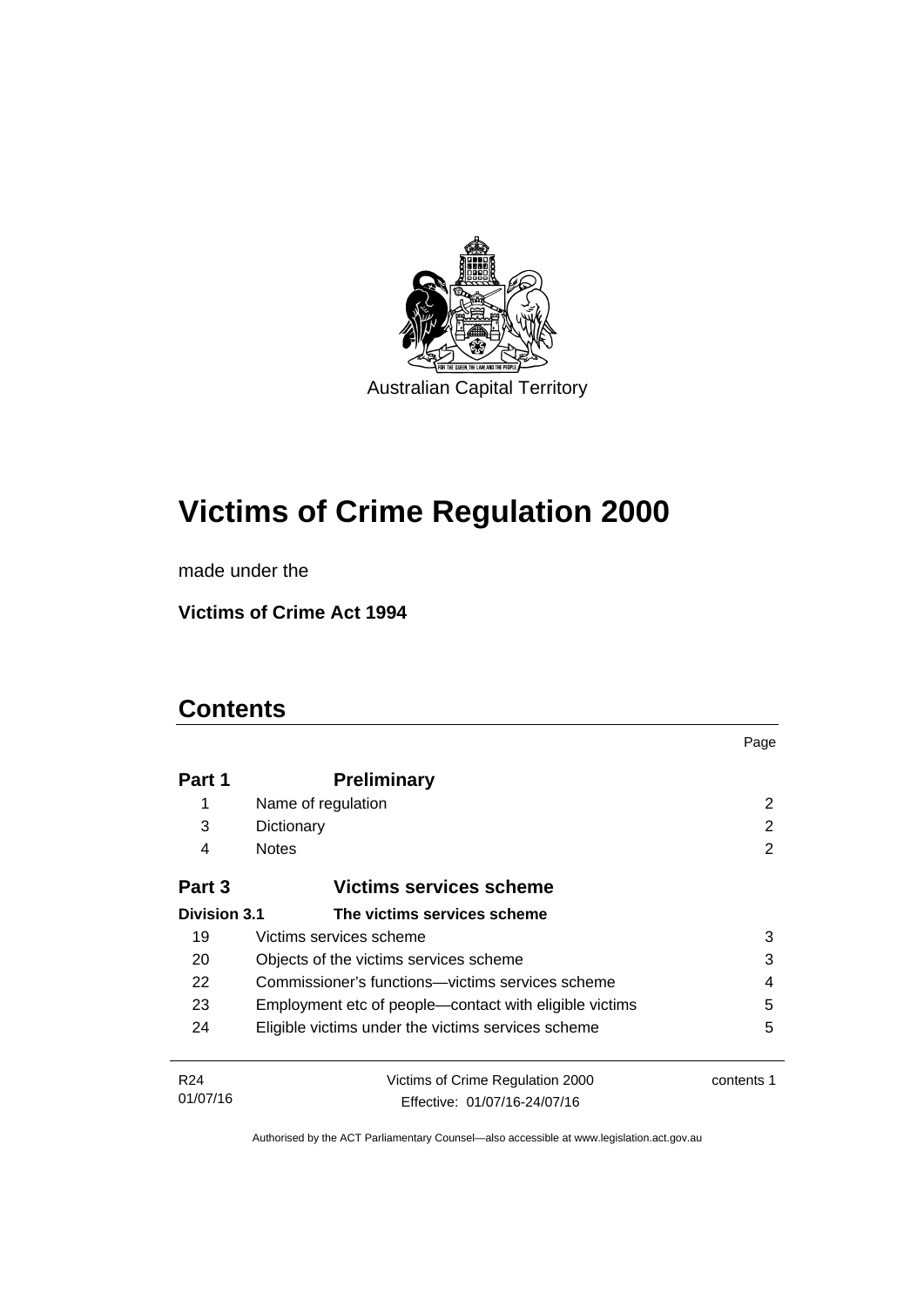

# **Victims of Crime Regulation 2000**

made under the

**Victims of Crime Act 1994** 

## **Contents**

|                     |                                                        | Page       |
|---------------------|--------------------------------------------------------|------------|
| Part 1              | <b>Preliminary</b>                                     |            |
| 1                   | Name of regulation                                     | 2          |
| 3                   | Dictionary                                             | 2          |
| 4                   | <b>Notes</b>                                           | 2          |
| Part 3              | Victims services scheme                                |            |
| <b>Division 3.1</b> | The victims services scheme                            |            |
| 19                  | Victims services scheme                                | 3          |
| 20                  | Objects of the victims services scheme                 | 3          |
| 22                  | Commissioner's functions—victims services scheme       | 4          |
| 23                  | Employment etc of people—contact with eligible victims | 5          |
| 24                  | Eligible victims under the victims services scheme     | 5          |
| R <sub>24</sub>     | Victims of Crime Regulation 2000                       | contents 1 |
| 01/07/16            | Effective: 01/07/16-24/07/16                           |            |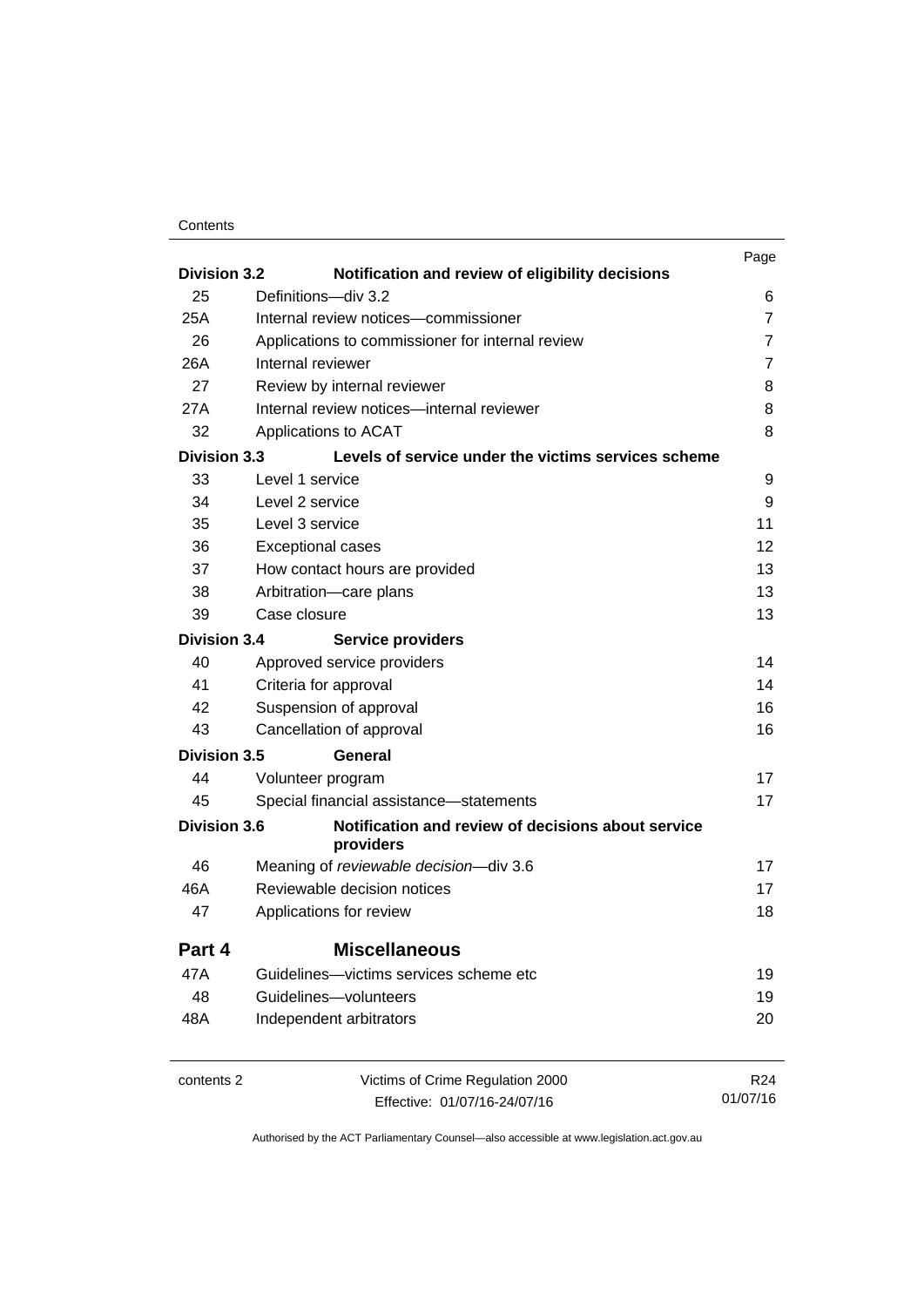### **Contents**

| <b>Division 3.2</b> | Notification and review of eligibility decisions                | Page            |
|---------------------|-----------------------------------------------------------------|-----------------|
| 25                  | Definitions-div 3.2                                             | 6               |
| 25A                 | Internal review notices-commissioner                            | $\overline{7}$  |
| 26                  | Applications to commissioner for internal review                | $\overline{7}$  |
| 26A                 | Internal reviewer                                               | $\overline{7}$  |
| 27                  | Review by internal reviewer                                     | 8               |
| 27A                 | Internal review notices-internal reviewer                       | 8               |
| 32                  | Applications to ACAT                                            | 8               |
| <b>Division 3.3</b> | Levels of service under the victims services scheme             |                 |
| 33                  | Level 1 service                                                 | 9               |
| 34                  | Level 2 service                                                 | 9               |
| 35                  | Level 3 service                                                 | 11              |
| 36                  | <b>Exceptional cases</b>                                        | 12              |
| 37                  | How contact hours are provided                                  | 13              |
| 38                  | Arbitration-care plans                                          | 13              |
| 39                  | Case closure                                                    | 13              |
| <b>Division 3.4</b> | <b>Service providers</b>                                        |                 |
| 40                  | Approved service providers                                      | 14              |
| 41                  | Criteria for approval                                           | 14              |
| 42                  | Suspension of approval                                          | 16              |
| 43                  | Cancellation of approval                                        | 16              |
| <b>Division 3.5</b> | General                                                         |                 |
| 44                  | Volunteer program                                               | 17              |
| 45                  | Special financial assistance-statements                         | 17              |
| <b>Division 3.6</b> | Notification and review of decisions about service<br>providers |                 |
| 46                  | Meaning of reviewable decision-div 3.6                          | 17              |
| 46A                 | Reviewable decision notices                                     | 17              |
| 47                  | Applications for review                                         | 18              |
| Part 4              | <b>Miscellaneous</b>                                            |                 |
| 47A                 | Guidelines—victims services scheme etc                          | 19              |
| 48                  | Guidelines-volunteers                                           | 19              |
| 48A                 | Independent arbitrators                                         | 20              |
| contents 2          | Victims of Crime Regulation 2000                                | R <sub>24</sub> |
|                     | Effective: 01/07/16-24/07/16                                    | 01/07/16        |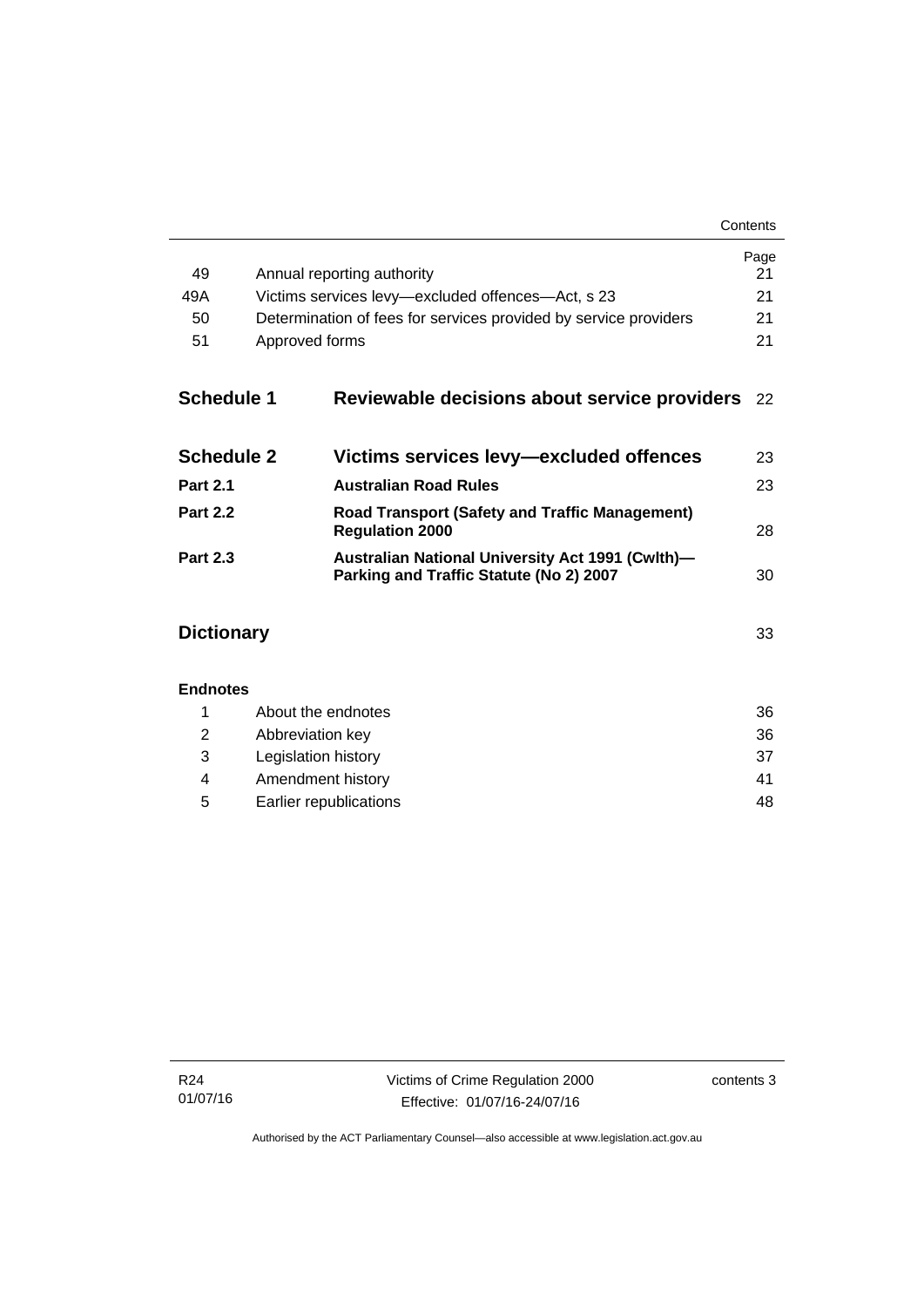| Contents |
|----------|
|----------|

|                   |                                                                                                    | Page<br>21 |  |
|-------------------|----------------------------------------------------------------------------------------------------|------------|--|
| 49                | Annual reporting authority                                                                         |            |  |
| 49A               | Victims services levy-excluded offences-Act, s 23                                                  |            |  |
|                   | 50<br>Determination of fees for services provided by service providers                             |            |  |
| 51                | Approved forms                                                                                     | 21         |  |
| <b>Schedule 1</b> | Reviewable decisions about service providers                                                       | 22         |  |
| <b>Schedule 2</b> | Victims services levy-excluded offences                                                            | 23         |  |
| <b>Part 2.1</b>   | <b>Australian Road Rules</b>                                                                       | 23         |  |
| <b>Part 2.2</b>   | <b>Road Transport (Safety and Traffic Management)</b><br><b>Regulation 2000</b>                    | 28         |  |
| <b>Part 2.3</b>   | <b>Australian National University Act 1991 (Cwlth)-</b><br>Parking and Traffic Statute (No 2) 2007 | 30         |  |
| <b>Dictionary</b> |                                                                                                    | 33         |  |
| <b>Endnotes</b>   |                                                                                                    |            |  |
| 1                 | About the endnotes                                                                                 | 36         |  |
| 2                 | Abbreviation key                                                                                   |            |  |
| 3                 | Legislation history                                                                                | 37         |  |
| 4                 | Amendment history                                                                                  |            |  |

5 [Earlier republications 48](#page-53-0)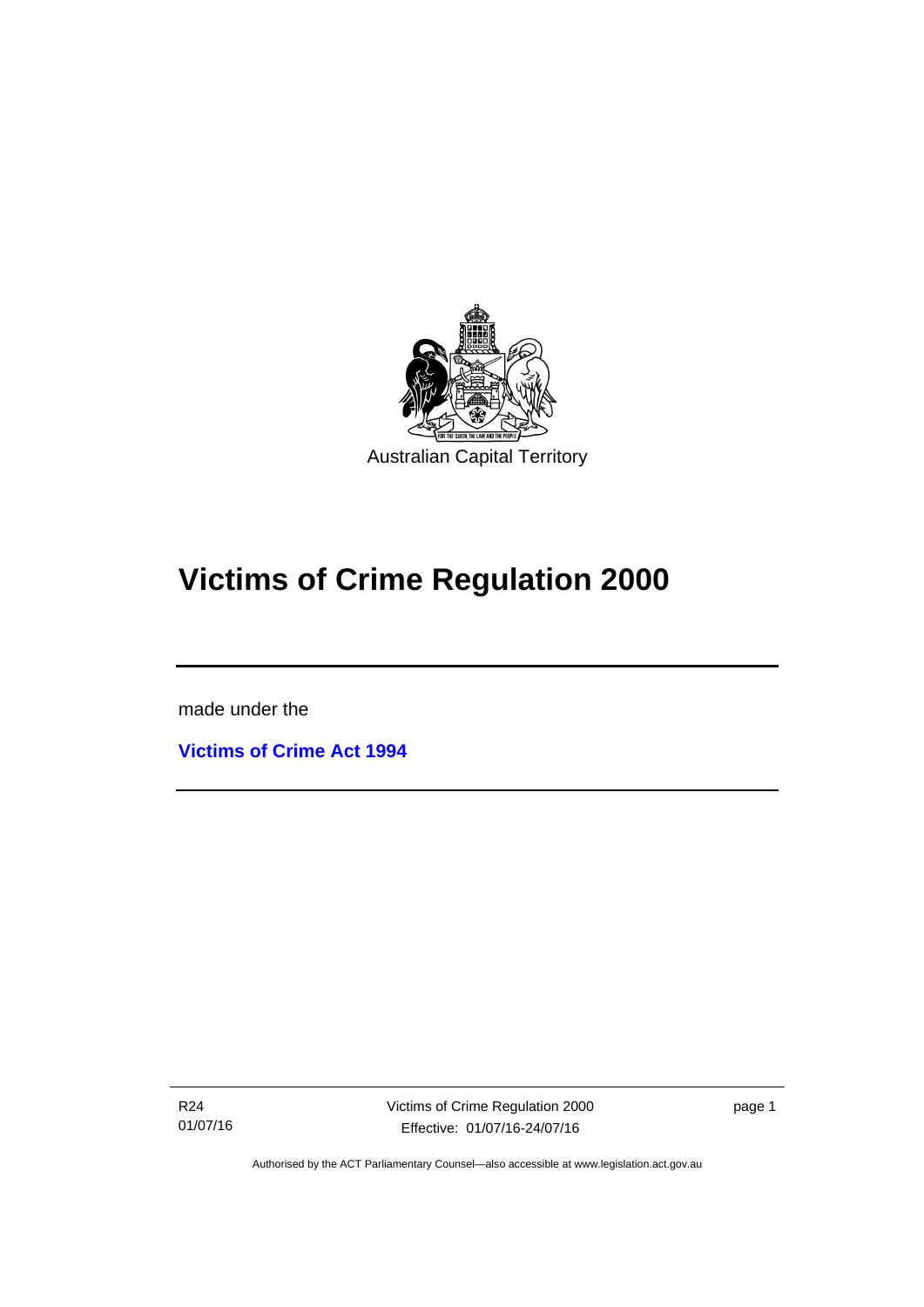

# **Victims of Crime Regulation 2000**

made under the

I

**[Victims of Crime Act 1994](http://www.legislation.act.gov.au/a/1994-83)**

R24 01/07/16 Victims of Crime Regulation 2000 Effective: 01/07/16-24/07/16

page 1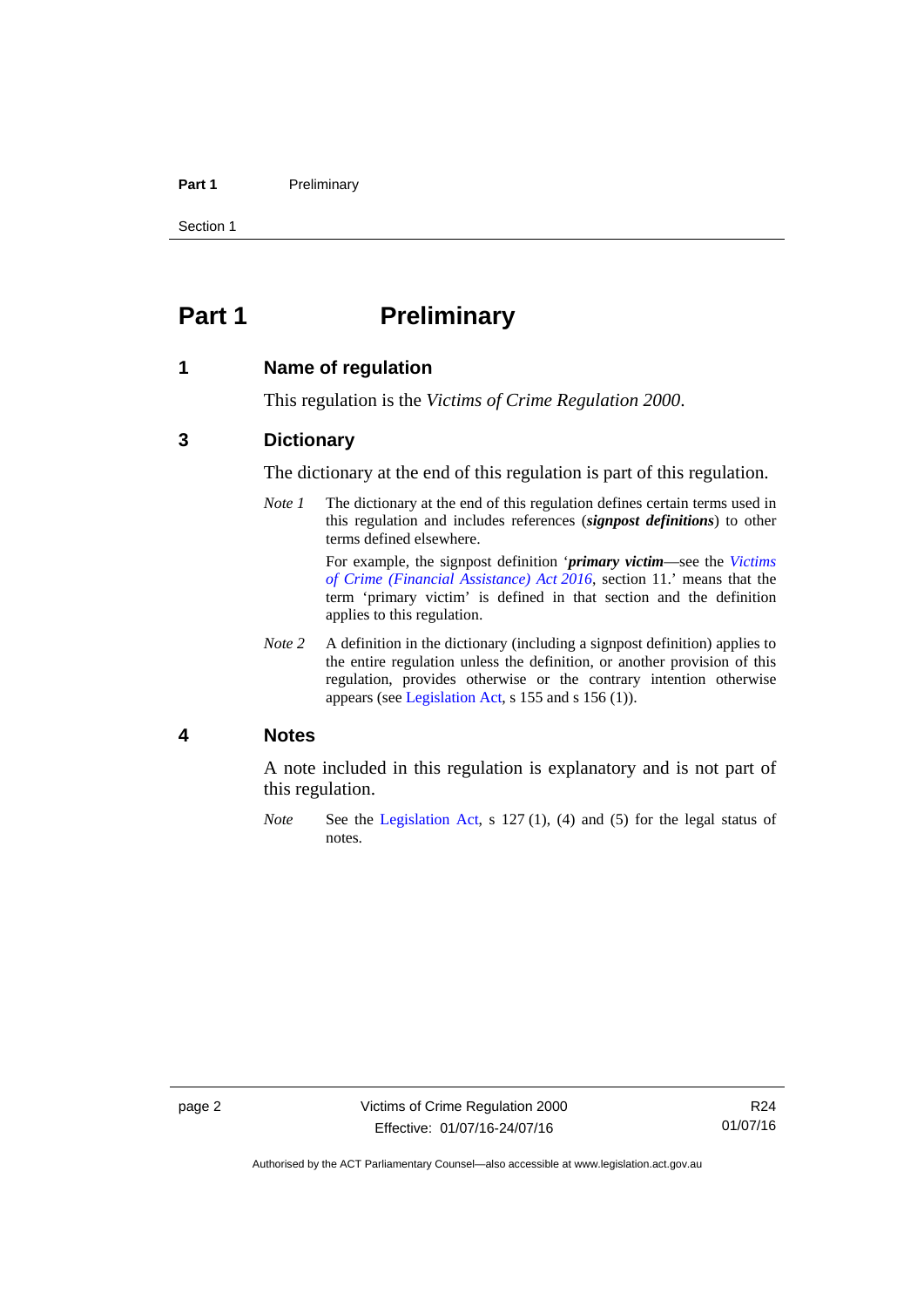### Part 1 **Preliminary**

Section 1

## <span id="page-7-0"></span>**Part 1** Preliminary

### <span id="page-7-1"></span>**1 Name of regulation**

This regulation is the *Victims of Crime Regulation 2000*.

### <span id="page-7-2"></span>**3 Dictionary**

The dictionary at the end of this regulation is part of this regulation.

*Note 1* The dictionary at the end of this regulation defines certain terms used in this regulation and includes references (*signpost definitions*) to other terms defined elsewhere.

> For example, the signpost definition '*primary victim*—see the *[Victims](http://www.legislation.act.gov.au/a/2016-12/default.asp)  [of Crime \(Financial Assistance\) Act 2016](http://www.legislation.act.gov.au/a/2016-12/default.asp)*, section 11.' means that the term 'primary victim' is defined in that section and the definition applies to this regulation.

*Note* 2 A definition in the dictionary (including a signpost definition) applies to the entire regulation unless the definition, or another provision of this regulation, provides otherwise or the contrary intention otherwise appears (see [Legislation Act,](http://www.legislation.act.gov.au/a/2001-14) s 155 and s 156 (1)).

### <span id="page-7-3"></span>**4 Notes**

A note included in this regulation is explanatory and is not part of this regulation.

*Note* See the [Legislation Act,](http://www.legislation.act.gov.au/a/2001-14) s 127 (1), (4) and (5) for the legal status of notes.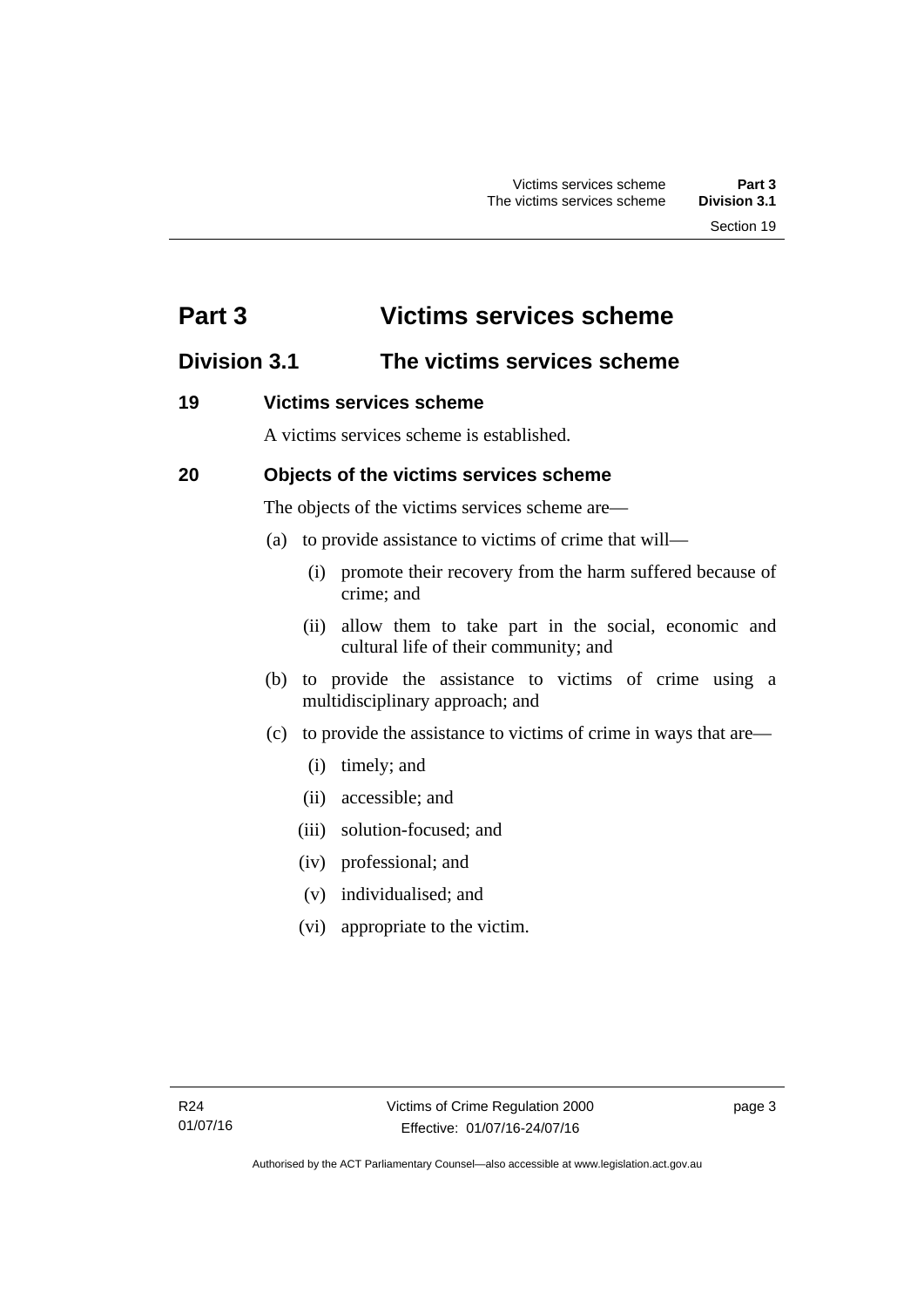## <span id="page-8-0"></span>**Part 3 Victims services scheme**

## <span id="page-8-1"></span>**Division 3.1 The victims services scheme**

### <span id="page-8-2"></span>**19 Victims services scheme**

A victims services scheme is established.

### <span id="page-8-3"></span>**20 Objects of the victims services scheme**

The objects of the victims services scheme are—

- (a) to provide assistance to victims of crime that will—
	- (i) promote their recovery from the harm suffered because of crime; and
	- (ii) allow them to take part in the social, economic and cultural life of their community; and
- (b) to provide the assistance to victims of crime using a multidisciplinary approach; and
- (c) to provide the assistance to victims of crime in ways that are—
	- (i) timely; and
	- (ii) accessible; and
	- (iii) solution-focused; and
	- (iv) professional; and
	- (v) individualised; and
	- (vi) appropriate to the victim.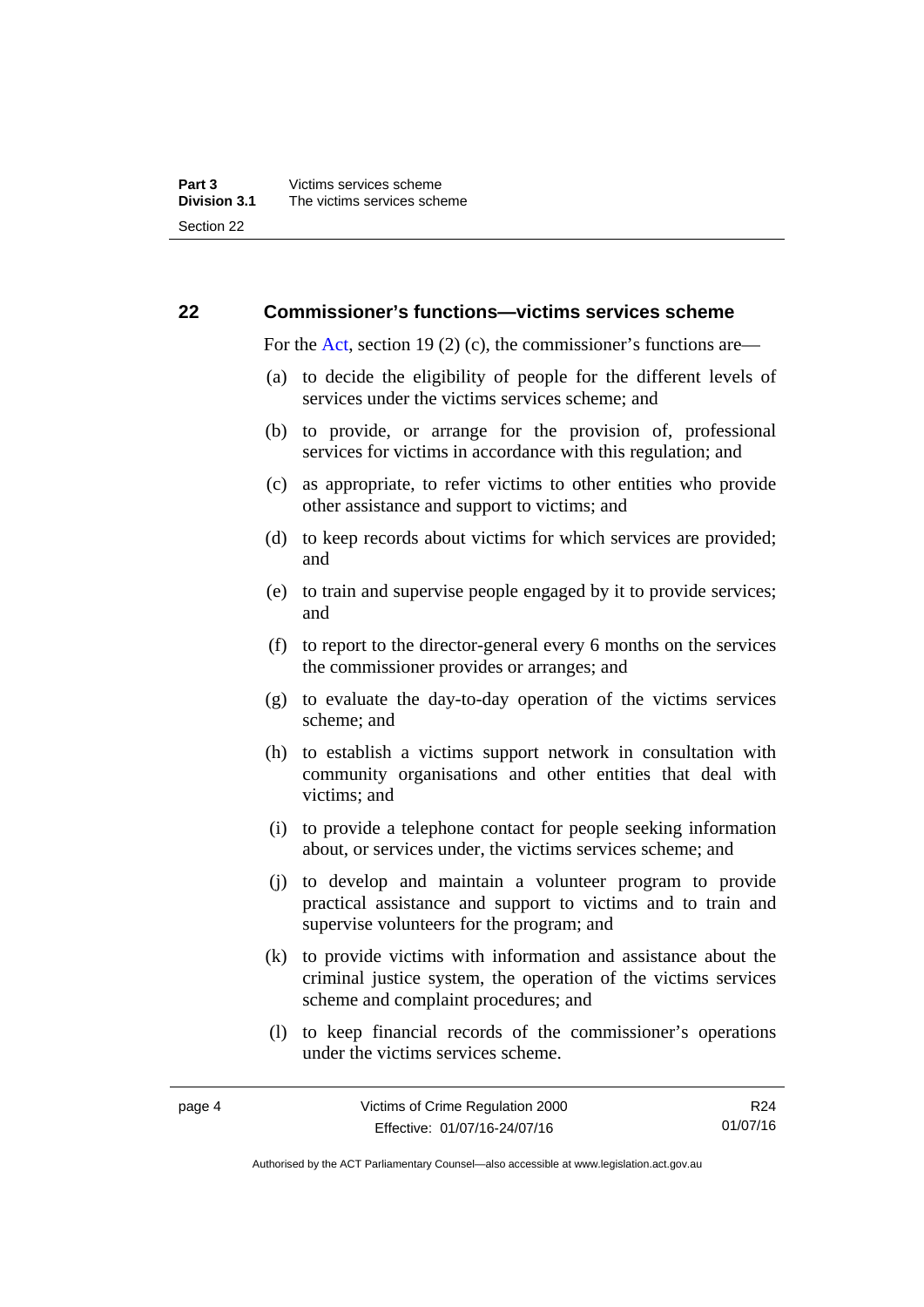### <span id="page-9-0"></span>**22 Commissioner's functions—victims services scheme**

For the [Act,](http://www.legislation.act.gov.au/a/1994-83/default.asp) section 19 (2) (c), the commissioner's functions are—

- (a) to decide the eligibility of people for the different levels of services under the victims services scheme; and
- (b) to provide, or arrange for the provision of, professional services for victims in accordance with this regulation; and
- (c) as appropriate, to refer victims to other entities who provide other assistance and support to victims; and
- (d) to keep records about victims for which services are provided; and
- (e) to train and supervise people engaged by it to provide services; and
- (f) to report to the director-general every 6 months on the services the commissioner provides or arranges; and
- (g) to evaluate the day-to-day operation of the victims services scheme; and
- (h) to establish a victims support network in consultation with community organisations and other entities that deal with victims; and
- (i) to provide a telephone contact for people seeking information about, or services under, the victims services scheme; and
- (j) to develop and maintain a volunteer program to provide practical assistance and support to victims and to train and supervise volunteers for the program; and
- (k) to provide victims with information and assistance about the criminal justice system, the operation of the victims services scheme and complaint procedures; and
- (l) to keep financial records of the commissioner's operations under the victims services scheme.

R24 01/07/16

Authorised by the ACT Parliamentary Counsel—also accessible at www.legislation.act.gov.au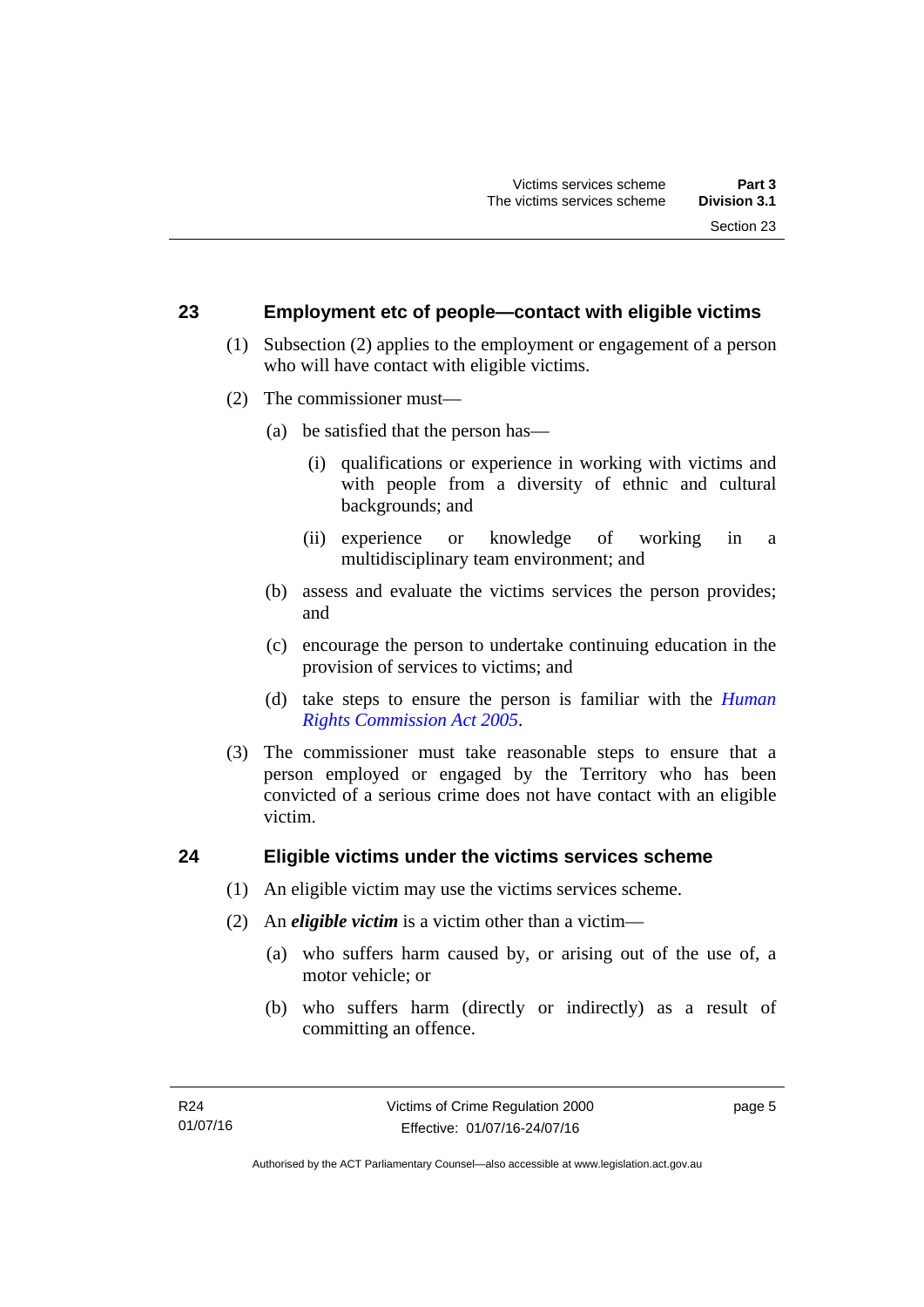### <span id="page-10-0"></span>**23 Employment etc of people—contact with eligible victims**

- (1) Subsection (2) applies to the employment or engagement of a person who will have contact with eligible victims.
- (2) The commissioner must—
	- (a) be satisfied that the person has—
		- (i) qualifications or experience in working with victims and with people from a diversity of ethnic and cultural backgrounds; and
		- (ii) experience or knowledge of working in a multidisciplinary team environment; and
	- (b) assess and evaluate the victims services the person provides; and
	- (c) encourage the person to undertake continuing education in the provision of services to victims; and
	- (d) take steps to ensure the person is familiar with the *[Human](http://www.legislation.act.gov.au/a/2005-40)  [Rights Commission Act 2005](http://www.legislation.act.gov.au/a/2005-40)*.
- (3) The commissioner must take reasonable steps to ensure that a person employed or engaged by the Territory who has been convicted of a serious crime does not have contact with an eligible victim.

### <span id="page-10-1"></span>**24 Eligible victims under the victims services scheme**

- (1) An eligible victim may use the victims services scheme.
- (2) An *eligible victim* is a victim other than a victim—
	- (a) who suffers harm caused by, or arising out of the use of, a motor vehicle; or
	- (b) who suffers harm (directly or indirectly) as a result of committing an offence.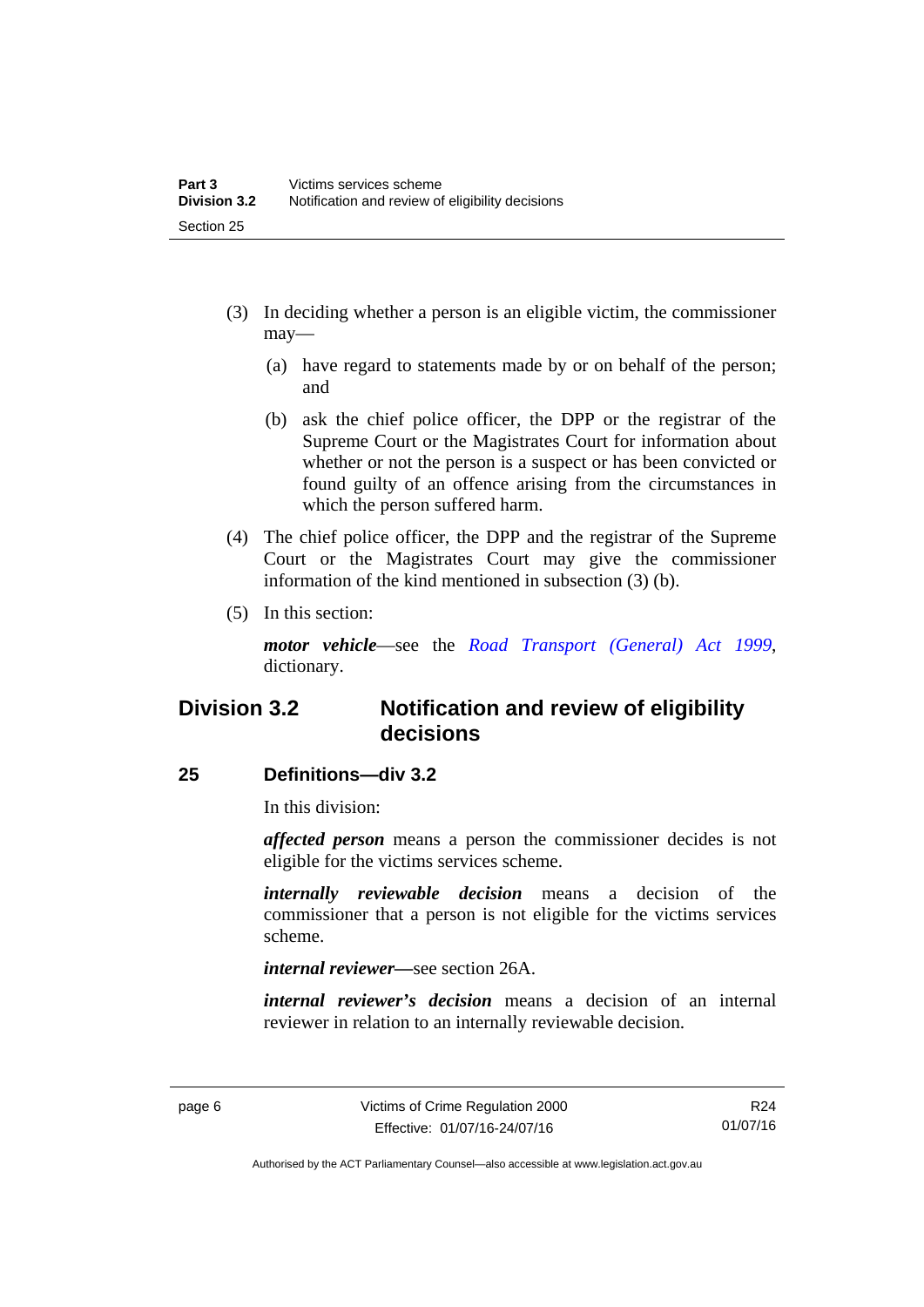- (3) In deciding whether a person is an eligible victim, the commissioner may—
	- (a) have regard to statements made by or on behalf of the person; and
	- (b) ask the chief police officer, the DPP or the registrar of the Supreme Court or the Magistrates Court for information about whether or not the person is a suspect or has been convicted or found guilty of an offence arising from the circumstances in which the person suffered harm.
- (4) The chief police officer, the DPP and the registrar of the Supreme Court or the Magistrates Court may give the commissioner information of the kind mentioned in subsection (3) (b).
- (5) In this section:

*motor vehicle*—see the *[Road Transport \(General\) Act 1999](http://www.legislation.act.gov.au/a/1999-77)*, dictionary.

## <span id="page-11-0"></span>**Division 3.2 Notification and review of eligibility decisions**

### <span id="page-11-1"></span>**25 Definitions—div 3.2**

In this division:

*affected person* means a person the commissioner decides is not eligible for the victims services scheme.

*internally reviewable decision* means a decision of the commissioner that a person is not eligible for the victims services scheme.

*internal reviewer—*see section 26A.

*internal reviewer's decision* means a decision of an internal reviewer in relation to an internally reviewable decision.

R24 01/07/16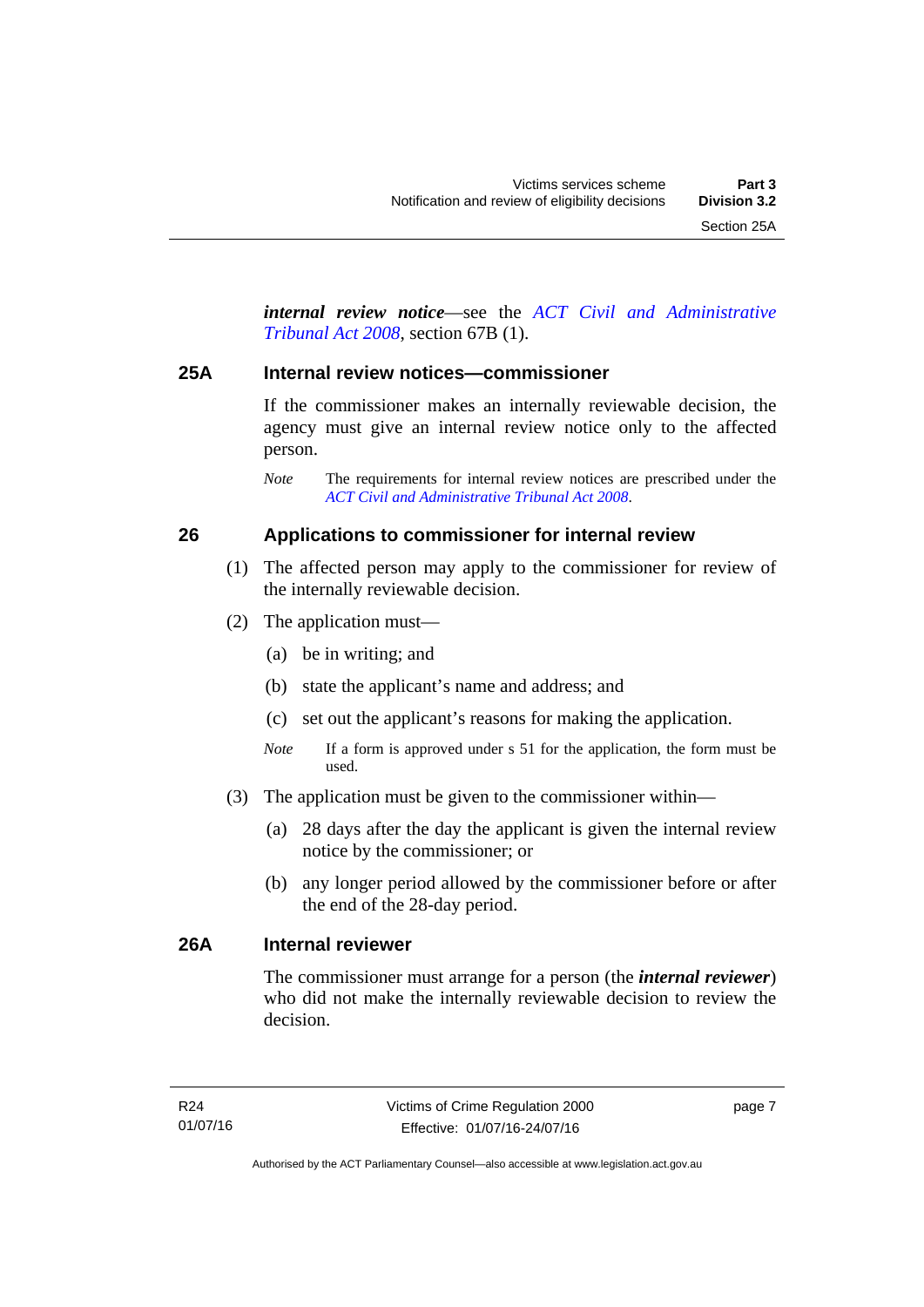*internal review notice*—see the *[ACT Civil and Administrative](http://www.legislation.act.gov.au/a/2008-35)  [Tribunal Act 2008](http://www.legislation.act.gov.au/a/2008-35)*, section 67B (1).

### <span id="page-12-0"></span>**25A Internal review notices—commissioner**

If the commissioner makes an internally reviewable decision, the agency must give an internal review notice only to the affected person.

*Note* The requirements for internal review notices are prescribed under the *[ACT Civil and Administrative Tribunal Act 2008](http://www.legislation.act.gov.au/a/2008-35)*.

### <span id="page-12-1"></span>**26 Applications to commissioner for internal review**

- (1) The affected person may apply to the commissioner for review of the internally reviewable decision.
- (2) The application must—
	- (a) be in writing; and
	- (b) state the applicant's name and address; and
	- (c) set out the applicant's reasons for making the application.
	- *Note* If a form is approved under s 51 for the application, the form must be used.
- (3) The application must be given to the commissioner within—
	- (a) 28 days after the day the applicant is given the internal review notice by the commissioner; or
	- (b) any longer period allowed by the commissioner before or after the end of the 28-day period.

### <span id="page-12-2"></span>**26A Internal reviewer**

The commissioner must arrange for a person (the *internal reviewer*) who did not make the internally reviewable decision to review the decision.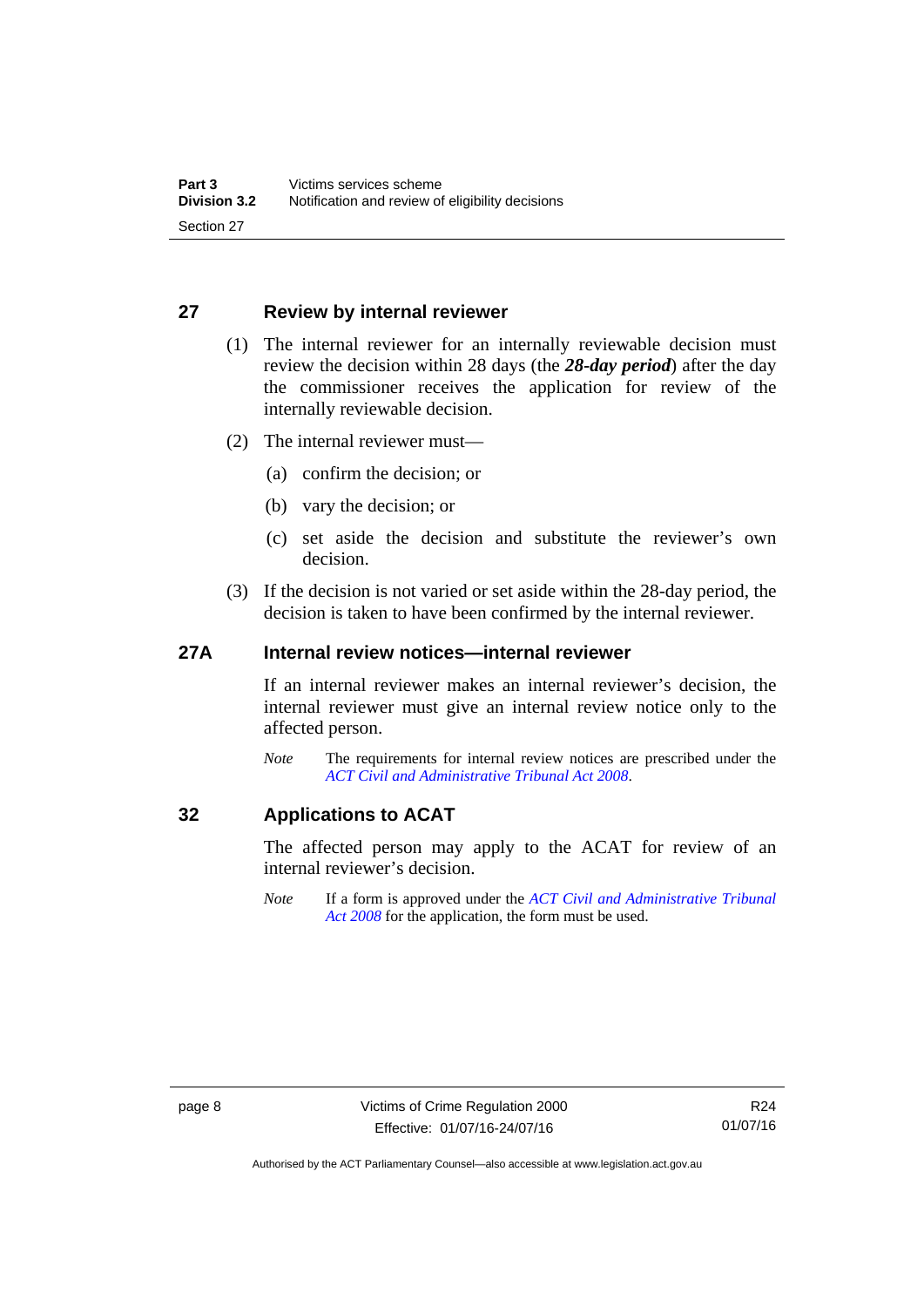### <span id="page-13-0"></span>**27 Review by internal reviewer**

- (1) The internal reviewer for an internally reviewable decision must review the decision within 28 days (the *28-day period*) after the day the commissioner receives the application for review of the internally reviewable decision.
- (2) The internal reviewer must—
	- (a) confirm the decision; or
	- (b) vary the decision; or
	- (c) set aside the decision and substitute the reviewer's own decision.
- (3) If the decision is not varied or set aside within the 28-day period, the decision is taken to have been confirmed by the internal reviewer.

### <span id="page-13-1"></span>**27A Internal review notices—internal reviewer**

If an internal reviewer makes an internal reviewer's decision, the internal reviewer must give an internal review notice only to the affected person.

*Note* The requirements for internal review notices are prescribed under the *[ACT Civil and Administrative Tribunal Act 2008](http://www.legislation.act.gov.au/a/2008-35)*.

### <span id="page-13-2"></span>**32 Applications to ACAT**

The affected person may apply to the ACAT for review of an internal reviewer's decision.

*Note* If a form is approved under the *[ACT Civil and Administrative Tribunal](http://www.legislation.act.gov.au/a/2008-35)  [Act 2008](http://www.legislation.act.gov.au/a/2008-35)* for the application, the form must be used.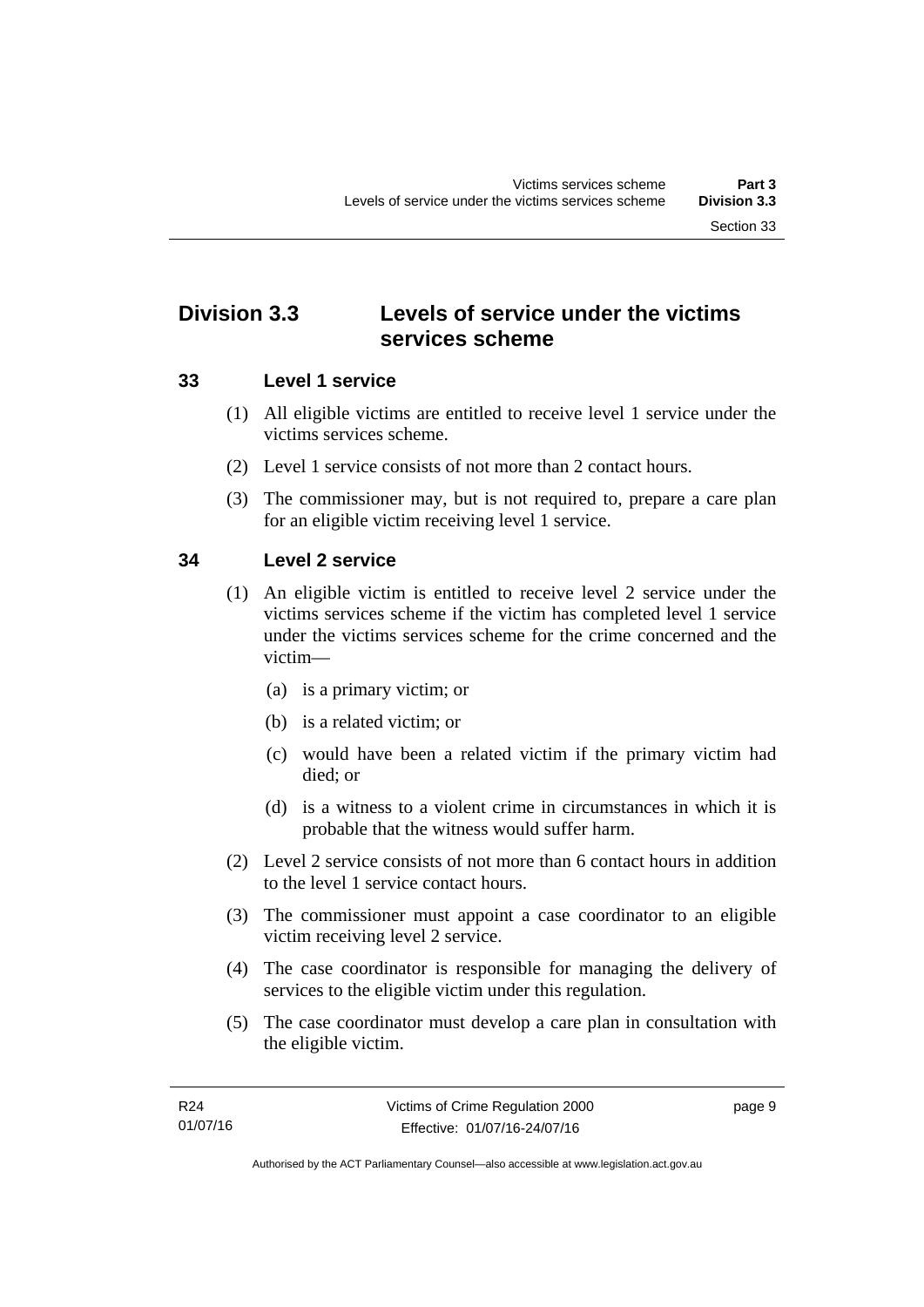## <span id="page-14-0"></span>**Division 3.3 Levels of service under the victims services scheme**

### <span id="page-14-1"></span>**33 Level 1 service**

- (1) All eligible victims are entitled to receive level 1 service under the victims services scheme.
- (2) Level 1 service consists of not more than 2 contact hours.
- (3) The commissioner may, but is not required to, prepare a care plan for an eligible victim receiving level 1 service.

### <span id="page-14-2"></span>**34 Level 2 service**

- (1) An eligible victim is entitled to receive level 2 service under the victims services scheme if the victim has completed level 1 service under the victims services scheme for the crime concerned and the victim—
	- (a) is a primary victim; or
	- (b) is a related victim; or
	- (c) would have been a related victim if the primary victim had died; or
	- (d) is a witness to a violent crime in circumstances in which it is probable that the witness would suffer harm.
- (2) Level 2 service consists of not more than 6 contact hours in addition to the level 1 service contact hours.
- (3) The commissioner must appoint a case coordinator to an eligible victim receiving level 2 service.
- (4) The case coordinator is responsible for managing the delivery of services to the eligible victim under this regulation.
- (5) The case coordinator must develop a care plan in consultation with the eligible victim.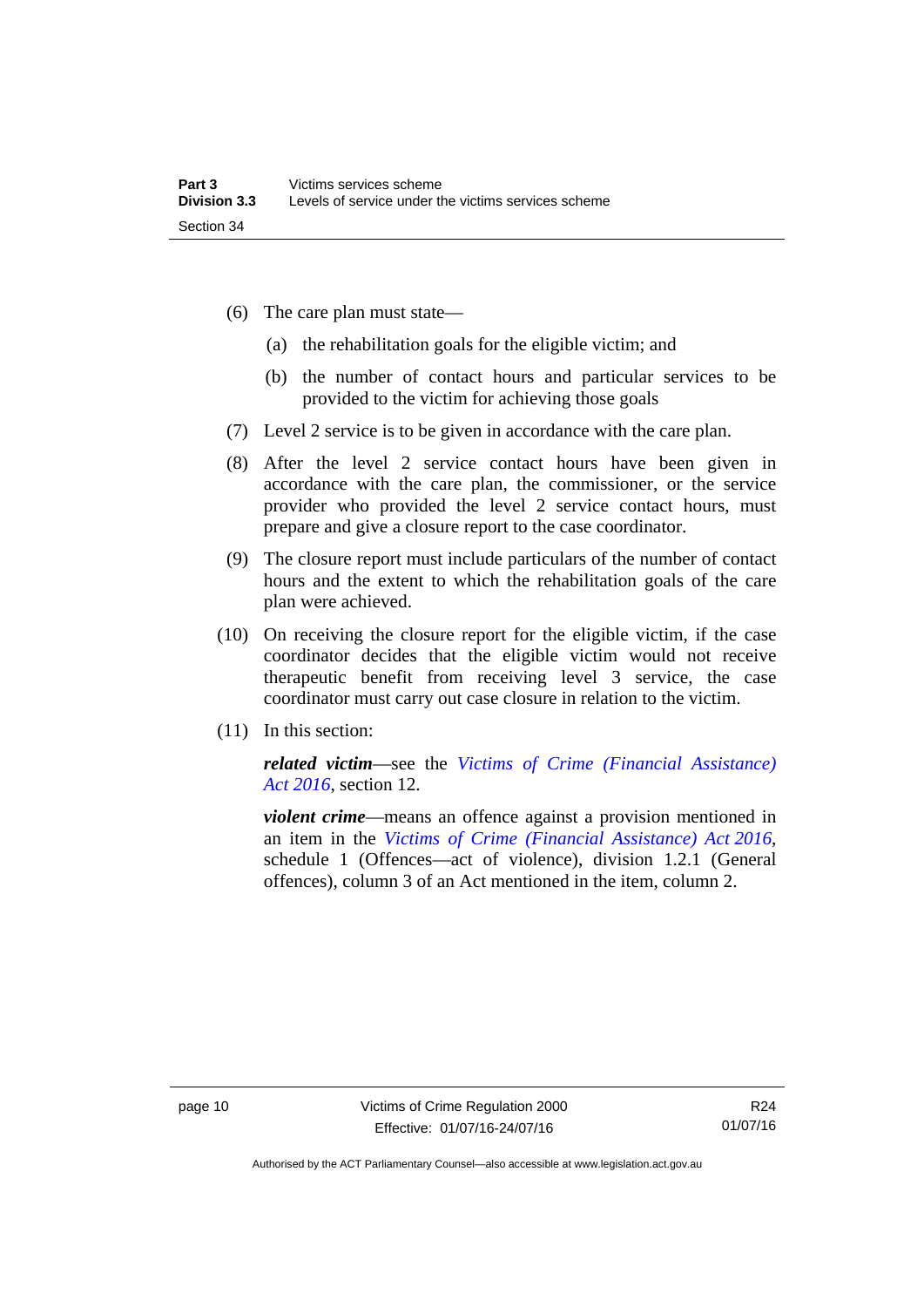- (6) The care plan must state—
	- (a) the rehabilitation goals for the eligible victim; and
	- (b) the number of contact hours and particular services to be provided to the victim for achieving those goals
- (7) Level 2 service is to be given in accordance with the care plan.
- (8) After the level 2 service contact hours have been given in accordance with the care plan, the commissioner, or the service provider who provided the level 2 service contact hours, must prepare and give a closure report to the case coordinator.
- (9) The closure report must include particulars of the number of contact hours and the extent to which the rehabilitation goals of the care plan were achieved.
- (10) On receiving the closure report for the eligible victim, if the case coordinator decides that the eligible victim would not receive therapeutic benefit from receiving level 3 service, the case coordinator must carry out case closure in relation to the victim.
- (11) In this section:

*related victim*—see the *[Victims of Crime \(Financial Assistance\)](http://www.legislation.act.gov.au/a/2016-12/default.asp)  [Act 2016](http://www.legislation.act.gov.au/a/2016-12/default.asp)*, section 12.

*violent crime*—means an offence against a provision mentioned in an item in the *[Victims of Crime \(Financial Assistance\) Act 2016](http://www.legislation.act.gov.au/a/2016-12/default.asp)*, schedule 1 (Offences—act of violence), division 1.2.1 (General offences), column 3 of an Act mentioned in the item, column 2.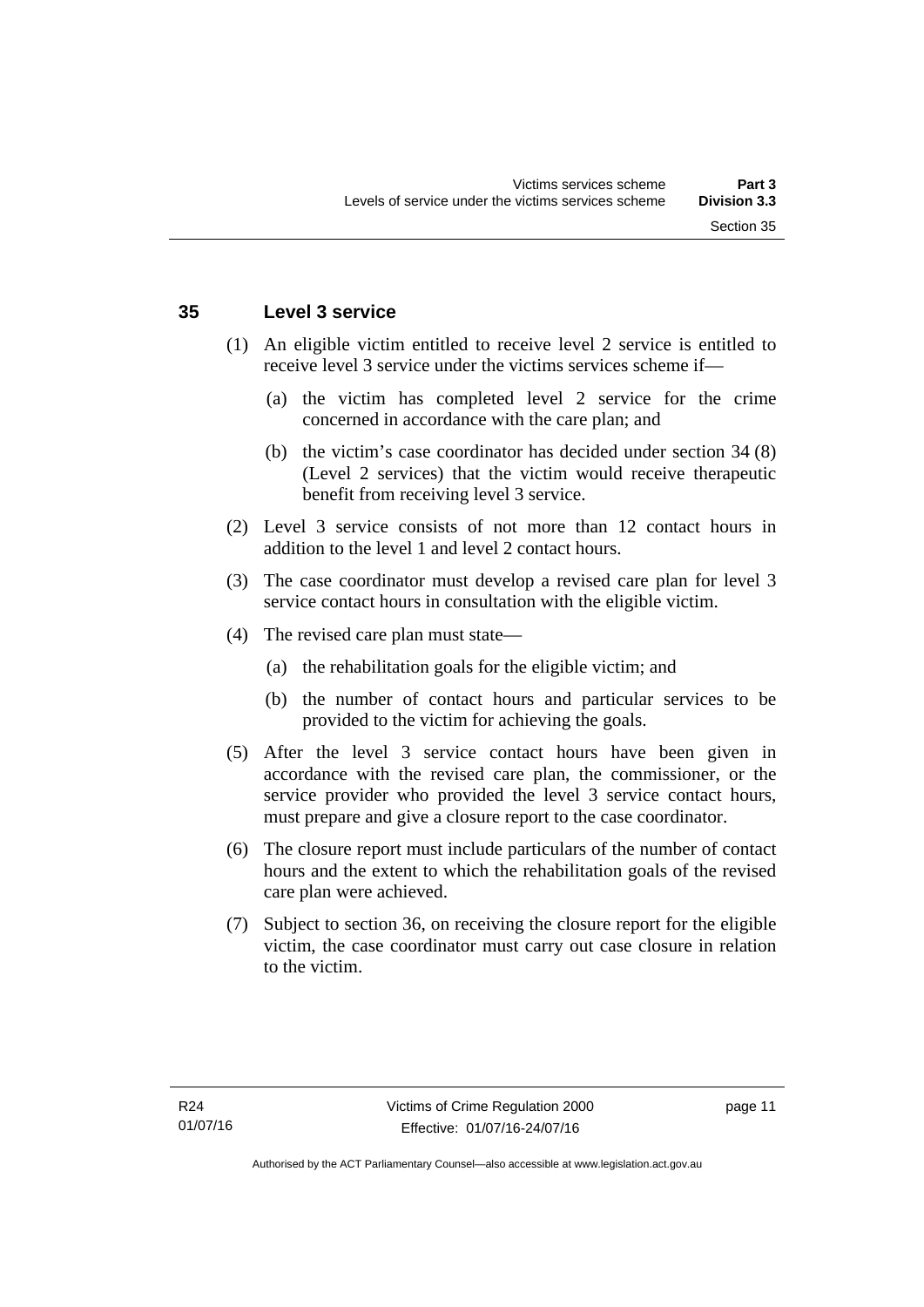### <span id="page-16-0"></span>**35 Level 3 service**

- (1) An eligible victim entitled to receive level 2 service is entitled to receive level 3 service under the victims services scheme if—
	- (a) the victim has completed level 2 service for the crime concerned in accordance with the care plan; and
	- (b) the victim's case coordinator has decided under section 34 (8) (Level 2 services) that the victim would receive therapeutic benefit from receiving level 3 service.
- (2) Level 3 service consists of not more than 12 contact hours in addition to the level 1 and level 2 contact hours.
- (3) The case coordinator must develop a revised care plan for level 3 service contact hours in consultation with the eligible victim.
- (4) The revised care plan must state—
	- (a) the rehabilitation goals for the eligible victim; and
	- (b) the number of contact hours and particular services to be provided to the victim for achieving the goals.
- (5) After the level 3 service contact hours have been given in accordance with the revised care plan, the commissioner, or the service provider who provided the level 3 service contact hours, must prepare and give a closure report to the case coordinator.
- (6) The closure report must include particulars of the number of contact hours and the extent to which the rehabilitation goals of the revised care plan were achieved.
- (7) Subject to section 36, on receiving the closure report for the eligible victim, the case coordinator must carry out case closure in relation to the victim.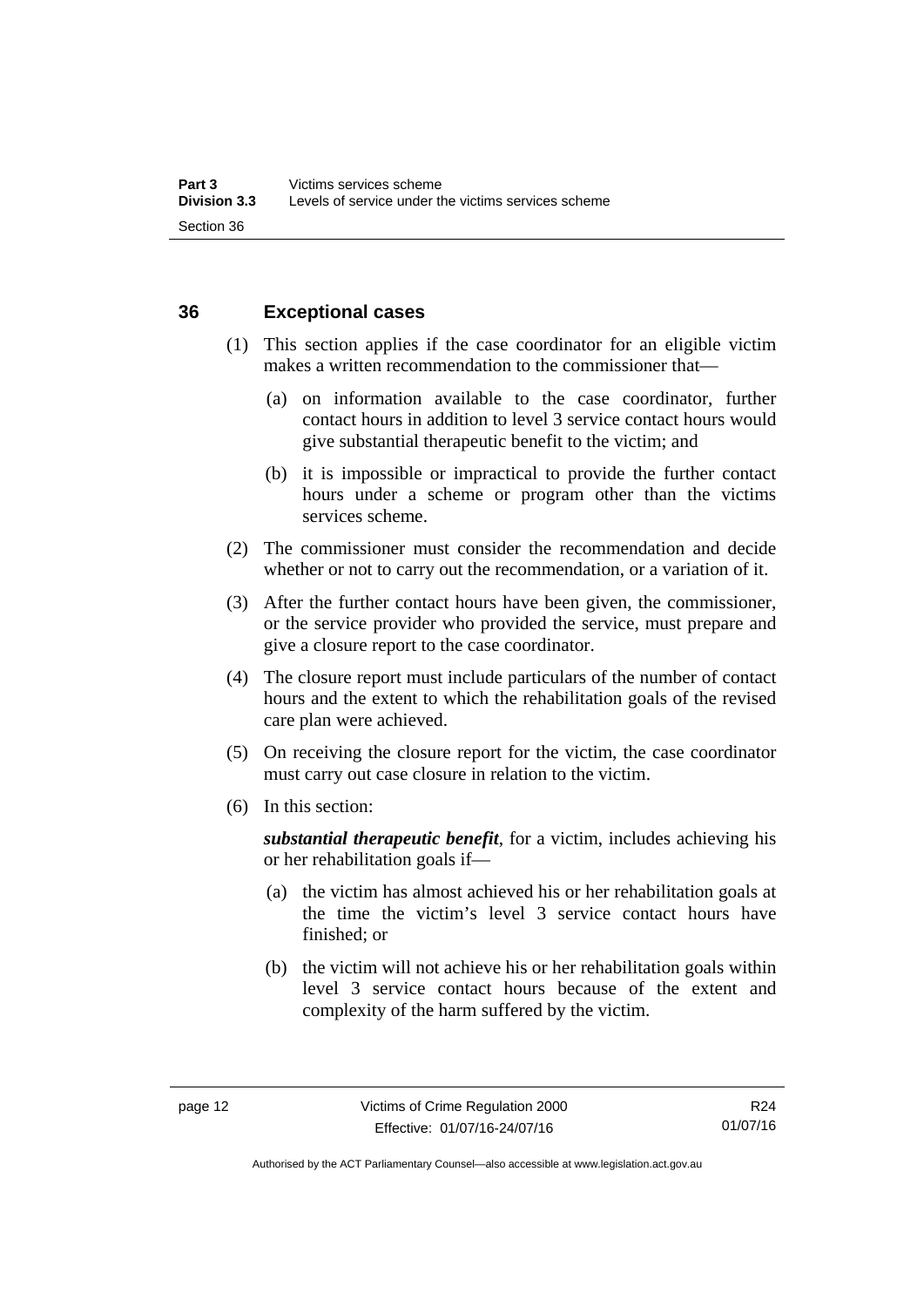### <span id="page-17-0"></span>**36 Exceptional cases**

- (1) This section applies if the case coordinator for an eligible victim makes a written recommendation to the commissioner that—
	- (a) on information available to the case coordinator, further contact hours in addition to level 3 service contact hours would give substantial therapeutic benefit to the victim; and
	- (b) it is impossible or impractical to provide the further contact hours under a scheme or program other than the victims services scheme.
- (2) The commissioner must consider the recommendation and decide whether or not to carry out the recommendation, or a variation of it.
- (3) After the further contact hours have been given, the commissioner, or the service provider who provided the service, must prepare and give a closure report to the case coordinator.
- (4) The closure report must include particulars of the number of contact hours and the extent to which the rehabilitation goals of the revised care plan were achieved.
- (5) On receiving the closure report for the victim, the case coordinator must carry out case closure in relation to the victim.
- (6) In this section:

*substantial therapeutic benefit*, for a victim, includes achieving his or her rehabilitation goals if—

- (a) the victim has almost achieved his or her rehabilitation goals at the time the victim's level 3 service contact hours have finished; or
- (b) the victim will not achieve his or her rehabilitation goals within level 3 service contact hours because of the extent and complexity of the harm suffered by the victim.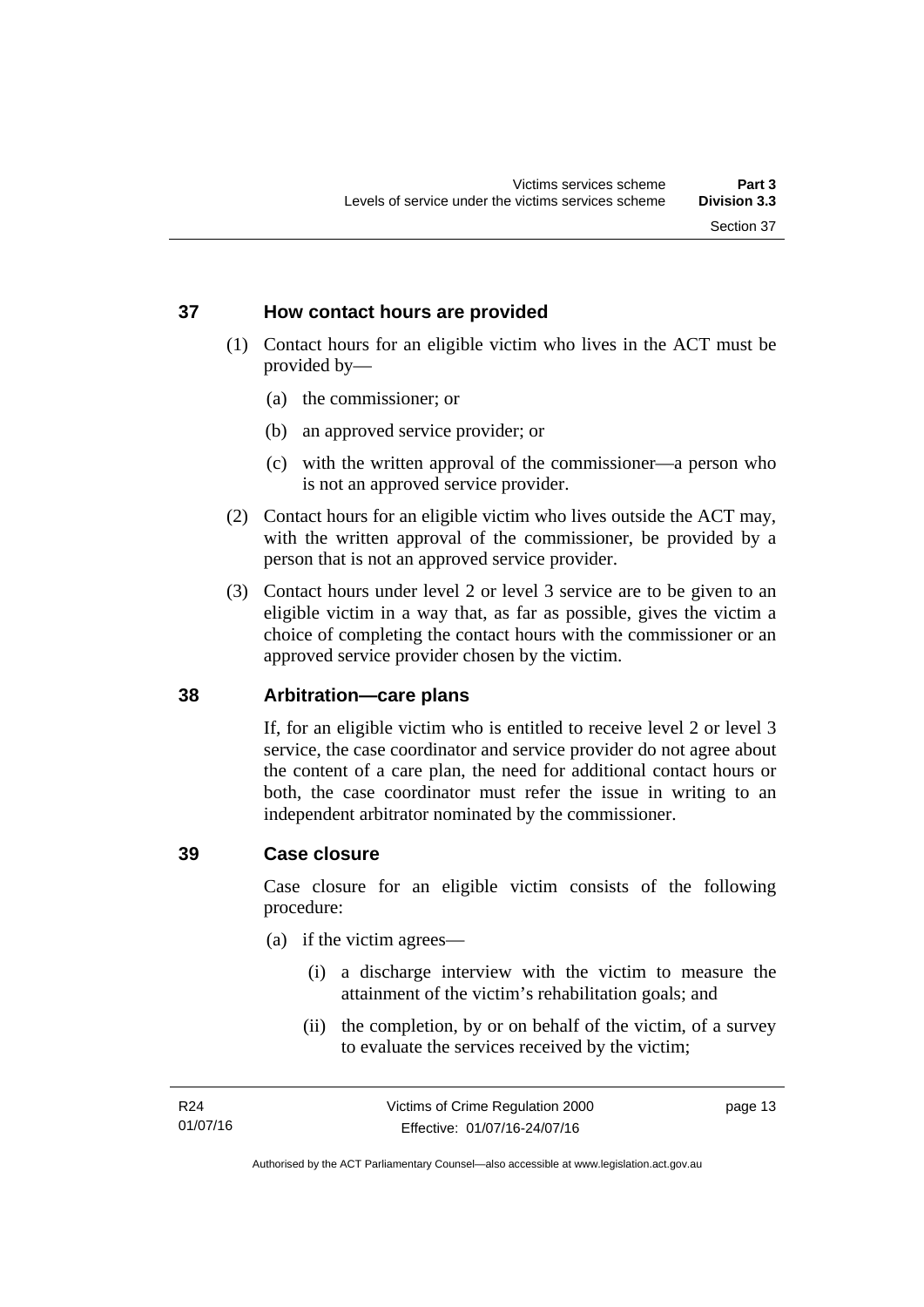### <span id="page-18-0"></span>**37 How contact hours are provided**

- (1) Contact hours for an eligible victim who lives in the ACT must be provided by—
	- (a) the commissioner; or
	- (b) an approved service provider; or
	- (c) with the written approval of the commissioner—a person who is not an approved service provider.
- (2) Contact hours for an eligible victim who lives outside the ACT may, with the written approval of the commissioner, be provided by a person that is not an approved service provider.
- (3) Contact hours under level 2 or level 3 service are to be given to an eligible victim in a way that, as far as possible, gives the victim a choice of completing the contact hours with the commissioner or an approved service provider chosen by the victim.

### <span id="page-18-1"></span>**38 Arbitration—care plans**

If, for an eligible victim who is entitled to receive level 2 or level 3 service, the case coordinator and service provider do not agree about the content of a care plan, the need for additional contact hours or both, the case coordinator must refer the issue in writing to an independent arbitrator nominated by the commissioner.

### <span id="page-18-2"></span>**39 Case closure**

Case closure for an eligible victim consists of the following procedure:

- (a) if the victim agrees—
	- (i) a discharge interview with the victim to measure the attainment of the victim's rehabilitation goals; and
	- (ii) the completion, by or on behalf of the victim, of a survey to evaluate the services received by the victim;

page 13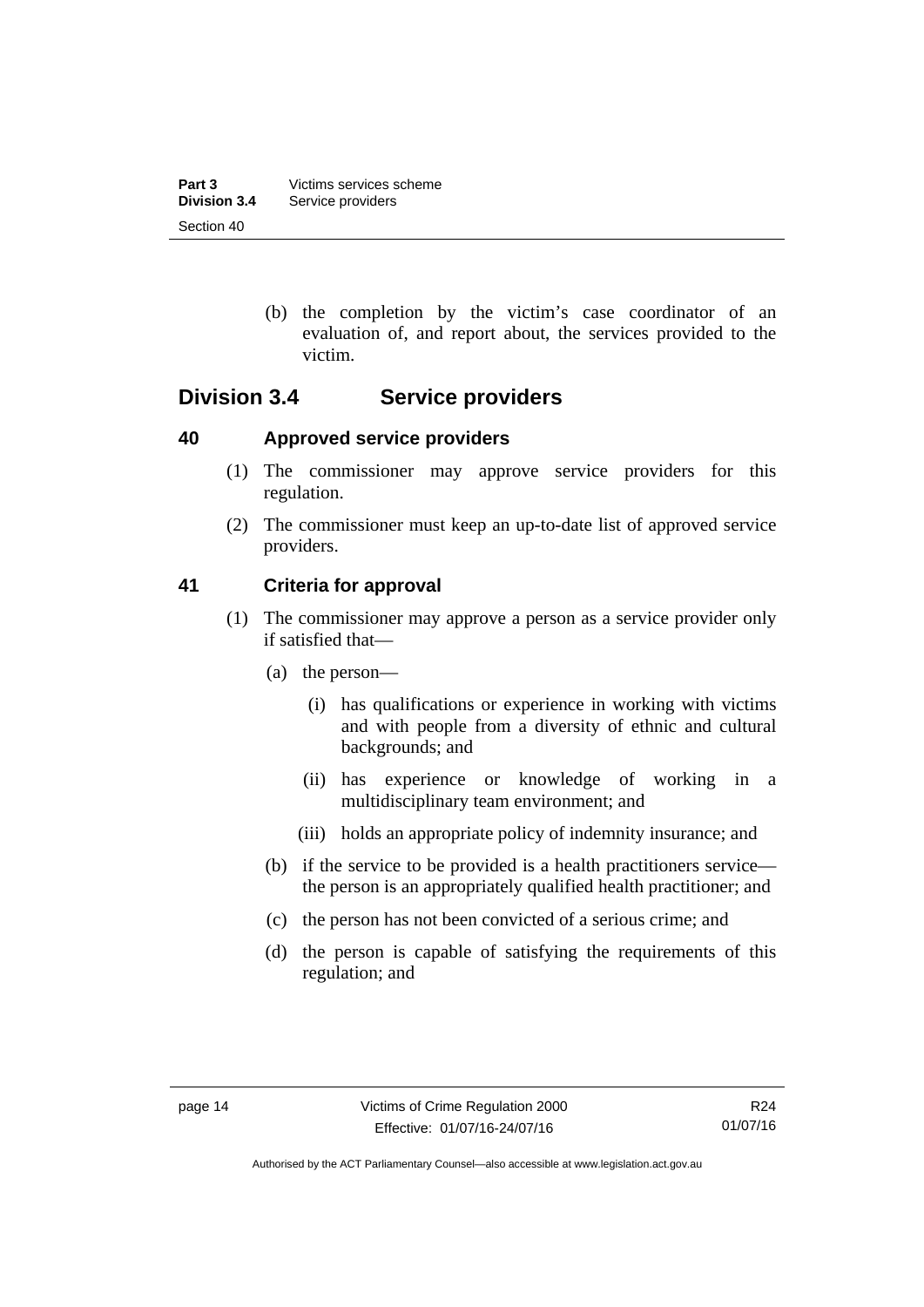| Part 3              | Victims services scheme |
|---------------------|-------------------------|
| <b>Division 3.4</b> | Service providers       |
| Section 40          |                         |

 (b) the completion by the victim's case coordinator of an evaluation of, and report about, the services provided to the victim.

## <span id="page-19-0"></span>**Division 3.4 Service providers**

### <span id="page-19-1"></span>**40 Approved service providers**

- (1) The commissioner may approve service providers for this regulation.
- (2) The commissioner must keep an up-to-date list of approved service providers.

### <span id="page-19-2"></span>**41 Criteria for approval**

- (1) The commissioner may approve a person as a service provider only if satisfied that—
	- (a) the person—
		- (i) has qualifications or experience in working with victims and with people from a diversity of ethnic and cultural backgrounds; and
		- (ii) has experience or knowledge of working in a multidisciplinary team environment; and
		- (iii) holds an appropriate policy of indemnity insurance; and
	- (b) if the service to be provided is a health practitioners service the person is an appropriately qualified health practitioner; and
	- (c) the person has not been convicted of a serious crime; and
	- (d) the person is capable of satisfying the requirements of this regulation; and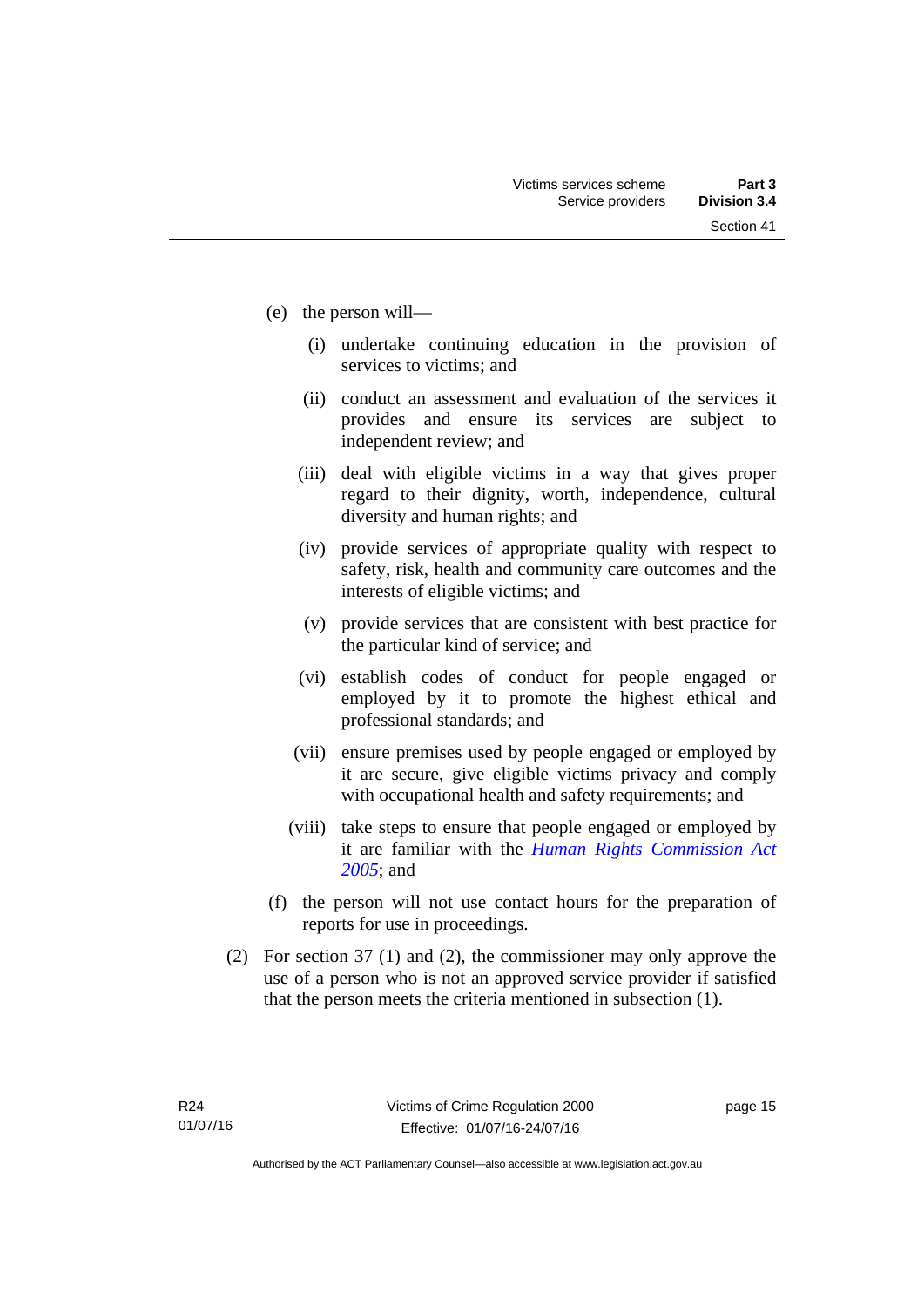- (e) the person will—
	- (i) undertake continuing education in the provision of services to victims; and
	- (ii) conduct an assessment and evaluation of the services it provides and ensure its services are subject to independent review; and
	- (iii) deal with eligible victims in a way that gives proper regard to their dignity, worth, independence, cultural diversity and human rights; and
	- (iv) provide services of appropriate quality with respect to safety, risk, health and community care outcomes and the interests of eligible victims; and
	- (v) provide services that are consistent with best practice for the particular kind of service; and
	- (vi) establish codes of conduct for people engaged or employed by it to promote the highest ethical and professional standards; and
	- (vii) ensure premises used by people engaged or employed by it are secure, give eligible victims privacy and comply with occupational health and safety requirements; and
	- (viii) take steps to ensure that people engaged or employed by it are familiar with the *[Human Rights Commission Act](http://www.legislation.act.gov.au/a/2005-40)  [2005](http://www.legislation.act.gov.au/a/2005-40)*; and
- (f) the person will not use contact hours for the preparation of reports for use in proceedings.
- (2) For section 37 (1) and (2), the commissioner may only approve the use of a person who is not an approved service provider if satisfied that the person meets the criteria mentioned in subsection (1).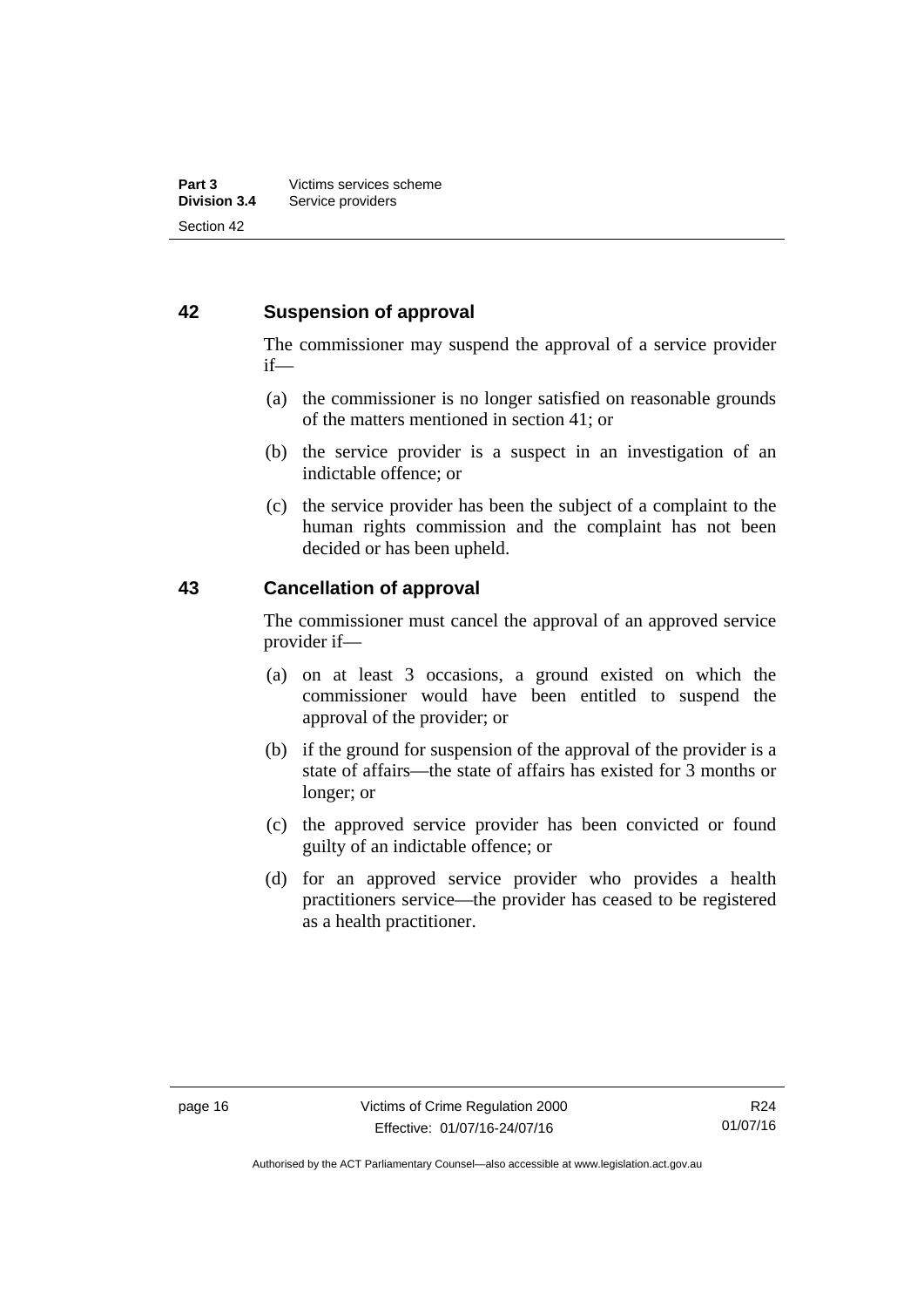### <span id="page-21-0"></span>**42 Suspension of approval**

The commissioner may suspend the approval of a service provider if—

- (a) the commissioner is no longer satisfied on reasonable grounds of the matters mentioned in section 41; or
- (b) the service provider is a suspect in an investigation of an indictable offence; or
- (c) the service provider has been the subject of a complaint to the human rights commission and the complaint has not been decided or has been upheld.

### <span id="page-21-1"></span>**43 Cancellation of approval**

The commissioner must cancel the approval of an approved service provider if—

- (a) on at least 3 occasions, a ground existed on which the commissioner would have been entitled to suspend the approval of the provider; or
- (b) if the ground for suspension of the approval of the provider is a state of affairs—the state of affairs has existed for 3 months or longer; or
- (c) the approved service provider has been convicted or found guilty of an indictable offence; or
- (d) for an approved service provider who provides a health practitioners service—the provider has ceased to be registered as a health practitioner.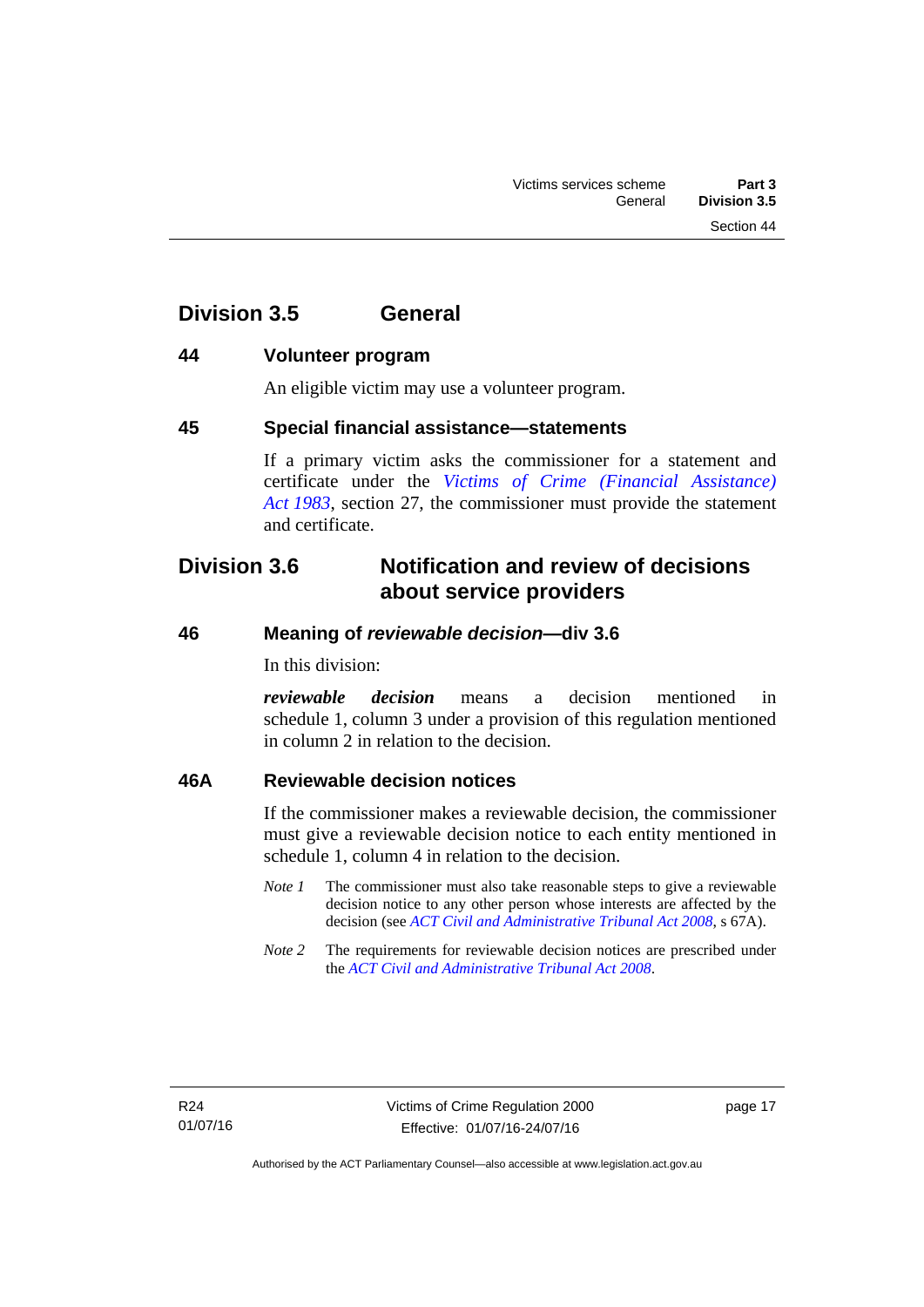## <span id="page-22-0"></span>**Division 3.5 General**

### <span id="page-22-1"></span>**44 Volunteer program**

An eligible victim may use a volunteer program.

### <span id="page-22-2"></span>**45 Special financial assistance—statements**

If a primary victim asks the commissioner for a statement and certificate under the *[Victims of Crime \(Financial Assistance\)](http://www.legislation.act.gov.au/a/1983-11)  [Act 1983](http://www.legislation.act.gov.au/a/1983-11)*, section 27, the commissioner must provide the statement and certificate.

## <span id="page-22-3"></span>**Division 3.6 Notification and review of decisions about service providers**

### <span id="page-22-4"></span>**46 Meaning of** *reviewable decision—***div 3.6**

In this division:

*reviewable decision* means a decision mentioned in schedule 1, column 3 under a provision of this regulation mentioned in column 2 in relation to the decision.

### <span id="page-22-5"></span>**46A Reviewable decision notices**

If the commissioner makes a reviewable decision, the commissioner must give a reviewable decision notice to each entity mentioned in schedule 1, column 4 in relation to the decision.

- *Note 1* The commissioner must also take reasonable steps to give a reviewable decision notice to any other person whose interests are affected by the decision (see *[ACT Civil and Administrative Tribunal Act 2008](http://www.legislation.act.gov.au/a/2008-35)*, s 67A).
- *Note 2* The requirements for reviewable decision notices are prescribed under the *[ACT Civil and Administrative Tribunal Act 2008](http://www.legislation.act.gov.au/a/2008-35)*.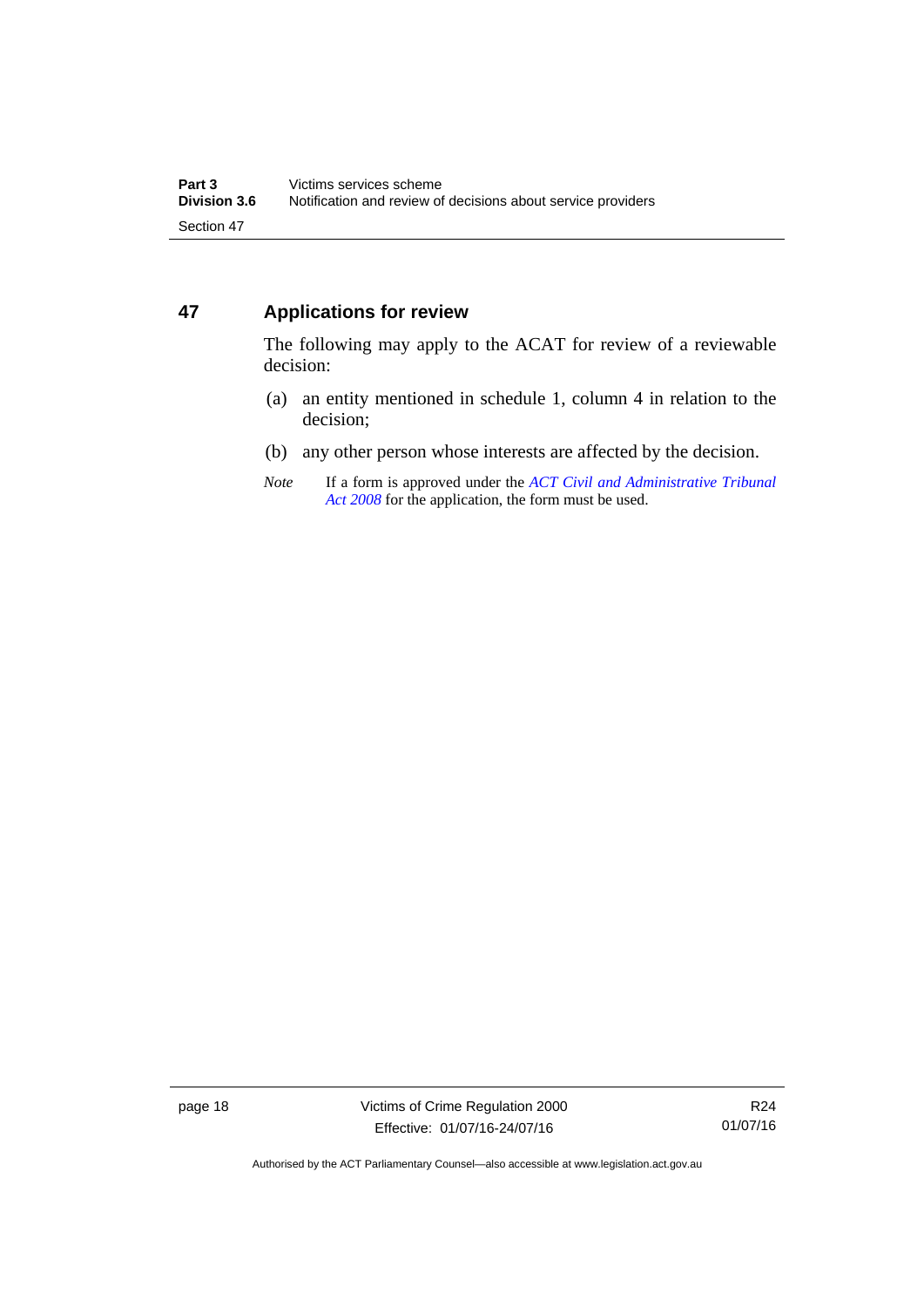## <span id="page-23-0"></span>**47 Applications for review**

The following may apply to the ACAT for review of a reviewable decision:

- (a) an entity mentioned in schedule 1, column 4 in relation to the decision;
- (b) any other person whose interests are affected by the decision.
- *Note* If a form is approved under the *[ACT Civil and Administrative Tribunal](http://www.legislation.act.gov.au/a/2008-35)  [Act 2008](http://www.legislation.act.gov.au/a/2008-35)* for the application, the form must be used.

page 18 Victims of Crime Regulation 2000 Effective: 01/07/16-24/07/16

R24 01/07/16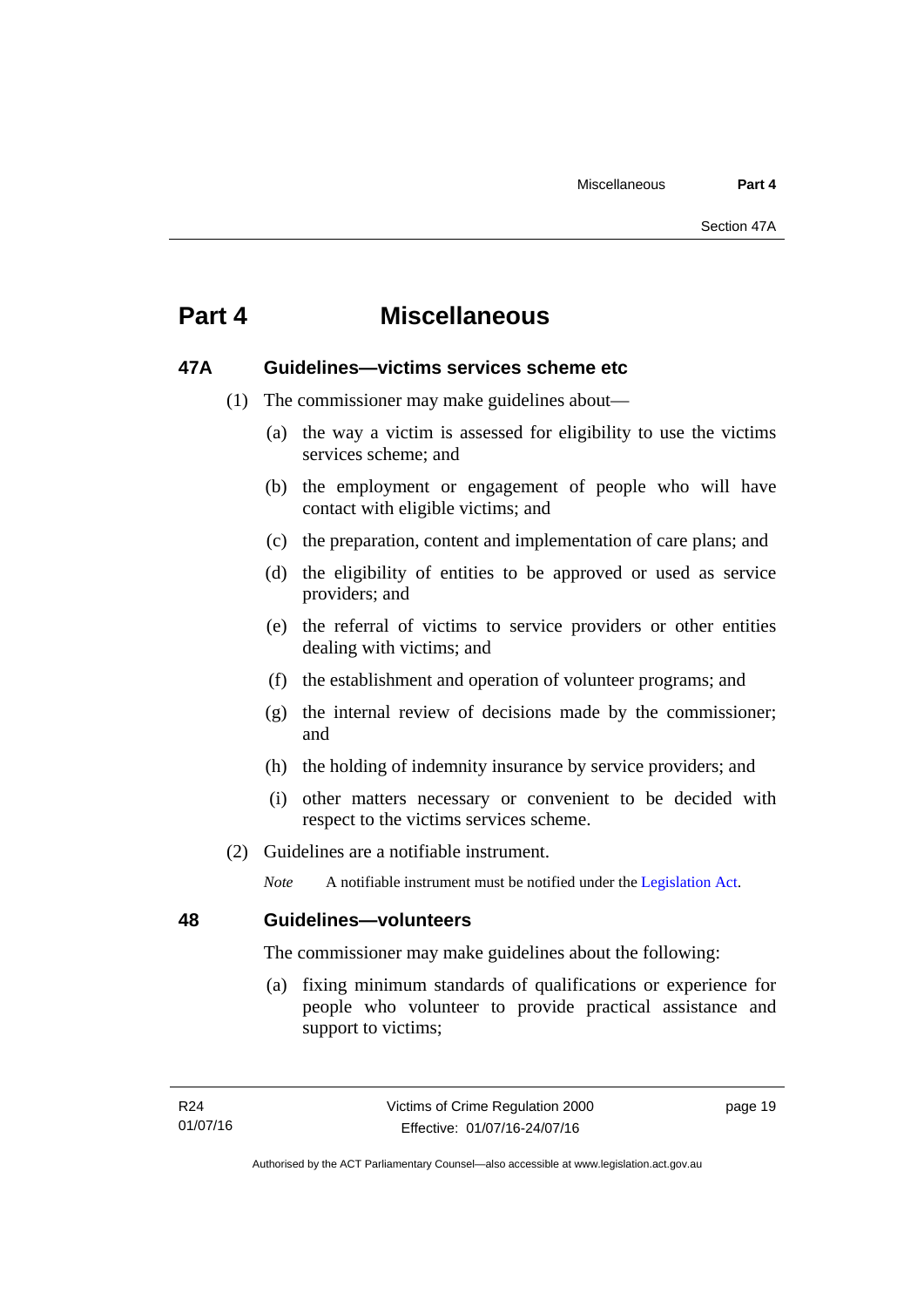## <span id="page-24-0"></span>**Part 4 Miscellaneous**

### <span id="page-24-1"></span>**47A Guidelines—victims services scheme etc**

- (1) The commissioner may make guidelines about—
	- (a) the way a victim is assessed for eligibility to use the victims services scheme; and
	- (b) the employment or engagement of people who will have contact with eligible victims; and
	- (c) the preparation, content and implementation of care plans; and
	- (d) the eligibility of entities to be approved or used as service providers; and
	- (e) the referral of victims to service providers or other entities dealing with victims; and
	- (f) the establishment and operation of volunteer programs; and
	- (g) the internal review of decisions made by the commissioner; and
	- (h) the holding of indemnity insurance by service providers; and
	- (i) other matters necessary or convenient to be decided with respect to the victims services scheme.
- (2) Guidelines are a notifiable instrument.

*Note* A notifiable instrument must be notified under the [Legislation Act](http://www.legislation.act.gov.au/a/2001-14).

<span id="page-24-2"></span>**48 Guidelines—volunteers** 

The commissioner may make guidelines about the following:

 (a) fixing minimum standards of qualifications or experience for people who volunteer to provide practical assistance and support to victims;

page 19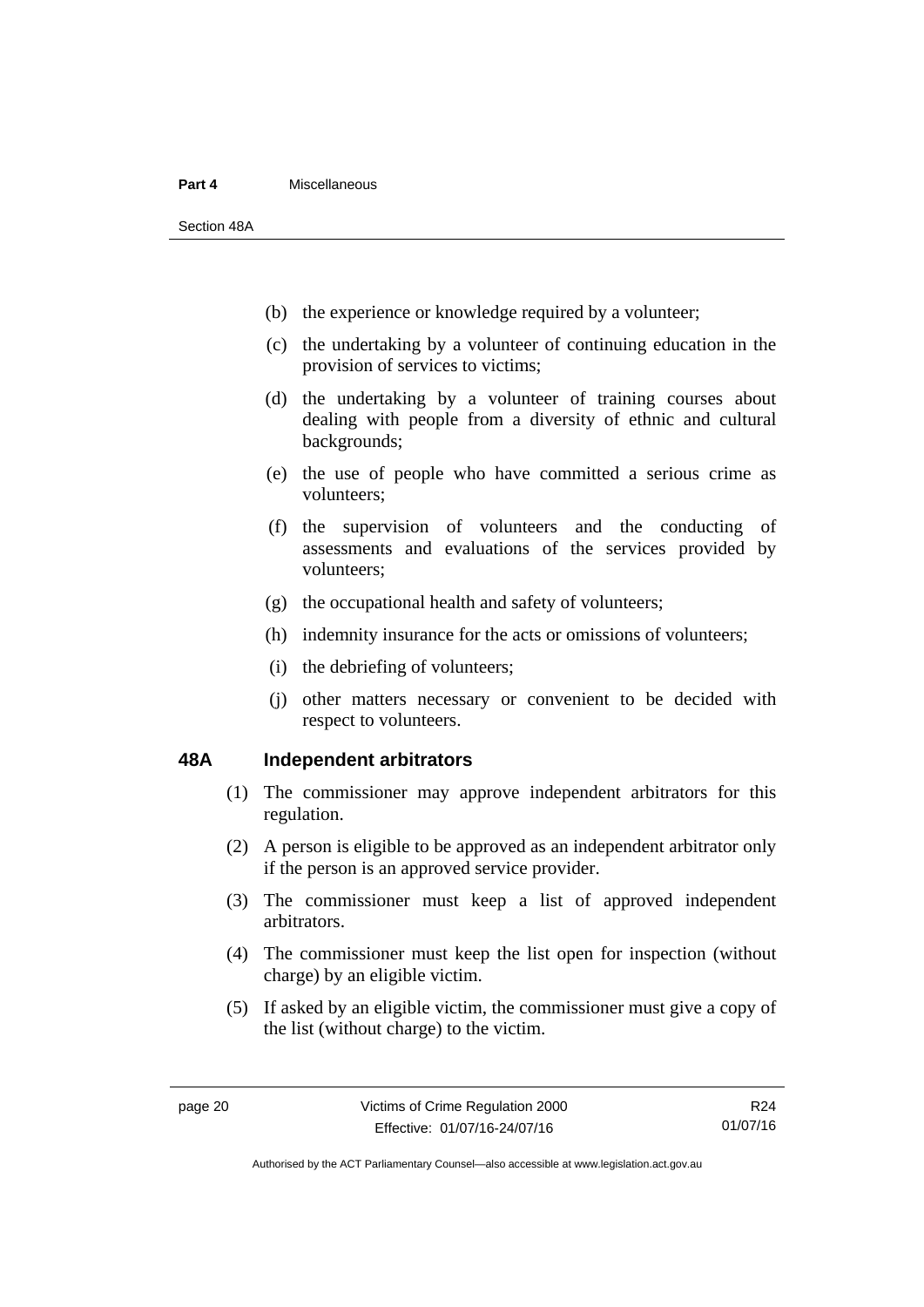### **Part 4** Miscellaneous

Section 48A

- (b) the experience or knowledge required by a volunteer;
- (c) the undertaking by a volunteer of continuing education in the provision of services to victims;
- (d) the undertaking by a volunteer of training courses about dealing with people from a diversity of ethnic and cultural backgrounds;
- (e) the use of people who have committed a serious crime as volunteers;
- (f) the supervision of volunteers and the conducting of assessments and evaluations of the services provided by volunteers;
- (g) the occupational health and safety of volunteers;
- (h) indemnity insurance for the acts or omissions of volunteers;
- (i) the debriefing of volunteers;
- (j) other matters necessary or convenient to be decided with respect to volunteers.

### <span id="page-25-0"></span>**48A Independent arbitrators**

- (1) The commissioner may approve independent arbitrators for this regulation.
- (2) A person is eligible to be approved as an independent arbitrator only if the person is an approved service provider.
- (3) The commissioner must keep a list of approved independent arbitrators.
- (4) The commissioner must keep the list open for inspection (without charge) by an eligible victim.
- (5) If asked by an eligible victim, the commissioner must give a copy of the list (without charge) to the victim.

R24 01/07/16

Authorised by the ACT Parliamentary Counsel—also accessible at www.legislation.act.gov.au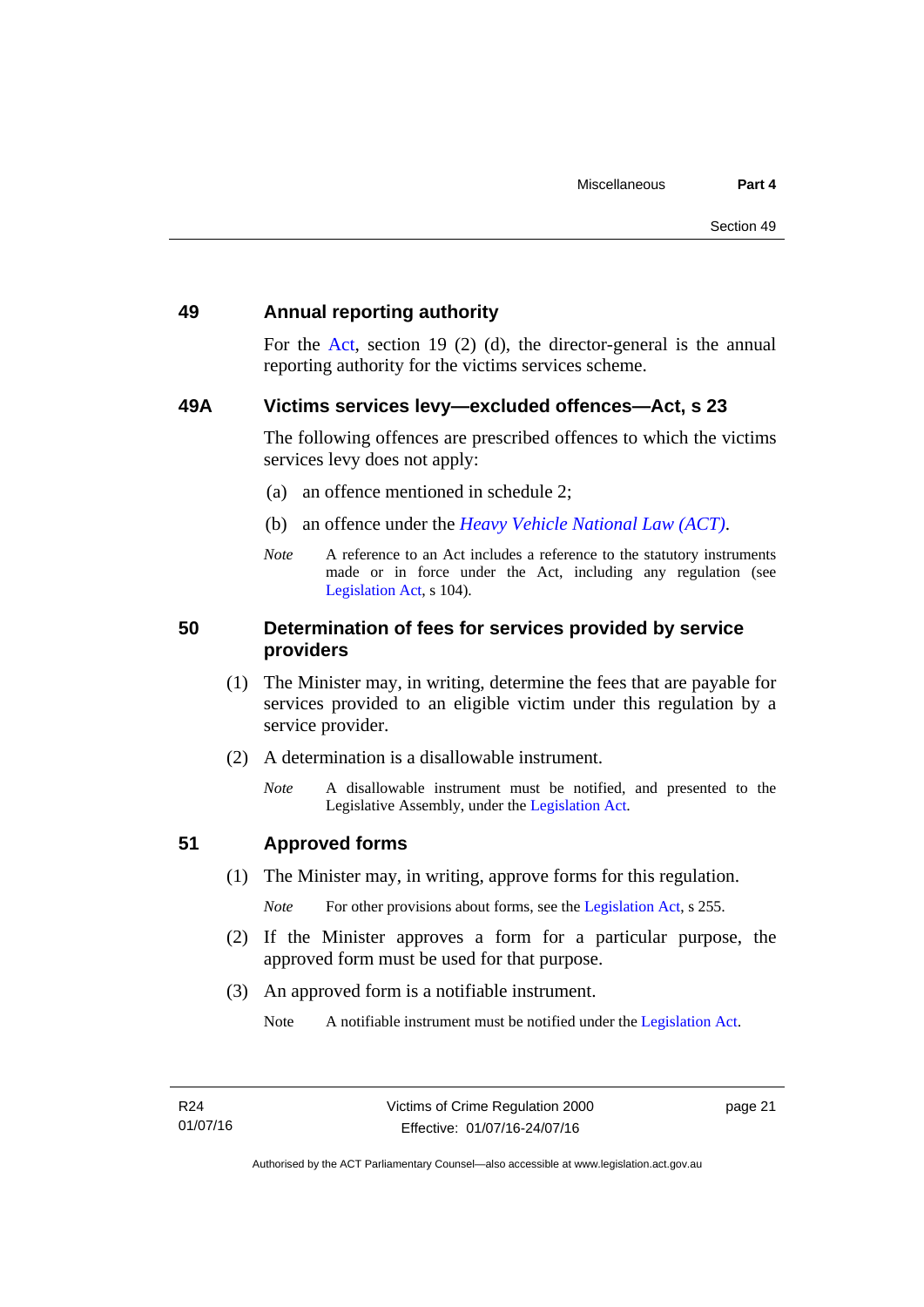### <span id="page-26-0"></span>**49 Annual reporting authority**

For the [Act,](http://www.legislation.act.gov.au/a/1994-83/default.asp) section 19 (2) (d), the director-general is the annual reporting authority for the victims services scheme.

### <span id="page-26-1"></span>**49A Victims services levy—excluded offences—Act, s 23**

The following offences are prescribed offences to which the victims services levy does not apply:

- (a) an offence mentioned in schedule 2;
- (b) an offence under the *[Heavy Vehicle National Law \(ACT\)](http://www.legislation.act.gov.au/a/db_49155/default.asp)*.
- *Note* A reference to an Act includes a reference to the statutory instruments made or in force under the Act, including any regulation (see [Legislation Act,](http://www.legislation.act.gov.au/a/2001-14) s 104).

### <span id="page-26-2"></span>**50 Determination of fees for services provided by service providers**

- (1) The Minister may, in writing, determine the fees that are payable for services provided to an eligible victim under this regulation by a service provider.
- (2) A determination is a disallowable instrument.
	- *Note* A disallowable instrument must be notified, and presented to the Legislative Assembly, under the [Legislation Act.](http://www.legislation.act.gov.au/a/2001-14)

### <span id="page-26-3"></span>**51 Approved forms**

(1) The Minister may, in writing, approve forms for this regulation.

*Note* For other provisions about forms, see the [Legislation Act,](http://www.legislation.act.gov.au/a/2001-14) s 255.

- (2) If the Minister approves a form for a particular purpose, the approved form must be used for that purpose.
- (3) An approved form is a notifiable instrument.

Note A notifiable instrument must be notified under the [Legislation Act](http://www.legislation.act.gov.au/a/2001-14).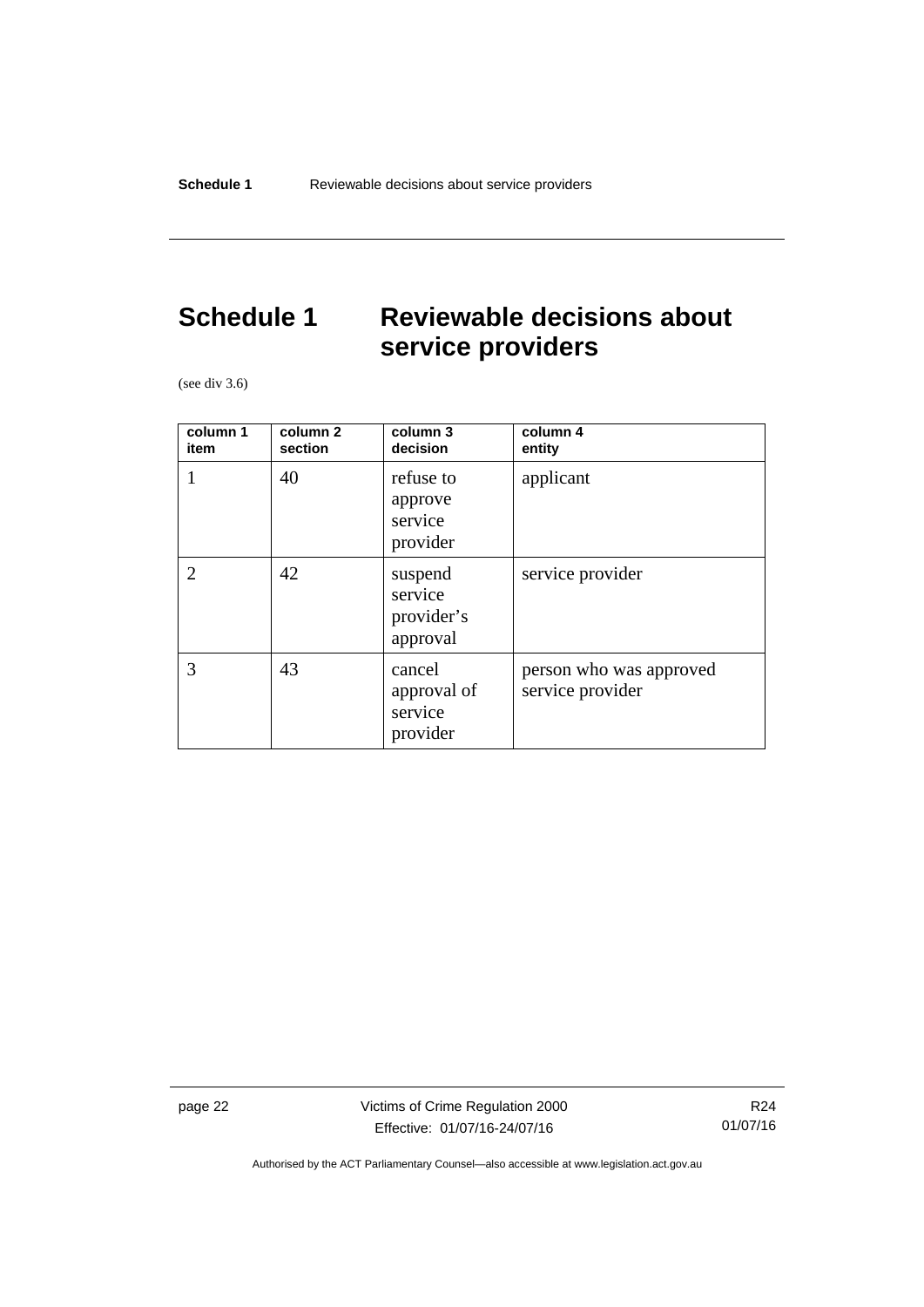## <span id="page-27-0"></span>**Schedule 1 Reviewable decisions about service providers**

(see div 3.6)

| column 1<br>item            | column <sub>2</sub><br>section | column 3<br>decision                         | column 4<br>entity                          |
|-----------------------------|--------------------------------|----------------------------------------------|---------------------------------------------|
| 1                           | 40                             | refuse to<br>approve<br>service<br>provider  | applicant                                   |
| $\mathcal{D}_{\mathcal{L}}$ | 42                             | suspend<br>service<br>provider's<br>approval | service provider                            |
| 3                           | 43                             | cancel<br>approval of<br>service<br>provider | person who was approved<br>service provider |

page 22 Victims of Crime Regulation 2000 Effective: 01/07/16-24/07/16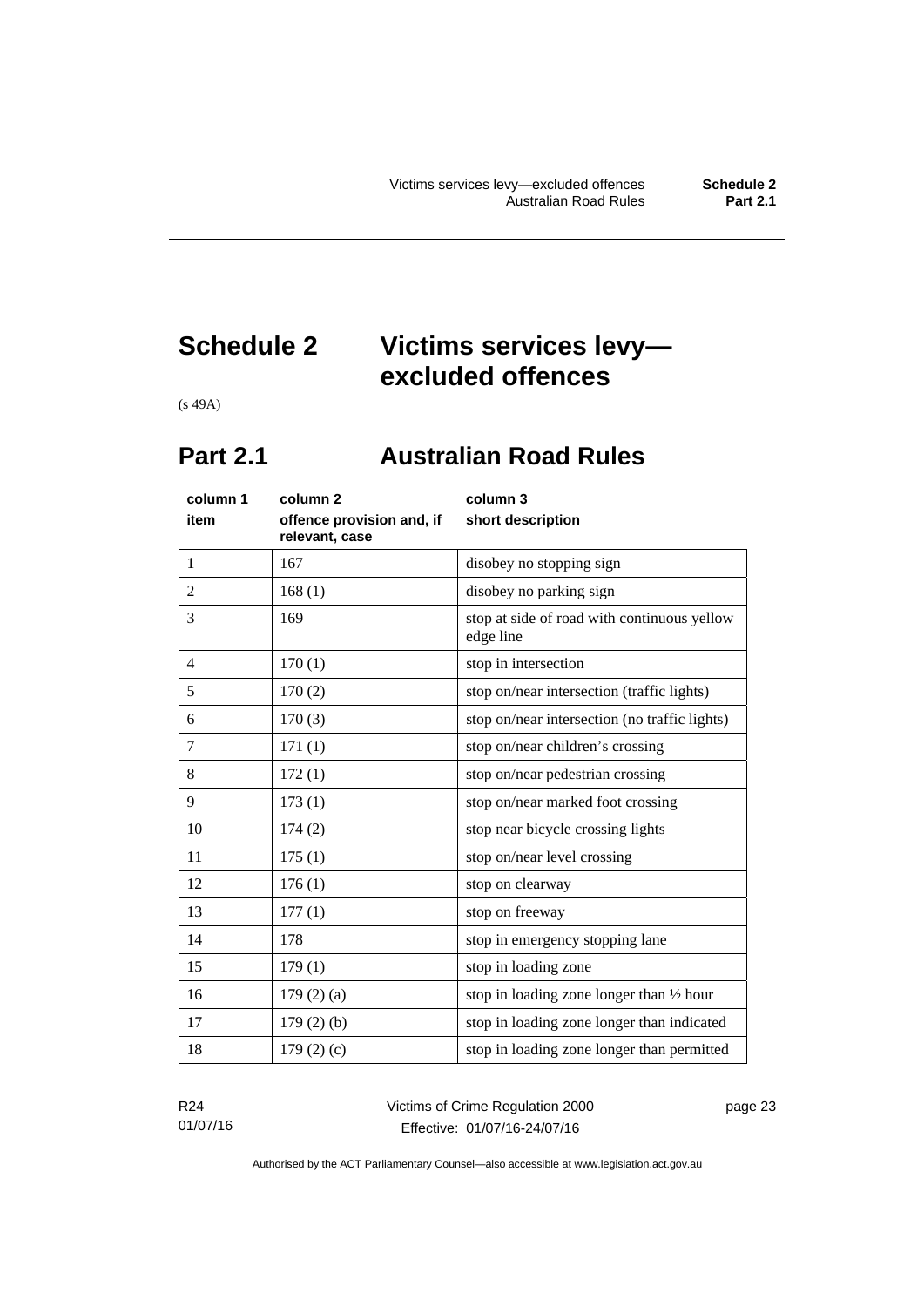## <span id="page-28-0"></span>**Schedule 2 Victims services levy excluded offences**

(s 49A)

## <span id="page-28-1"></span>**Part 2.1 Australian Road Rules**

| column 1<br>item | column <sub>2</sub><br>offence provision and, if<br>relevant, case | column 3<br>short description                            |
|------------------|--------------------------------------------------------------------|----------------------------------------------------------|
| 1                | 167                                                                | disobey no stopping sign                                 |
| $\overline{c}$   | 168(1)                                                             | disobey no parking sign                                  |
| 3                | 169                                                                | stop at side of road with continuous yellow<br>edge line |
| $\overline{4}$   | 170(1)                                                             | stop in intersection                                     |
| 5                | 170(2)                                                             | stop on/near intersection (traffic lights)               |
| 6                | 170(3)                                                             | stop on/near intersection (no traffic lights)            |
| 7                | 171(1)                                                             | stop on/near children's crossing                         |
| 8                | 172(1)                                                             | stop on/near pedestrian crossing                         |
| 9                | 173(1)                                                             | stop on/near marked foot crossing                        |
| 10               | 174(2)                                                             | stop near bicycle crossing lights                        |
| 11               | 175(1)                                                             | stop on/near level crossing                              |
| 12               | 176(1)                                                             | stop on clearway                                         |
| 13               | 177(1)                                                             | stop on freeway                                          |
| 14               | 178                                                                | stop in emergency stopping lane                          |
| 15               | 179(1)                                                             | stop in loading zone                                     |
| 16               | $179(2)$ (a)                                                       | stop in loading zone longer than $\frac{1}{2}$ hour      |
| 17               | $179(2)$ (b)                                                       | stop in loading zone longer than indicated               |
| 18               | 179(2)(c)                                                          | stop in loading zone longer than permitted               |

R24 01/07/16 Victims of Crime Regulation 2000 Effective: 01/07/16-24/07/16

page 23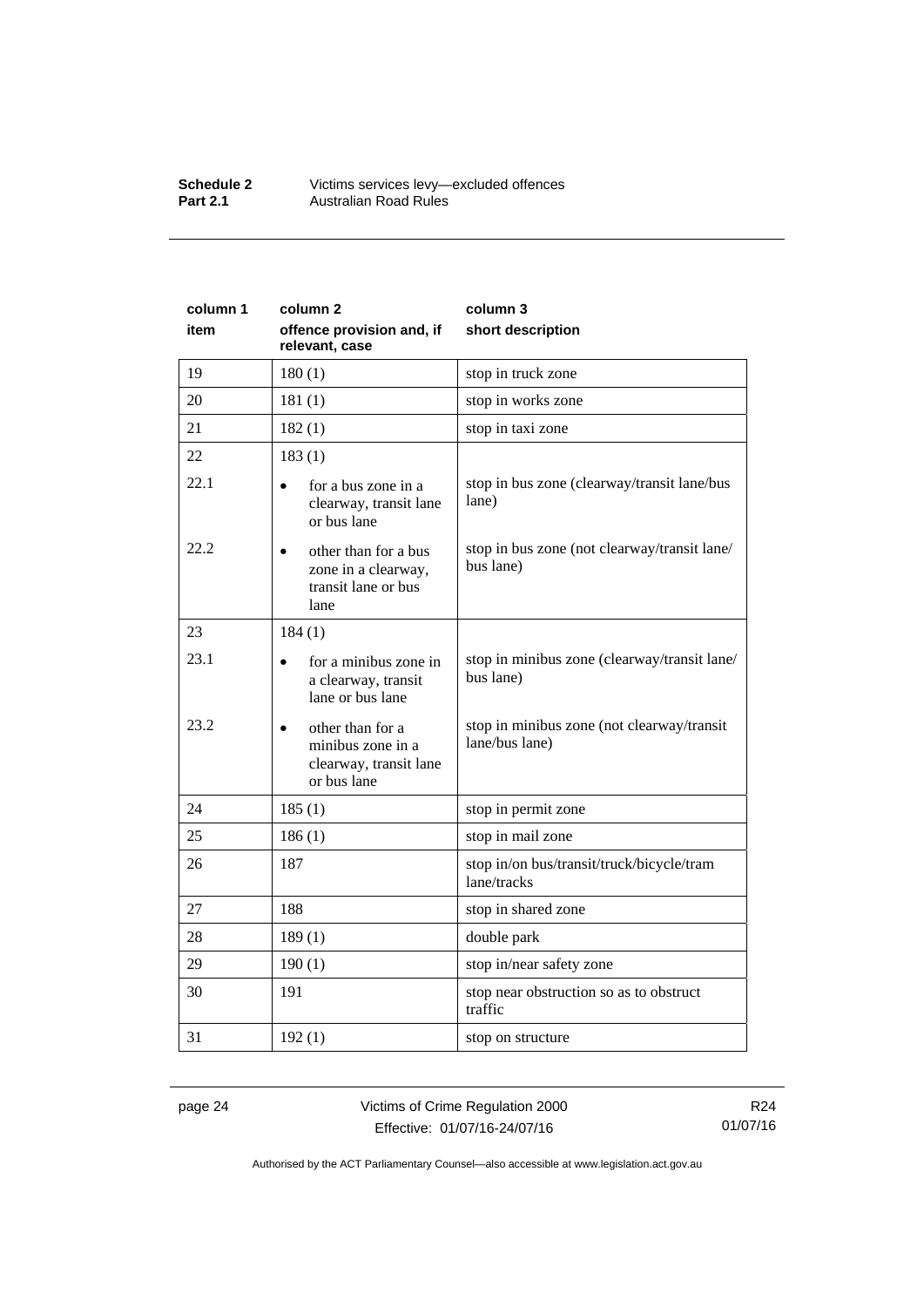### **Schedule 2** Victims services levy—excluded offences **Part 2.1 Australian Road Rules**

| column 1 | column <sub>2</sub>                                                                     | column 3                                                     |
|----------|-----------------------------------------------------------------------------------------|--------------------------------------------------------------|
| item     | offence provision and, if<br>relevant, case                                             | short description                                            |
| 19       | 180(1)                                                                                  | stop in truck zone                                           |
| 20       | 181(1)                                                                                  | stop in works zone                                           |
| 21       | 182(1)                                                                                  | stop in taxi zone                                            |
| 22       | 183(1)                                                                                  |                                                              |
| 22.1     | for a bus zone in a<br>clearway, transit lane<br>or bus lane                            | stop in bus zone (clearway/transit lane/bus<br>lane)         |
| 22.2     | other than for a bus<br>$\bullet$<br>zone in a clearway,<br>transit lane or bus<br>lane | stop in bus zone (not clearway/transit lane/<br>bus lane)    |
| 23       | 184(1)                                                                                  |                                                              |
| 23.1     | for a minibus zone in<br>a clearway, transit<br>lane or bus lane                        | stop in minibus zone (clearway/transit lane/<br>bus lane)    |
| 23.2     | other than for a<br>minibus zone in a<br>clearway, transit lane<br>or bus lane          | stop in minibus zone (not clearway/transit<br>lane/bus lane) |
| 24       | 185(1)                                                                                  | stop in permit zone                                          |
| 25       | 186(1)                                                                                  | stop in mail zone                                            |
| 26       | 187                                                                                     | stop in/on bus/transit/truck/bicycle/tram<br>lane/tracks     |
| 27       | 188                                                                                     | stop in shared zone                                          |
| 28       | 189(1)                                                                                  | double park                                                  |
| 29       | 190(1)                                                                                  | stop in/near safety zone                                     |
| 30       | 191                                                                                     | stop near obstruction so as to obstruct<br>traffic           |
| 31       | 192(1)                                                                                  | stop on structure                                            |

page 24 Victims of Crime Regulation 2000 Effective: 01/07/16-24/07/16

R24 01/07/16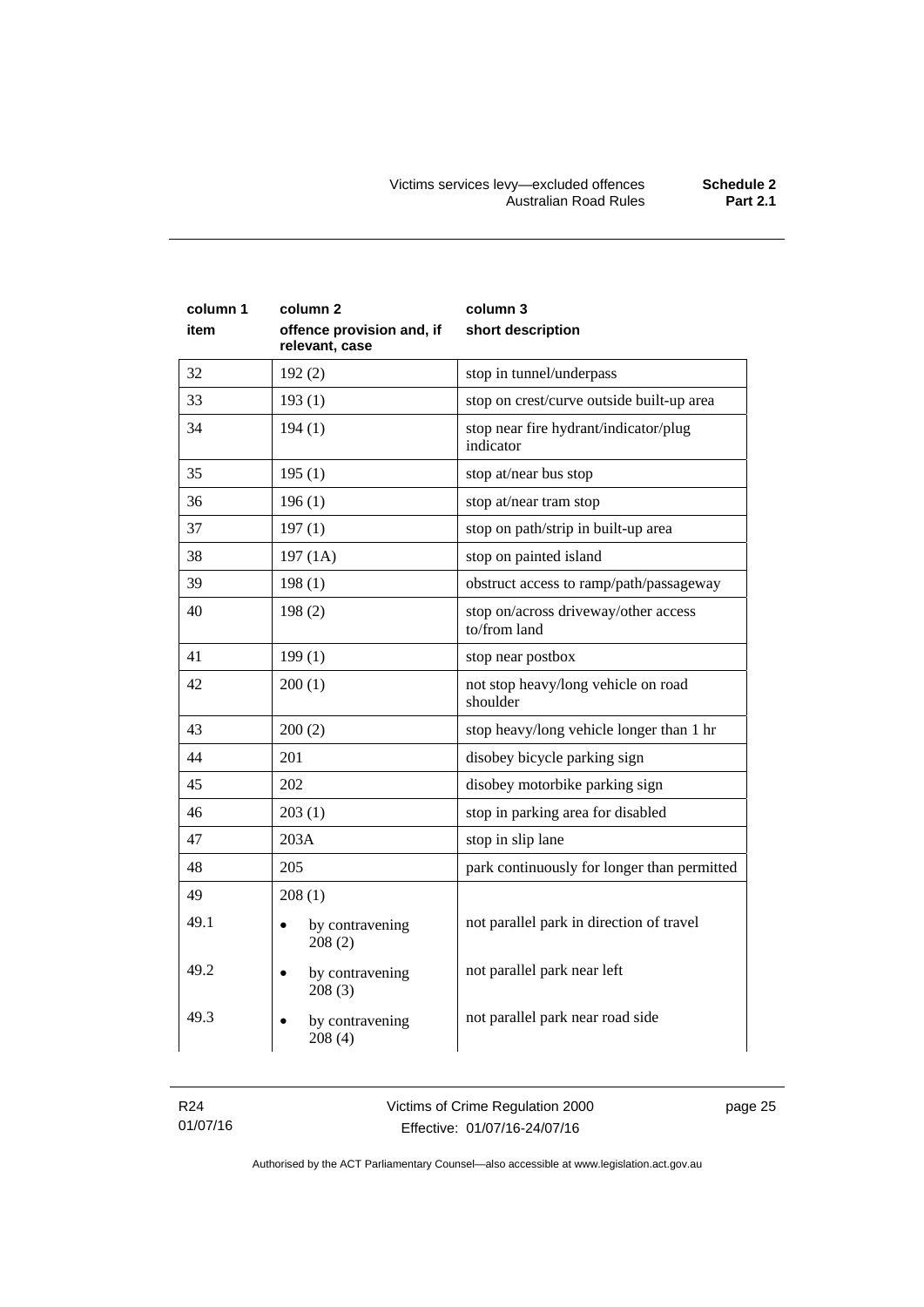| column 1<br>item | column 2<br>offence provision and, if<br>relevant, case | column 3<br>short description                        |
|------------------|---------------------------------------------------------|------------------------------------------------------|
| 32               | 192(2)                                                  | stop in tunnel/underpass                             |
| 33               | 193(1)                                                  | stop on crest/curve outside built-up area            |
| 34               | 194(1)                                                  | stop near fire hydrant/indicator/plug<br>indicator   |
| 35               | 195(1)                                                  | stop at/near bus stop                                |
| 36               | 196(1)                                                  | stop at/near tram stop                               |
| 37               | 197(1)                                                  | stop on path/strip in built-up area                  |
| 38               | 197(1A)                                                 | stop on painted island                               |
| 39               | 198(1)                                                  | obstruct access to ramp/path/passageway              |
| 40               | 198(2)                                                  | stop on/across driveway/other access<br>to/from land |
| 41               | 199(1)                                                  | stop near postbox                                    |
| 42               | 200(1)                                                  | not stop heavy/long vehicle on road<br>shoulder      |
| 43               | 200(2)                                                  | stop heavy/long vehicle longer than 1 hr             |
| 44               | 201                                                     | disobey bicycle parking sign                         |
| 45               | 202                                                     | disobey motorbike parking sign                       |
| 46               | 203(1)                                                  | stop in parking area for disabled                    |
| 47               | 203A                                                    | stop in slip lane                                    |
| 48               | 205                                                     | park continuously for longer than permitted          |
| 49               | 208(1)                                                  |                                                      |
| 49.1             | by contravening<br>208(2)                               | not parallel park in direction of travel             |
| 49.2             | by contravening<br>208(3)                               | not parallel park near left                          |
| 49.3             | by contravening<br>208(4)                               | not parallel park near road side                     |

R24 01/07/16 Victims of Crime Regulation 2000 Effective: 01/07/16-24/07/16

page 25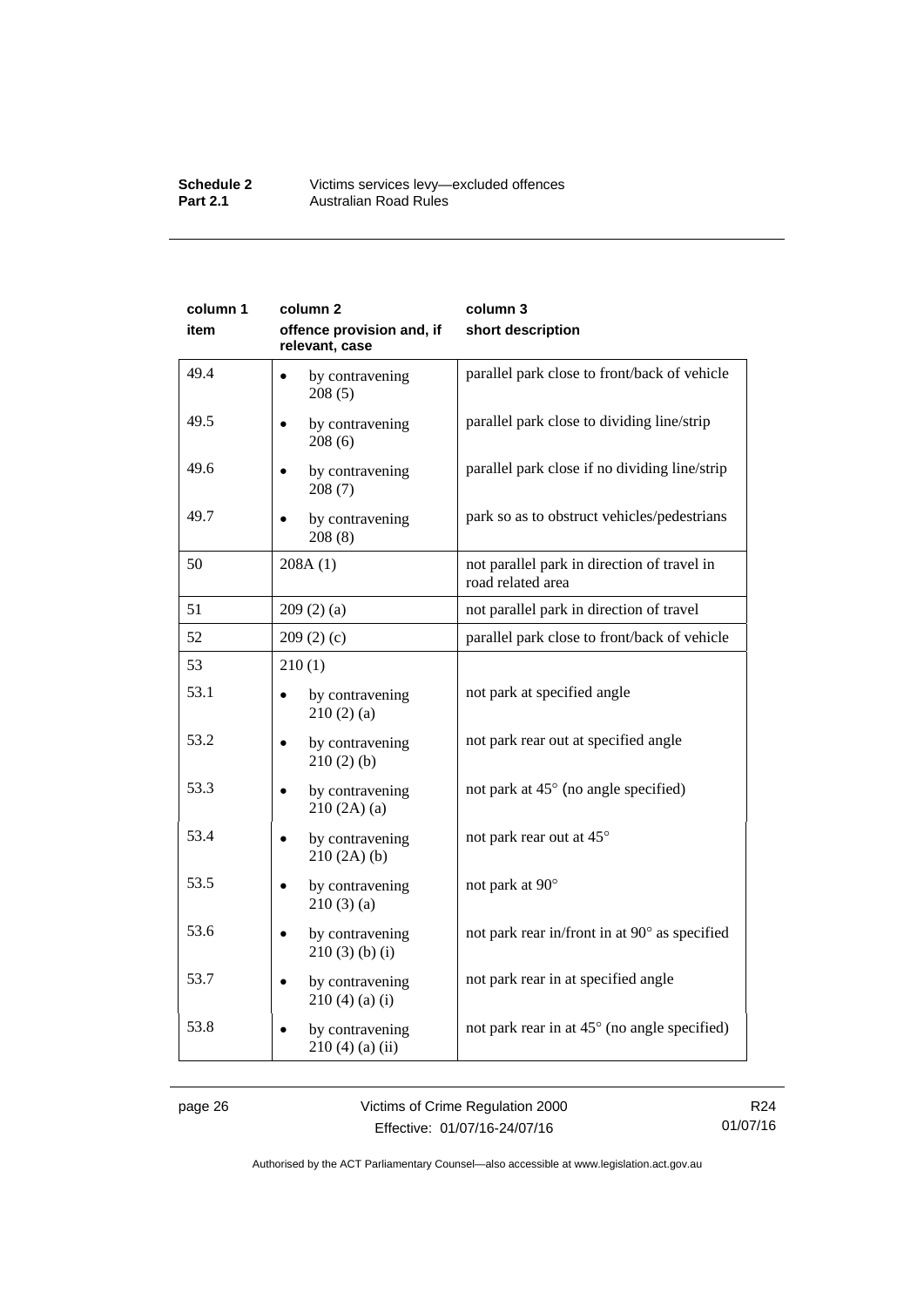### **Schedule 2** Victims services levy—excluded offences **Part 2.1 Australian Road Rules**

| column 1 | column <sub>2</sub>                         | column 3                                                         |
|----------|---------------------------------------------|------------------------------------------------------------------|
| item     | offence provision and, if<br>relevant, case | short description                                                |
| 49.4     | by contravening<br>$\bullet$<br>208(5)      | parallel park close to front/back of vehicle                     |
| 49.5     | by contravening<br>208(6)                   | parallel park close to dividing line/strip                       |
| 49.6     | by contravening<br>208(7)                   | parallel park close if no dividing line/strip                    |
| 49.7     | by contravening<br>208(8)                   | park so as to obstruct vehicles/pedestrians                      |
| 50       | 208A(1)                                     | not parallel park in direction of travel in<br>road related area |
| 51       | 209(2)(a)                                   | not parallel park in direction of travel                         |
| 52       | 209(2)(c)                                   | parallel park close to front/back of vehicle                     |
| 53       | 210(1)                                      |                                                                  |
| 53.1     | by contravening<br>210(2)(a)                | not park at specified angle                                      |
| 53.2     | by contravening<br>210(2)(b)                | not park rear out at specified angle                             |
| 53.3     | by contravening<br>210(2A)(a)               | not park at 45° (no angle specified)                             |
| 53.4     | by contravening<br>210(2A)(b)               | not park rear out at 45°                                         |
| 53.5     | by contravening<br>210(3)(a)                | not park at 90°                                                  |
| 53.6     | by contravening<br>$210(3)$ (b) (i)         | not park rear in/front in at 90° as specified                    |
| 53.7     | by contravening<br>210(4)(a)(i)             | not park rear in at specified angle                              |
| 53.8     | by contravening<br>$210(4)$ (a) (ii)        | not park rear in at 45° (no angle specified)                     |

page 26 Victims of Crime Regulation 2000 Effective: 01/07/16-24/07/16

R24 01/07/16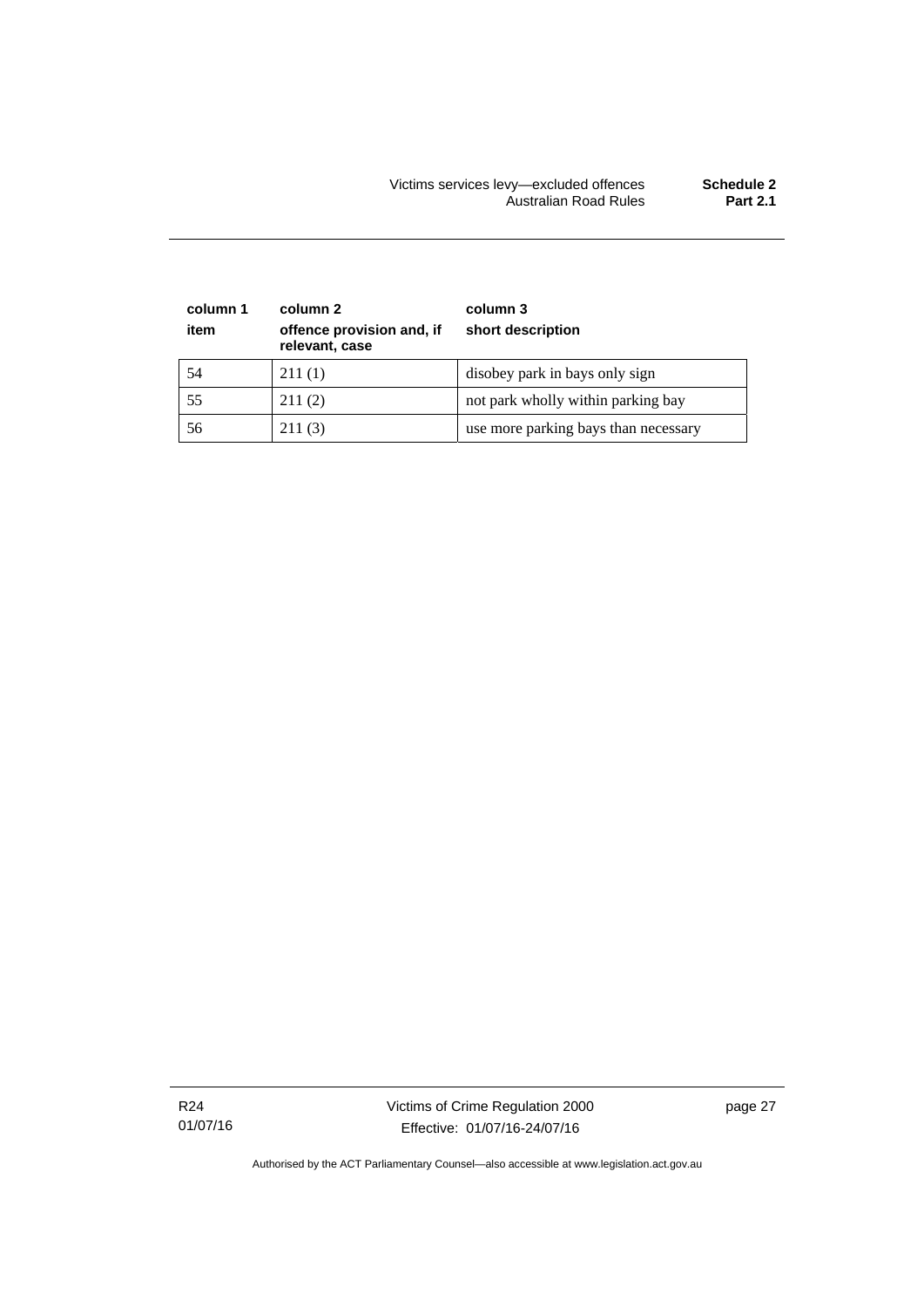| column 1<br>item | column 2<br>offence provision and, if<br>relevant, case | column 3<br>short description        |
|------------------|---------------------------------------------------------|--------------------------------------|
| 54               | 211(1)                                                  | disobey park in bays only sign       |
| 55               | 211(2)                                                  | not park wholly within parking bay   |
| 56               | 211(3)                                                  | use more parking bays than necessary |

R24 01/07/16 Victims of Crime Regulation 2000 Effective: 01/07/16-24/07/16

page 27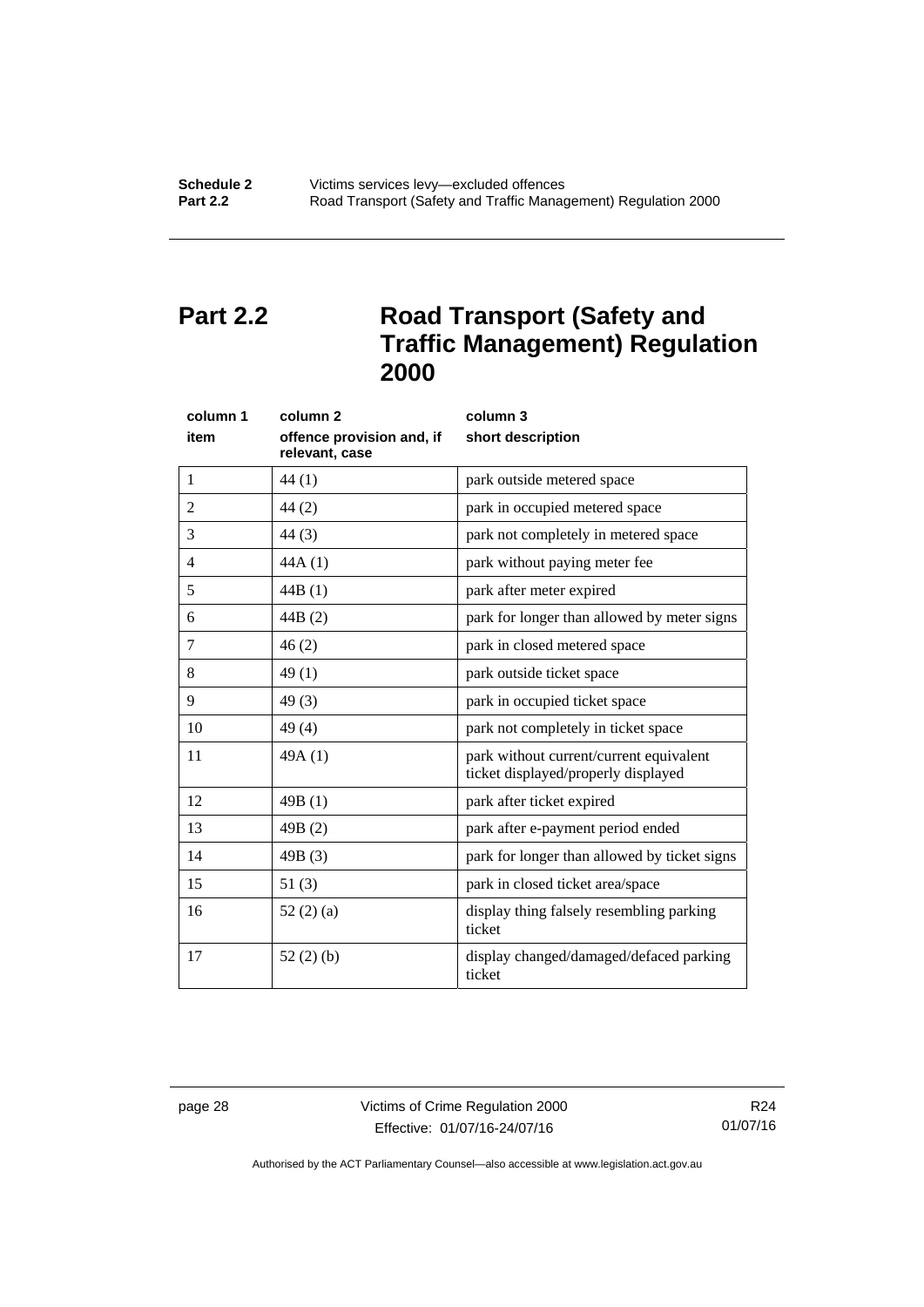## <span id="page-33-0"></span>**Part 2.2 Road Transport (Safety and Traffic Management) Regulation 2000**

| column 1       | column <sub>2</sub>                         | column 3                                                                       |
|----------------|---------------------------------------------|--------------------------------------------------------------------------------|
| item           | offence provision and, if<br>relevant, case | short description                                                              |
| 1              | 44(1)                                       | park outside metered space                                                     |
| $\overline{2}$ | 44(2)                                       | park in occupied metered space                                                 |
| 3              | 44 (3)                                      | park not completely in metered space                                           |
| 4              | 44A(1)                                      | park without paying meter fee                                                  |
| 5              | 44B(1)                                      | park after meter expired                                                       |
| 6              | 44B (2)                                     | park for longer than allowed by meter signs                                    |
| $\tau$         | 46(2)                                       | park in closed metered space                                                   |
| 8              | 49(1)                                       | park outside ticket space                                                      |
| 9              | 49(3)                                       | park in occupied ticket space                                                  |
| 10             | 49 (4)                                      | park not completely in ticket space                                            |
| 11             | 49A (1)                                     | park without current/current equivalent<br>ticket displayed/properly displayed |
| 12             | 49B(1)                                      | park after ticket expired                                                      |
| 13             | 49B(2)                                      | park after e-payment period ended                                              |
| 14             | 49B (3)                                     | park for longer than allowed by ticket signs                                   |
| 15             | 51(3)                                       | park in closed ticket area/space                                               |
| 16             | 52(2)(a)                                    | display thing falsely resembling parking<br>ticket                             |
| 17             | 52 $(2)$ $(b)$                              | display changed/damaged/defaced parking<br>ticket                              |

page 28 Victims of Crime Regulation 2000 Effective: 01/07/16-24/07/16

R24 01/07/16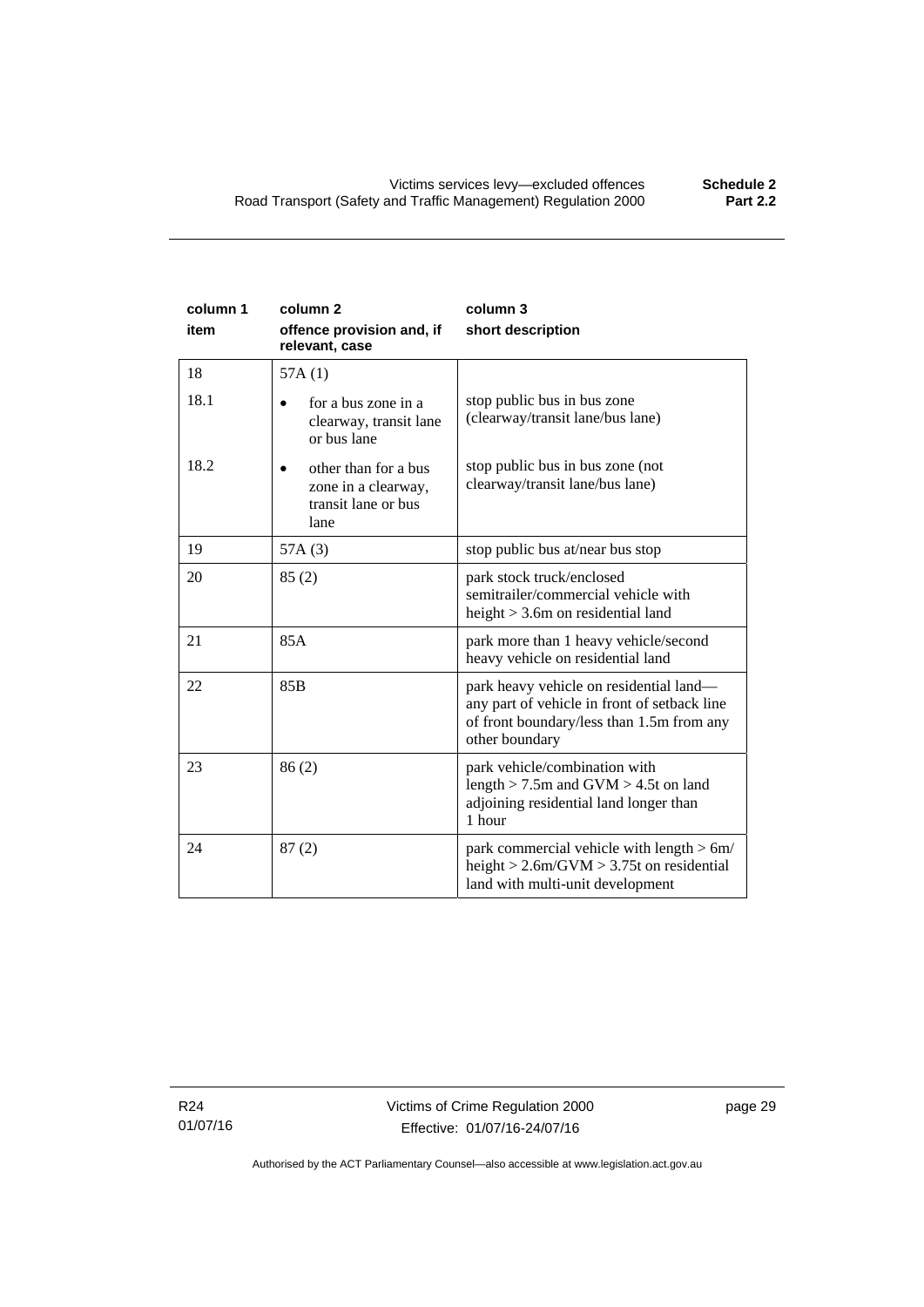| column 1<br>item | column <sub>2</sub><br>offence provision and, if<br>relevant, case                      | column 3<br>short description                                                                                                                          |
|------------------|-----------------------------------------------------------------------------------------|--------------------------------------------------------------------------------------------------------------------------------------------------------|
| 18               | 57A(1)                                                                                  |                                                                                                                                                        |
| 18.1             | for a bus zone in a<br>clearway, transit lane<br>or bus lane                            | stop public bus in bus zone<br>(clearway/transit lane/bus lane)                                                                                        |
| 18.2             | other than for a bus<br>$\bullet$<br>zone in a clearway,<br>transit lane or bus<br>lane | stop public bus in bus zone (not<br>clearway/transit lane/bus lane)                                                                                    |
| 19               | 57A(3)                                                                                  | stop public bus at/near bus stop                                                                                                                       |
| 20               | 85(2)                                                                                   | park stock truck/enclosed<br>semitrailer/commercial vehicle with<br>height $>$ 3.6m on residential land                                                |
| 21               | 85A                                                                                     | park more than 1 heavy vehicle/second<br>heavy vehicle on residential land                                                                             |
| 22               | 85B                                                                                     | park heavy vehicle on residential land—<br>any part of vehicle in front of setback line<br>of front boundary/less than 1.5m from any<br>other boundary |
| 23               | 86(2)                                                                                   | park vehicle/combination with<br>length $>$ 7.5m and GVM $>$ 4.5t on land<br>adjoining residential land longer than<br>1 hour                          |
| 24               | 87(2)                                                                                   | park commercial vehicle with length $> 6m/$<br>height $> 2.6$ m/GVM $> 3.75$ t on residential<br>land with multi-unit development                      |

R24 01/07/16 page 29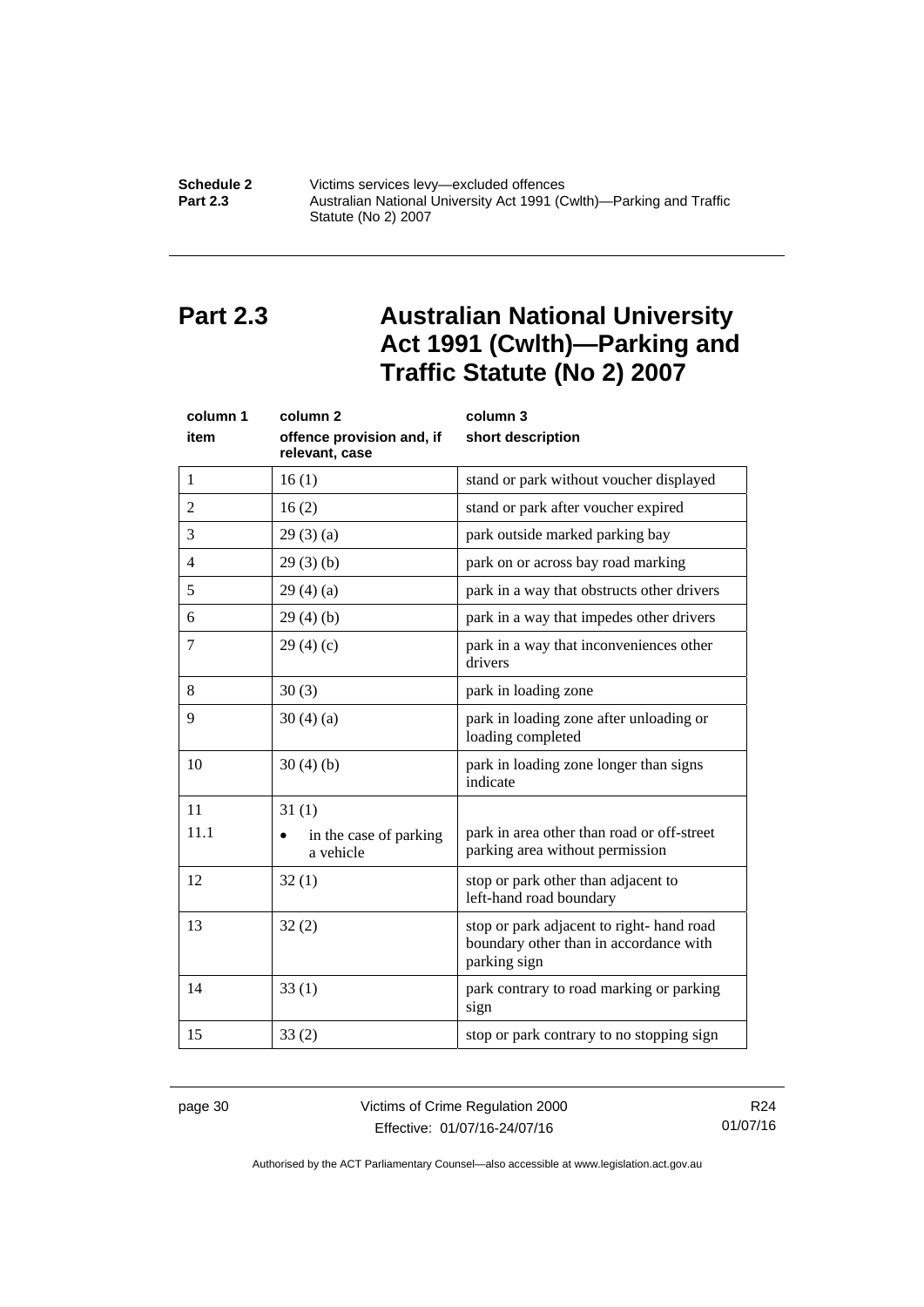### **Schedule 2 Victims services levy—excluded offences**<br>**Part 2.3 Australian National University Act 1991 (C Part 2.3** Australian National University Act 1991 (Cwlth)—Parking and Traffic Statute (No 2) 2007

## <span id="page-35-0"></span>**Part 2.3 Australian National University Act 1991 (Cwlth)—Parking and Traffic Statute (No 2) 2007**

| column 1       | column <sub>2</sub>                         | column 3                                                                                           |
|----------------|---------------------------------------------|----------------------------------------------------------------------------------------------------|
| item           | offence provision and, if<br>relevant, case | short description                                                                                  |
| 1              | 16(1)                                       | stand or park without voucher displayed                                                            |
| $\overline{2}$ | 16(2)                                       | stand or park after voucher expired                                                                |
| 3              | 29(3)(a)                                    | park outside marked parking bay                                                                    |
| $\overline{4}$ | 29(3)(b)                                    | park on or across bay road marking                                                                 |
| 5              | 29(4)(a)                                    | park in a way that obstructs other drivers                                                         |
| 6              | 29(4)(b)                                    | park in a way that impedes other drivers                                                           |
| 7              | 29(4)(c)                                    | park in a way that inconveniences other<br>drivers                                                 |
| 8              | 30(3)                                       | park in loading zone                                                                               |
| 9              | 30(4)(a)                                    | park in loading zone after unloading or<br>loading completed                                       |
| 10             | 30(4)(b)                                    | park in loading zone longer than signs<br>indicate                                                 |
| 11             | 31(1)                                       |                                                                                                    |
| 11.1           | in the case of parking<br>a vehicle         | park in area other than road or off-street<br>parking area without permission                      |
| 12             | 32(1)                                       | stop or park other than adjacent to<br>left-hand road boundary                                     |
| 13             | 32(2)                                       | stop or park adjacent to right-hand road<br>boundary other than in accordance with<br>parking sign |
| 14             | 33(1)                                       | park contrary to road marking or parking<br>sign                                                   |
| 15             | 33(2)                                       | stop or park contrary to no stopping sign                                                          |

page 30 Victims of Crime Regulation 2000 Effective: 01/07/16-24/07/16

R24 01/07/16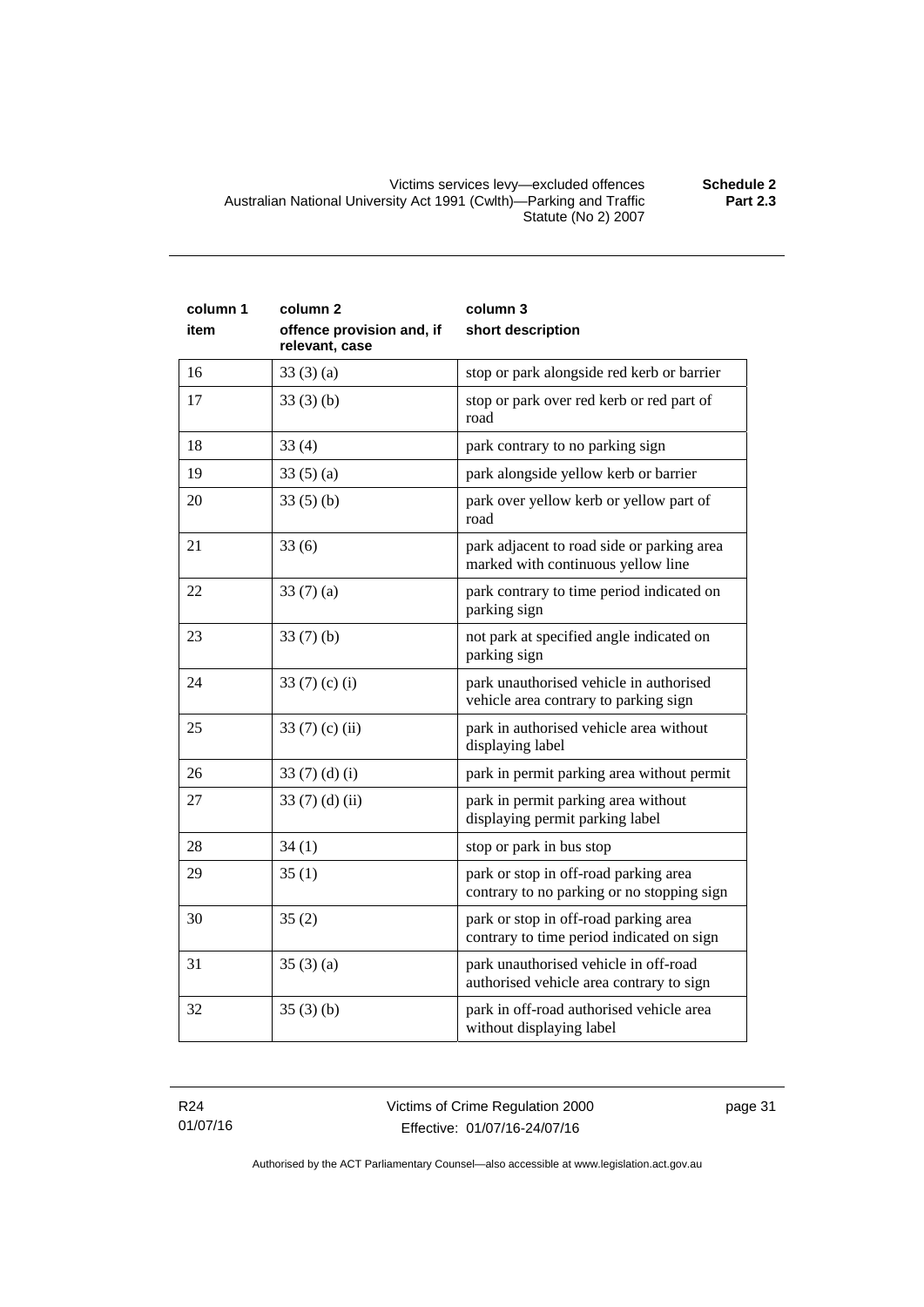| column 1<br>item | column <sub>2</sub><br>offence provision and, if<br>relevant, case | column 3<br>short description                                                       |
|------------------|--------------------------------------------------------------------|-------------------------------------------------------------------------------------|
| 16               | 33(3)(a)                                                           | stop or park alongside red kerb or barrier                                          |
| 17               | 33(3)(b)                                                           | stop or park over red kerb or red part of<br>road                                   |
| 18               | 33(4)                                                              | park contrary to no parking sign                                                    |
| 19               | 33(5)(a)                                                           | park alongside yellow kerb or barrier                                               |
| 20               | 33(5)(b)                                                           | park over yellow kerb or yellow part of<br>road                                     |
| 21               | 33(6)                                                              | park adjacent to road side or parking area<br>marked with continuous yellow line    |
| 22               | 33(7)(a)                                                           | park contrary to time period indicated on<br>parking sign                           |
| 23               | 33(7)(b)                                                           | not park at specified angle indicated on<br>parking sign                            |
| 24               | 33 $(7)(c)(i)$                                                     | park unauthorised vehicle in authorised<br>vehicle area contrary to parking sign    |
| 25               | 33 $(7)$ (c) (ii)                                                  | park in authorised vehicle area without<br>displaying label                         |
| 26               | 33 $(7)(d)(i)$                                                     | park in permit parking area without permit                                          |
| 27               | 33 $(7)$ $(d)$ $(ii)$                                              | park in permit parking area without<br>displaying permit parking label              |
| 28               | 34(1)                                                              | stop or park in bus stop                                                            |
| 29               | 35(1)                                                              | park or stop in off-road parking area<br>contrary to no parking or no stopping sign |
| 30               | 35(2)                                                              | park or stop in off-road parking area<br>contrary to time period indicated on sign  |
| 31               | 35(3)(a)                                                           | park unauthorised vehicle in off-road<br>authorised vehicle area contrary to sign   |
| 32               | 35(3)(b)                                                           | park in off-road authorised vehicle area<br>without displaying label                |

R24 01/07/16 Victims of Crime Regulation 2000 Effective: 01/07/16-24/07/16

page 31

Authorised by the ACT Parliamentary Counsel—also accessible at www.legislation.act.gov.au

**Part 2.3**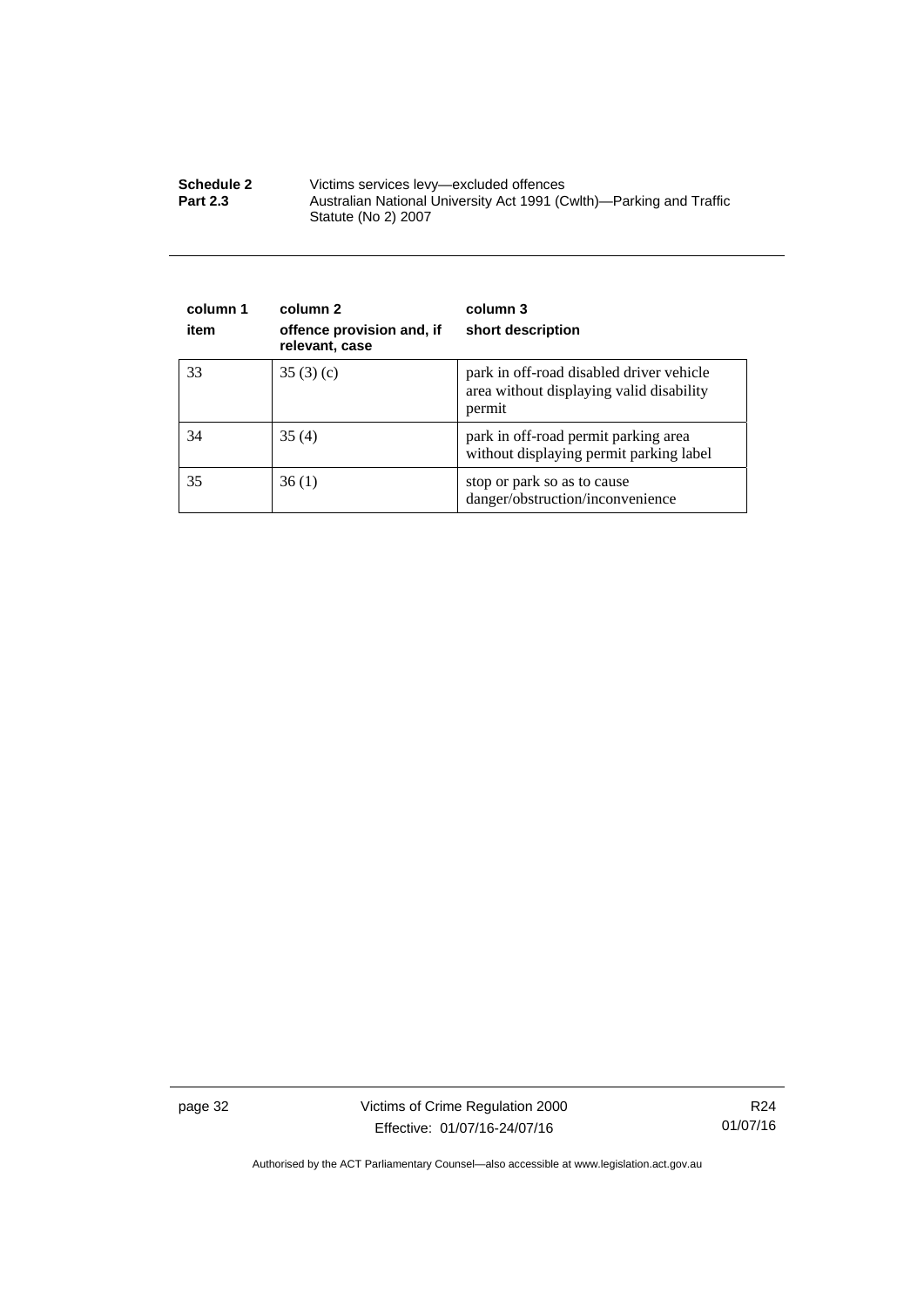| <b>Schedule 2</b> | Victims services levy-excluded offences                                                    |
|-------------------|--------------------------------------------------------------------------------------------|
| <b>Part 2.3</b>   | Australian National University Act 1991 (Cwlth)—Parking and Traffic<br>Statute (No 2) 2007 |

| column 1<br>item | column 2<br>offence provision and, if<br>relevant, case | column 3<br>short description                                                                  |
|------------------|---------------------------------------------------------|------------------------------------------------------------------------------------------------|
| 33               | 35(3)(c)                                                | park in off-road disabled driver vehicle<br>area without displaying valid disability<br>permit |
| 34               | 35(4)                                                   | park in off-road permit parking area<br>without displaying permit parking label                |
| 35               | 36(1)                                                   | stop or park so as to cause<br>danger/obstruction/inconvenience                                |

page 32 Victims of Crime Regulation 2000 Effective: 01/07/16-24/07/16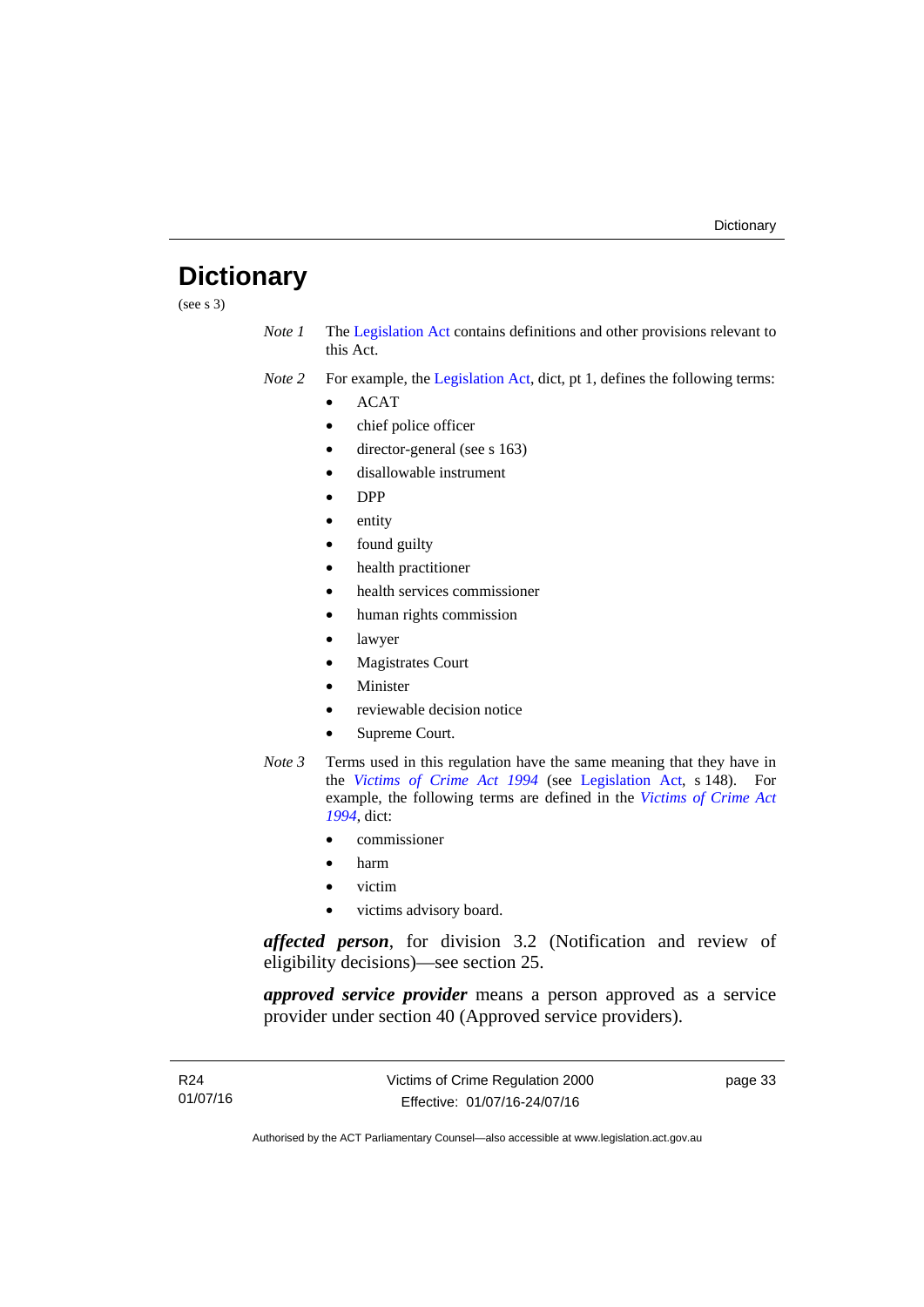## <span id="page-38-0"></span>**Dictionary**

(see s 3)

*Note 1* The [Legislation Act](http://www.legislation.act.gov.au/a/2001-14) contains definitions and other provisions relevant to this Act.

*Note 2* For example, the [Legislation Act,](http://www.legislation.act.gov.au/a/2001-14) dict, pt 1, defines the following terms:

- ACAT
- chief police officer
- director-general (see s 163)
- disallowable instrument
- DPP
- entity
- found guilty
- health practitioner
- health services commissioner
- human rights commission
- lawyer
- Magistrates Court
- **Minister**
- reviewable decision notice
- Supreme Court.
- *Note 3* Terms used in this regulation have the same meaning that they have in the *[Victims of Crime Act 1994](http://www.legislation.act.gov.au/a/1994-83)* (see [Legislation Act,](http://www.legislation.act.gov.au/a/2001-14) s 148). For example, the following terms are defined in the *[Victims of Crime Act](http://www.legislation.act.gov.au/a/1994-83)  [1994](http://www.legislation.act.gov.au/a/1994-83)*, dict:
	- commissioner
	- harm
	- victim
	- victims advisory board.

*affected person*, for division 3.2 (Notification and review of eligibility decisions)—see section 25.

*approved service provider* means a person approved as a service provider under section 40 (Approved service providers).

page 33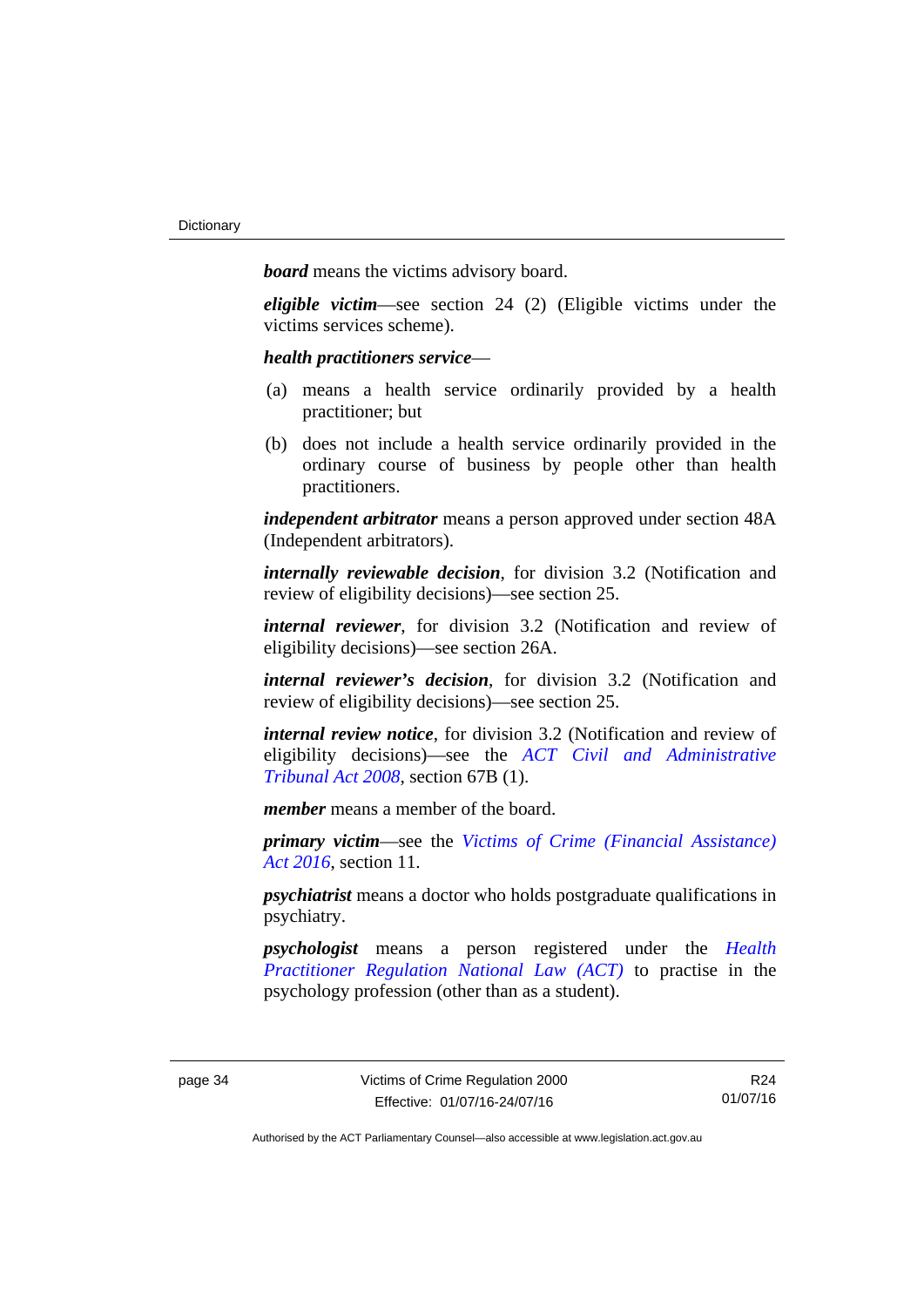*board* means the victims advisory board.

*eligible victim*—see section 24 (2) (Eligible victims under the victims services scheme).

*health practitioners service*—

- (a) means a health service ordinarily provided by a health practitioner; but
- (b) does not include a health service ordinarily provided in the ordinary course of business by people other than health practitioners.

*independent arbitrator* means a person approved under section 48A (Independent arbitrators).

*internally reviewable decision*, for division 3.2 (Notification and review of eligibility decisions)—see section 25.

*internal reviewer*, for division 3.2 (Notification and review of eligibility decisions)—see section 26A.

*internal reviewer's decision*, for division 3.2 (Notification and review of eligibility decisions)—see section 25.

*internal review notice*, for division 3.2 (Notification and review of eligibility decisions)—see the *[ACT Civil and Administrative](http://www.legislation.act.gov.au/a/2008-35)  [Tribunal Act 2008](http://www.legislation.act.gov.au/a/2008-35)*, section 67B (1).

*member* means a member of the board.

*primary victim*—see the *[Victims of Crime \(Financial Assistance\)](http://www.legislation.act.gov.au/a/2016-12/default.asp)  [Act 2016](http://www.legislation.act.gov.au/a/2016-12/default.asp)*, section 11.

*psychiatrist* means a doctor who holds postgraduate qualifications in psychiatry.

*psychologist* means a person registered under the *[Health](http://www.legislation.act.gov.au/a/db_39269/default.asp)  [Practitioner Regulation National Law \(ACT\)](http://www.legislation.act.gov.au/a/db_39269/default.asp)* to practise in the psychology profession (other than as a student).

R24 01/07/16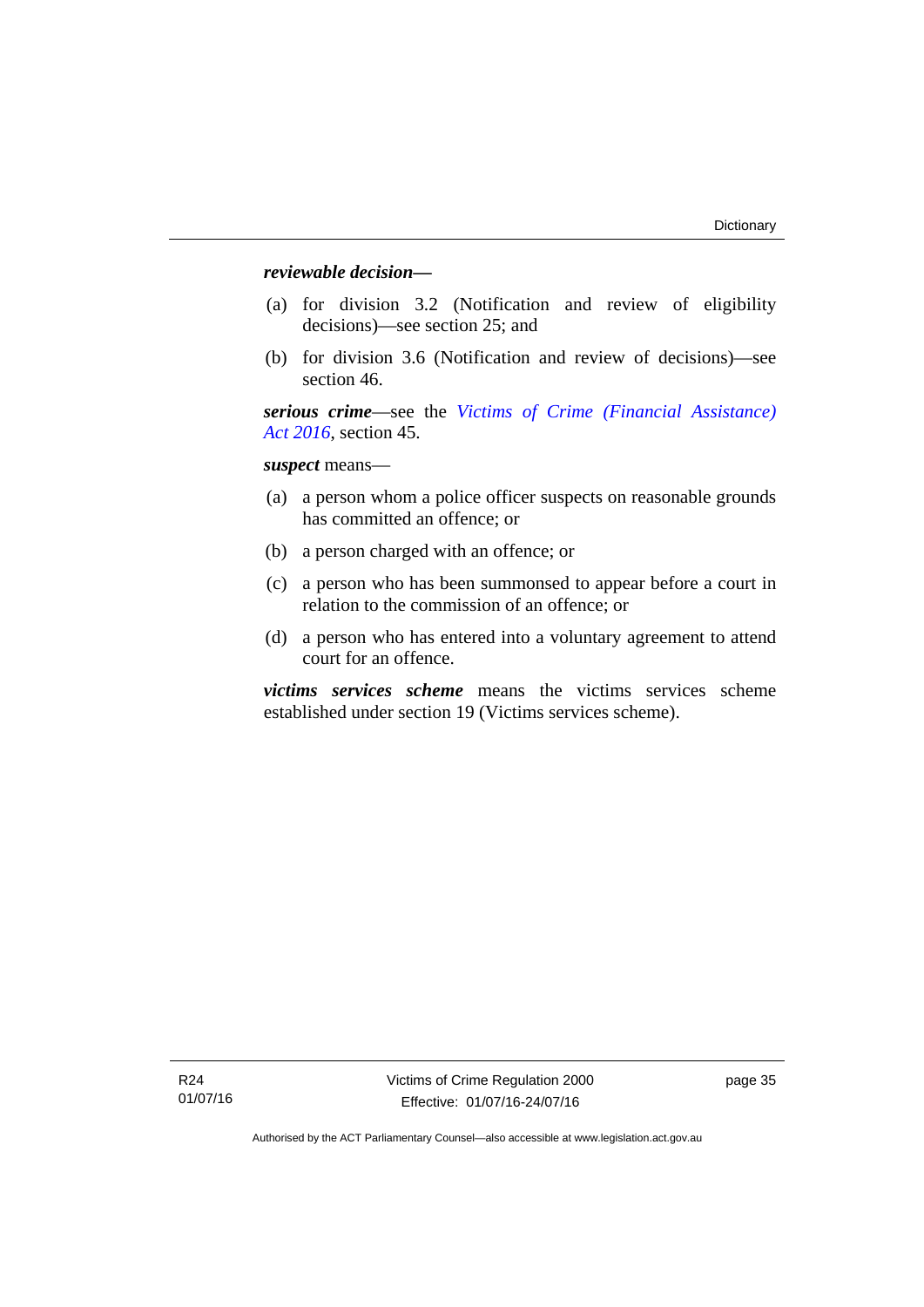### *reviewable decision—*

- (a) for division 3.2 (Notification and review of eligibility decisions)—see section 25; and
- (b) for division 3.6 (Notification and review of decisions)—see section 46.

*serious crime*—see the *[Victims of Crime \(Financial Assistance\)](http://www.legislation.act.gov.au/a/2016-12/default.asp)  [Act 2016](http://www.legislation.act.gov.au/a/2016-12/default.asp)*, section 45.

*suspect* means—

- (a) a person whom a police officer suspects on reasonable grounds has committed an offence; or
- (b) a person charged with an offence; or
- (c) a person who has been summonsed to appear before a court in relation to the commission of an offence; or
- (d) a person who has entered into a voluntary agreement to attend court for an offence.

*victims services scheme* means the victims services scheme established under section 19 (Victims services scheme).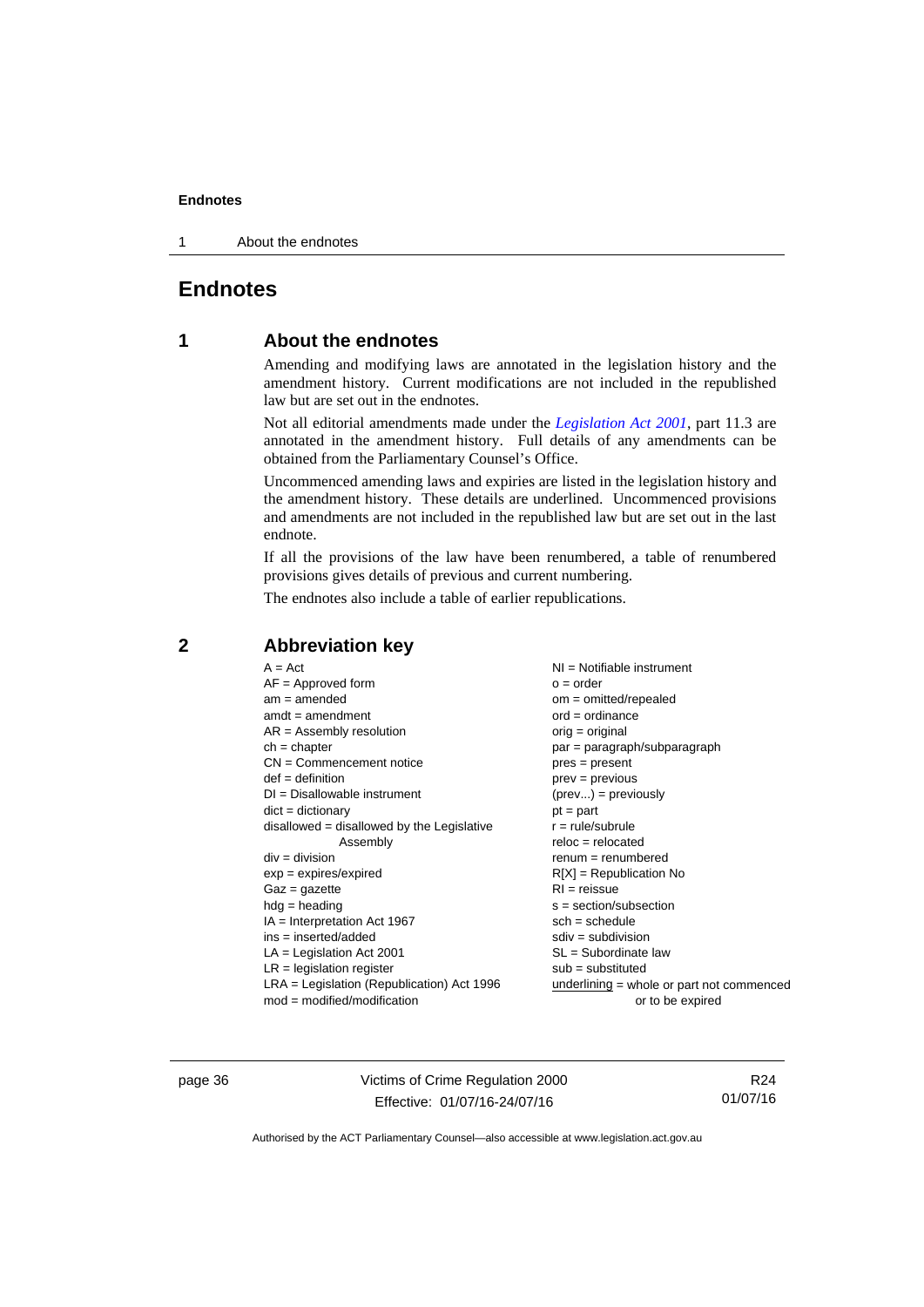1 About the endnotes

### <span id="page-41-0"></span>**Endnotes**

### **1 About the endnotes**

Amending and modifying laws are annotated in the legislation history and the amendment history. Current modifications are not included in the republished law but are set out in the endnotes.

Not all editorial amendments made under the *[Legislation Act 2001](http://www.legislation.act.gov.au/a/2001-14)*, part 11.3 are annotated in the amendment history. Full details of any amendments can be obtained from the Parliamentary Counsel's Office.

Uncommenced amending laws and expiries are listed in the legislation history and the amendment history. These details are underlined. Uncommenced provisions and amendments are not included in the republished law but are set out in the last endnote.

If all the provisions of the law have been renumbered, a table of renumbered provisions gives details of previous and current numbering.

The endnotes also include a table of earlier republications.

| $A = Act$                                    | $NI =$ Notifiable instrument              |
|----------------------------------------------|-------------------------------------------|
| $AF =$ Approved form                         | $o = order$                               |
| $am = amended$                               | om = omitted/repealed                     |
| $amdt = amendment$                           | $ord = ordinance$                         |
| $AR = Assembly$ resolution                   | $orig = original$                         |
| $ch = chapter$                               | par = paragraph/subparagraph              |
| $CN =$ Commencement notice                   | $pres = present$                          |
| $def = definition$                           | $prev = previous$                         |
| $DI = Disallowable instrument$               | $(\text{prev}) = \text{previously}$       |
| $dict = dictionary$                          | $pt = part$                               |
| $disallowed = disallowed by the Legislative$ | $r = rule/subrule$                        |
| Assembly                                     | $reloc = relocated$                       |
| $div =$ division                             | $renum = renumbered$                      |
| $exp = expires/expired$                      | $R[X]$ = Republication No                 |
| $Gaz = gazette$                              | $RI = reissue$                            |
| $hdg = heading$                              | s = section/subsection                    |
| $IA = Interpretation Act 1967$               | $sch = schedule$                          |
| $ins = inserted/added$                       | $sdiv = subdivision$                      |
| $LA =$ Legislation Act 2001                  | SL = Subordinate law                      |
| $LR =$ legislation register                  | $sub =$ substituted                       |
| $LRA =$ Legislation (Republication) Act 1996 | underlining = whole or part not commenced |
| $mod = modified/modification$                | or to be expired                          |

### <span id="page-41-2"></span>**2 Abbreviation key**

page 36 Victims of Crime Regulation 2000 Effective: 01/07/16-24/07/16

R24 01/07/16

<span id="page-41-1"></span>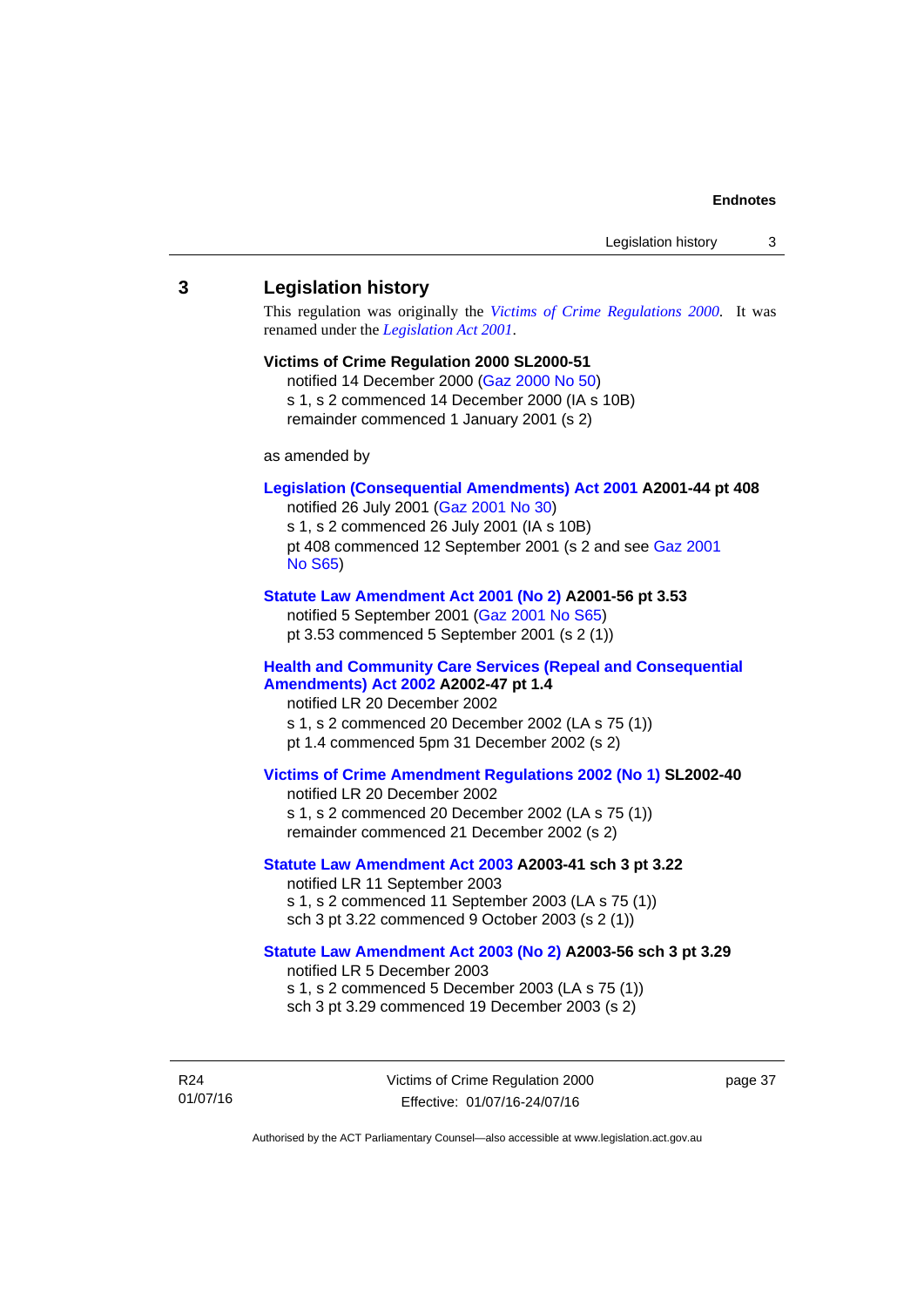### <span id="page-42-0"></span>**3 Legislation history**

This regulation was originally the *[Victims of Crime Regulations 2000](http://www.legislation.act.gov.au/sl/2000-51)*. It was renamed under the *[Legislation Act 2001](http://www.legislation.act.gov.au/a/2001-14)*.

### **Victims of Crime Regulation 2000 SL2000-51**

notified 14 December 2000 [\(Gaz 2000 No 50](http://www.legislation.act.gov.au/gaz/2000-50/default.asp)) s 1, s 2 commenced 14 December 2000 (IA s 10B) remainder commenced 1 January 2001 (s 2)

as amended by

### **[Legislation \(Consequential Amendments\) Act 2001](http://www.legislation.act.gov.au/a/2001-44) A2001-44 pt 408**

notified 26 July 2001 ([Gaz 2001 No 30\)](http://www.legislation.act.gov.au/gaz/2001-30/default.asp) s 1, s 2 commenced 26 July 2001 (IA s 10B) pt 408 commenced 12 September 2001 (s 2 and see [Gaz 2001](http://www.legislation.act.gov.au/gaz/2001-S65/default.asp)  [No S65](http://www.legislation.act.gov.au/gaz/2001-S65/default.asp))

### **[Statute Law Amendment Act 2001 \(No 2\)](http://www.legislation.act.gov.au/a/2001-56) A2001-56 pt 3.53**

notified 5 September 2001 [\(Gaz 2001 No S65\)](http://www.legislation.act.gov.au/gaz/2001-S65/default.asp) pt 3.53 commenced 5 September 2001 (s 2 (1))

### **[Health and Community Care Services \(Repeal and Consequential](http://www.legislation.act.gov.au/a/2002-47)  [Amendments\) Act 2002](http://www.legislation.act.gov.au/a/2002-47) A2002-47 pt 1.4**

notified LR 20 December 2002 s 1, s 2 commenced 20 December 2002 (LA s 75 (1)) pt 1.4 commenced 5pm 31 December 2002 (s 2)

### **[Victims of Crime Amendment Regulations 2002 \(No 1\)](http://www.legislation.act.gov.au/sl/2002-40) SL2002-40**

notified LR 20 December 2002 s 1, s 2 commenced 20 December 2002 (LA s 75 (1)) remainder commenced 21 December 2002 (s 2)

### **[Statute Law Amendment Act 2003](http://www.legislation.act.gov.au/a/2003-41) A2003-41 sch 3 pt 3.22**

notified LR 11 September 2003 s 1, s 2 commenced 11 September 2003 (LA s 75 (1)) sch 3 pt 3.22 commenced 9 October 2003 (s 2 (1))

### **[Statute Law Amendment Act 2003 \(No 2\)](http://www.legislation.act.gov.au/a/2003-56) A2003-56 sch 3 pt 3.29**  notified LR 5 December 2003 s 1, s 2 commenced 5 December 2003 (LA s 75 (1))

sch 3 pt 3.29 commenced 19 December 2003 (s 2)

R24 01/07/16 Victims of Crime Regulation 2000 Effective: 01/07/16-24/07/16

page 37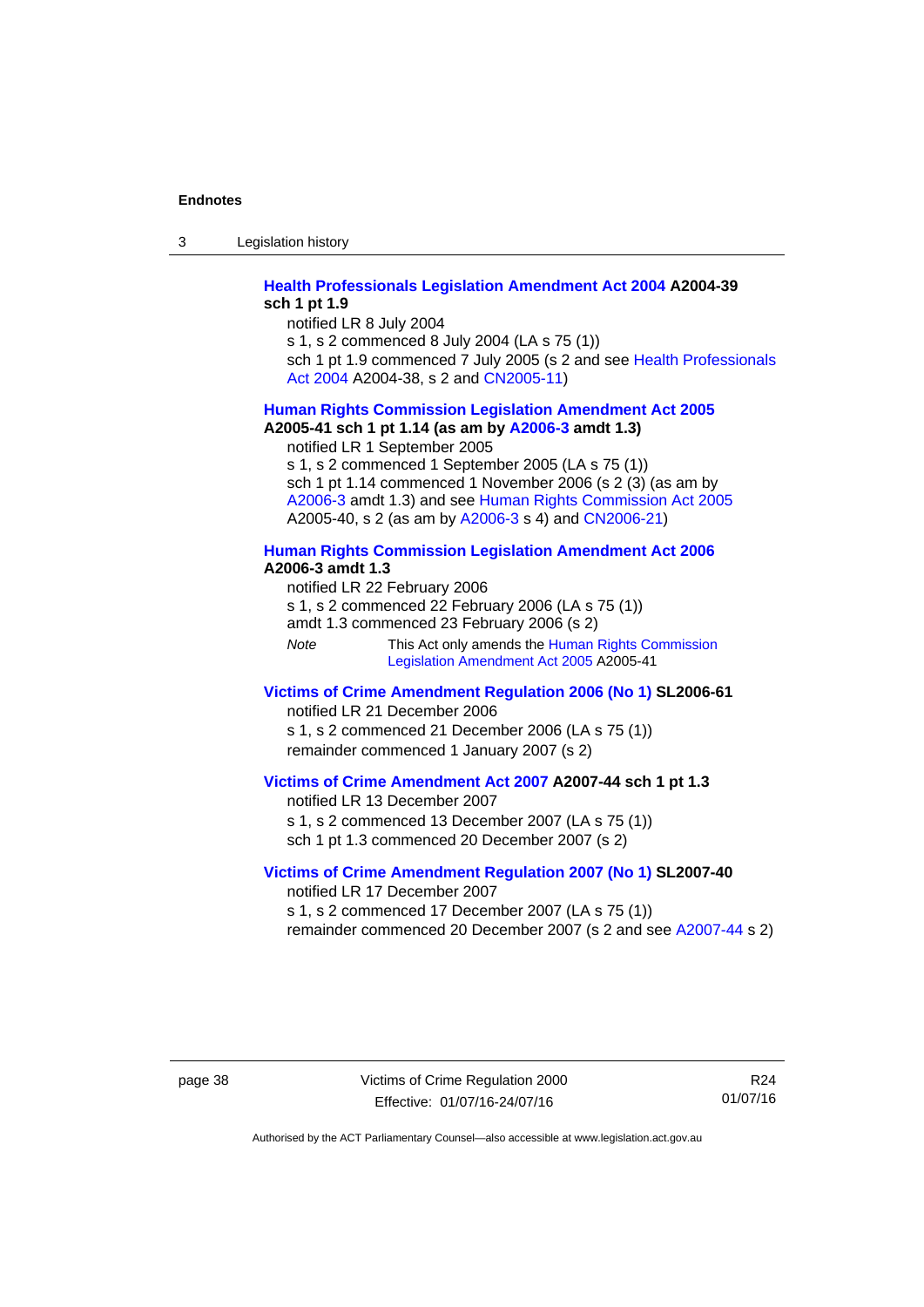3 Legislation history

### **[Health Professionals Legislation Amendment Act 2004](http://www.legislation.act.gov.au/a/2004-39) A2004-39 sch 1 pt 1.9**

notified LR 8 July 2004

s 1, s 2 commenced 8 July 2004 (LA s 75 (1))

sch 1 pt 1.9 commenced 7 July 2005 (s 2 and see Health Professionals [Act 2004](http://www.legislation.act.gov.au/a/2004-38) A2004-38, s 2 and [CN2005-11\)](http://www.legislation.act.gov.au/cn/2005-11/default.asp)

### **[Human Rights Commission Legislation Amendment Act 2005](http://www.legislation.act.gov.au/a/2005-41) A2005-41 sch 1 pt 1.14 (as am by [A2006-3](http://www.legislation.act.gov.au/a/2006-3) amdt 1.3)**

notified LR 1 September 2005

s 1, s 2 commenced 1 September 2005 (LA s 75 (1)) sch 1 pt 1.14 commenced 1 November 2006 (s 2 (3) (as am by [A2006-3](http://www.legislation.act.gov.au/a/2006-3) amdt 1.3) and see [Human Rights Commission Act 2005](http://www.legislation.act.gov.au/a/2005-40) A2005-40, s 2 (as am by [A2006-3](http://www.legislation.act.gov.au/a/2006-3) s 4) and [CN2006-21](http://www.legislation.act.gov.au/cn/2006-21/default.asp))

### **[Human Rights Commission Legislation Amendment Act 2006](http://www.legislation.act.gov.au/a/2006-3) A2006-3 amdt 1.3**

notified LR 22 February 2006 s 1, s 2 commenced 22 February 2006 (LA s 75 (1)) amdt 1.3 commenced 23 February 2006 (s 2) *Note* This Act only amends the Human Rights Commission [Legislation Amendment Act 2005](http://www.legislation.act.gov.au/a/2005-41) A2005-41

### **[Victims of Crime Amendment Regulation 2006 \(No 1\)](http://www.legislation.act.gov.au/sl/2006-61) SL2006-61**

notified LR 21 December 2006 s 1, s 2 commenced 21 December 2006 (LA s 75 (1)) remainder commenced 1 January 2007 (s 2)

### **[Victims of Crime Amendment Act 2007](http://www.legislation.act.gov.au/a/2007-44) A2007-44 sch 1 pt 1.3**

notified LR 13 December 2007 s 1, s 2 commenced 13 December 2007 (LA s 75 (1)) sch 1 pt 1.3 commenced 20 December 2007 (s 2)

### **[Victims of Crime Amendment Regulation 2007 \(No 1\)](http://www.legislation.act.gov.au/sl/2007-40) SL2007-40**  notified LR 17 December 2007

s 1, s 2 commenced 17 December 2007 (LA s 75 (1)) remainder commenced 20 December 2007 (s 2 and see [A2007-44](http://www.legislation.act.gov.au/a/2007-44) s 2)

page 38 Victims of Crime Regulation 2000 Effective: 01/07/16-24/07/16

R24 01/07/16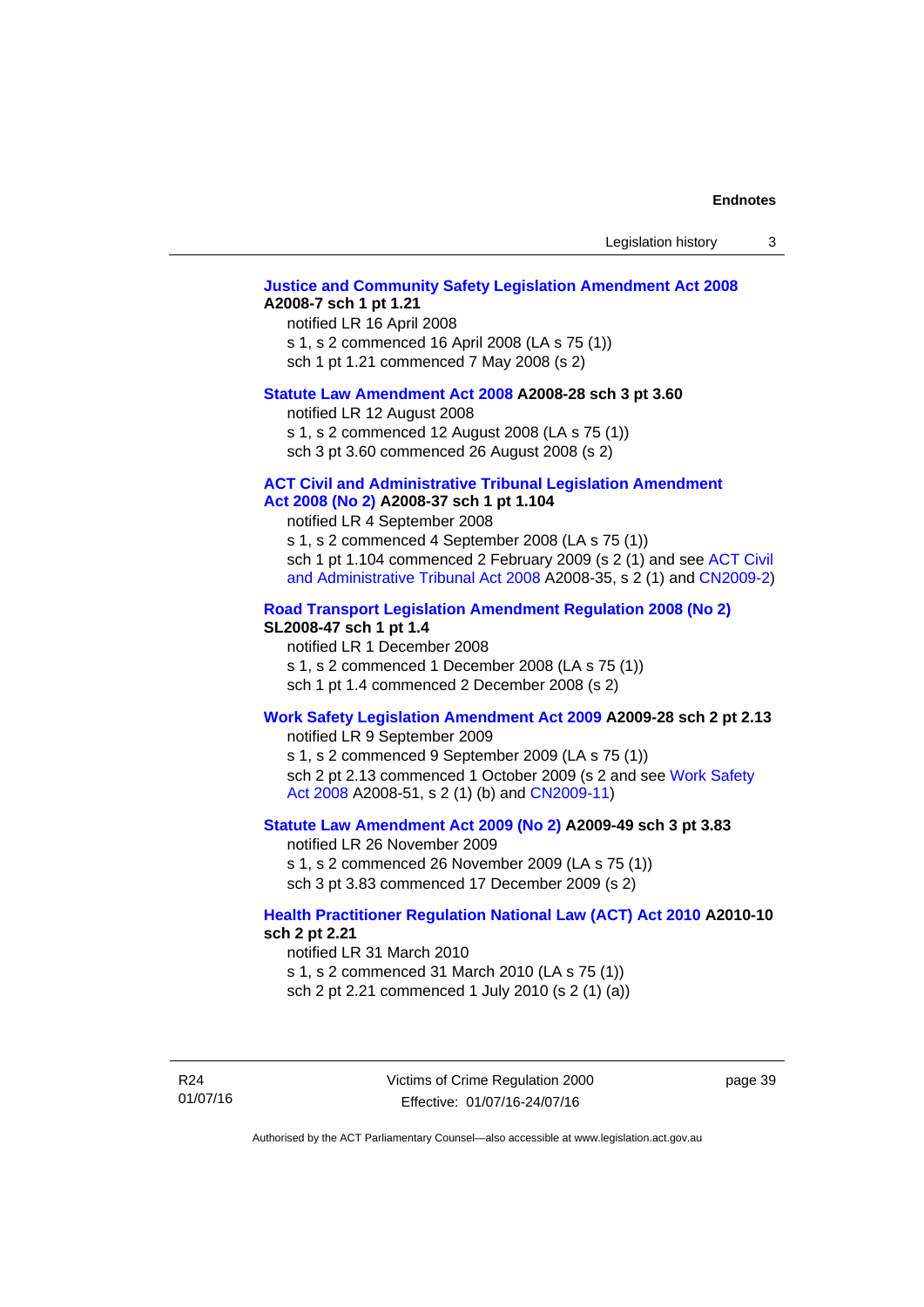Legislation history 3

### **[Justice and Community Safety Legislation Amendment Act 2008](http://www.legislation.act.gov.au/a/2008-7) A2008-7 sch 1 pt 1.21**

notified LR 16 April 2008 s 1, s 2 commenced 16 April 2008 (LA s 75 (1)) sch 1 pt 1.21 commenced 7 May 2008 (s 2)

### **[Statute Law Amendment Act 2008](http://www.legislation.act.gov.au/a/2008-28) A2008-28 sch 3 pt 3.60**

notified LR 12 August 2008 s 1, s 2 commenced 12 August 2008 (LA s 75 (1)) sch 3 pt 3.60 commenced 26 August 2008 (s 2)

### **[ACT Civil and Administrative Tribunal Legislation Amendment](http://www.legislation.act.gov.au/a/2008-37)**

### **[Act 2008 \(No 2\)](http://www.legislation.act.gov.au/a/2008-37) A2008-37 sch 1 pt 1.104**

notified LR 4 September 2008

s 1, s 2 commenced 4 September 2008 (LA s 75 (1)) sch 1 pt 1.104 commenced 2 February 2009 (s 2 (1) and see [ACT Civil](http://www.legislation.act.gov.au/a/2008-35)  [and Administrative Tribunal Act 2008](http://www.legislation.act.gov.au/a/2008-35) A2008-35, s 2 (1) and [CN2009-2](http://www.legislation.act.gov.au/cn/2009-2/default.asp))

### **[Road Transport Legislation Amendment Regulation 2008 \(No 2\)](http://www.legislation.act.gov.au/sl/2008-47)**

### **SL2008-47 sch 1 pt 1.4**

notified LR 1 December 2008 s 1, s 2 commenced 1 December 2008 (LA s 75 (1)) sch 1 pt 1.4 commenced 2 December 2008 (s 2)

### **[Work Safety Legislation Amendment Act 2009](http://www.legislation.act.gov.au/a/2009-28) A2009-28 sch 2 pt 2.13**

notified LR 9 September 2009

s 1, s 2 commenced 9 September 2009 (LA s 75 (1)) sch 2 pt 2.13 commenced 1 October 2009 (s 2 and see [Work Safety](http://www.legislation.act.gov.au/a/2008-51)  [Act 2008](http://www.legislation.act.gov.au/a/2008-51) A2008-51, s 2 (1) (b) and [CN2009-11\)](http://www.legislation.act.gov.au/cn/2009-11/default.asp)

### **[Statute Law Amendment Act 2009 \(No 2\)](http://www.legislation.act.gov.au/a/2009-49) A2009-49 sch 3 pt 3.83**

notified LR 26 November 2009 s 1, s 2 commenced 26 November 2009 (LA s 75 (1)) sch 3 pt 3.83 commenced 17 December 2009 (s 2)

### **[Health Practitioner Regulation National Law \(ACT\) Act 2010](http://www.legislation.act.gov.au/a/2010-10) A2010-10 sch 2 pt 2.21**

notified LR 31 March 2010

s 1, s 2 commenced 31 March 2010 (LA s 75 (1)) sch 2 pt 2.21 commenced 1 July 2010 (s 2 (1) (a))

R24 01/07/16 page 39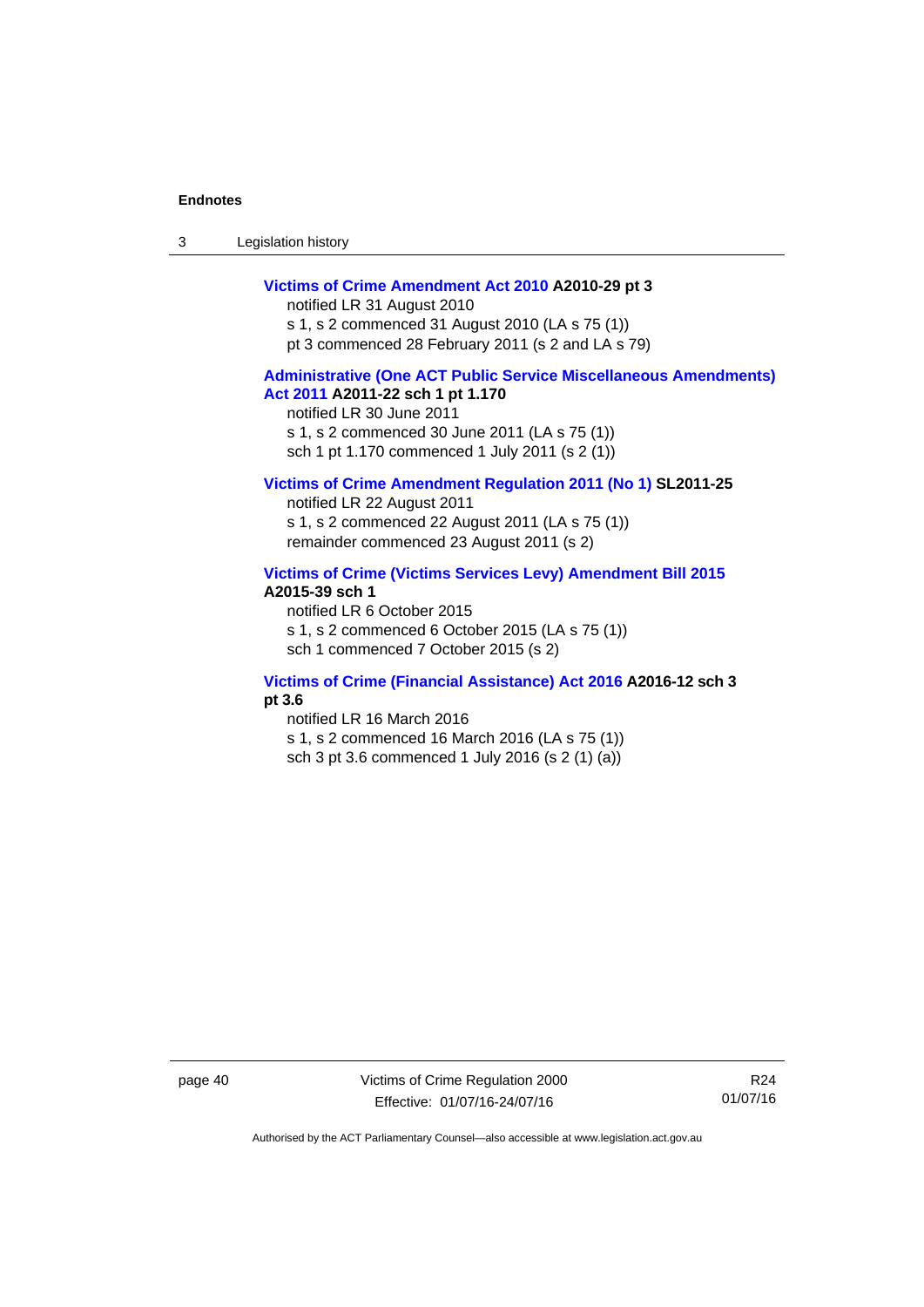| -3 | Legislation history |  |
|----|---------------------|--|
|----|---------------------|--|

### **[Victims of Crime Amendment Act 2010](http://www.legislation.act.gov.au/a/2010-29) A2010-29 pt 3**

notified LR 31 August 2010 s 1, s 2 commenced 31 August 2010 (LA s 75 (1)) pt 3 commenced 28 February 2011 (s 2 and LA s 79)

### **[Administrative \(One ACT Public Service Miscellaneous Amendments\)](http://www.legislation.act.gov.au/a/2011-22)  [Act 2011](http://www.legislation.act.gov.au/a/2011-22) A2011-22 sch 1 pt 1.170**

notified LR 30 June 2011 s 1, s 2 commenced 30 June 2011 (LA s 75 (1)) sch 1 pt 1.170 commenced 1 July 2011 (s 2 (1))

### **[Victims of Crime Amendment Regulation 2011 \(No 1\)](http://www.legislation.act.gov.au/sl/2011-25) SL2011-25**

notified LR 22 August 2011 s 1, s 2 commenced 22 August 2011 (LA s 75 (1)) remainder commenced 23 August 2011 (s 2)

### **[Victims of Crime \(Victims Services Levy\) Amendment Bill 2015](http://www.legislation.act.gov.au/a/2015-39) A2015-39 sch 1**

notified LR 6 October 2015 s 1, s 2 commenced 6 October 2015 (LA s 75 (1)) sch 1 commenced 7 October 2015 (s 2)

### **[Victims of Crime \(Financial Assistance\) Act 2016](http://www.legislation.act.gov.au/a/2016-12/default.asp) A2016-12 sch 3 pt 3.6**

notified LR 16 March 2016 s 1, s 2 commenced 16 March 2016 (LA s 75 (1)) sch 3 pt 3.6 commenced 1 July 2016 (s 2 (1) (a))

page 40 Victims of Crime Regulation 2000 Effective: 01/07/16-24/07/16

R24 01/07/16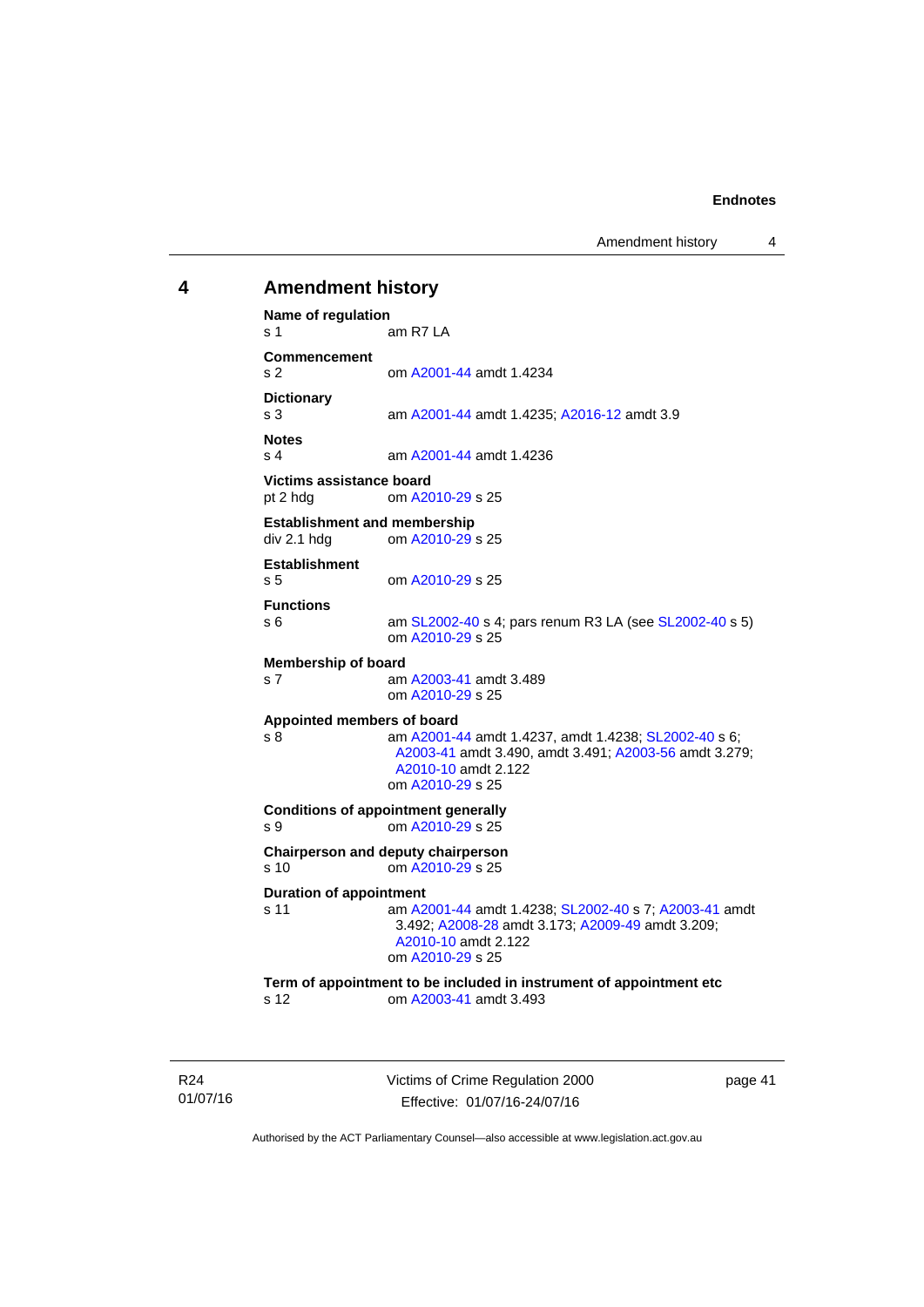Amendment history 4

## <span id="page-46-0"></span>**4 Amendment history Name of regulation**  s 1 am R7 LA **Commencement**  s 2 om [A2001-44](http://www.legislation.act.gov.au/a/2001-44) amdt 1.4234 **Dictionary**  s 3 am [A2001-44](http://www.legislation.act.gov.au/a/2001-44) amdt 1.4235; [A2016-12](http://www.legislation.act.gov.au/a/2016-12/default.asp) amdt 3.9 **Notes**  s 4 am [A2001-44](http://www.legislation.act.gov.au/a/2001-44) amdt 1.4236 **Victims assistance board**  pt 2 hdg om [A2010-29](http://www.legislation.act.gov.au/a/2010-29) s 25 **Establishment and membership**  div 2.1 hdg om [A2010-29](http://www.legislation.act.gov.au/a/2010-29) s 25 **Establishment**  s 5 om [A2010-29](http://www.legislation.act.gov.au/a/2010-29) s 25 **Functions**  s 6 am [SL2002-40](http://www.legislation.act.gov.au/sl/2002-40) s 4; pars renum R3 LA (see [SL2002-40](http://www.legislation.act.gov.au/sl/2002-40) s 5) om [A2010-29](http://www.legislation.act.gov.au/a/2010-29) s 25 **Membership of board**  s 7 am [A2003-41](http://www.legislation.act.gov.au/a/2003-41) amdt 3.489 om [A2010-29](http://www.legislation.act.gov.au/a/2010-29) s 25 **Appointed members of board**  s 8 am [A2001-44](http://www.legislation.act.gov.au/a/2001-44) amdt 1.4237, amdt 1.4238; [SL2002-40](http://www.legislation.act.gov.au/sl/2002-40) s 6; [A2003-41](http://www.legislation.act.gov.au/a/2003-41) amdt 3.490, amdt 3.491; [A2003-56](http://www.legislation.act.gov.au/a/2003-56) amdt 3.279; [A2010-10](http://www.legislation.act.gov.au/a/2010-10) amdt 2.122 om [A2010-29](http://www.legislation.act.gov.au/a/2010-29) s 25 **Conditions of appointment generally**  s 9 om [A2010-29](http://www.legislation.act.gov.au/a/2010-29) s 25 **Chairperson and deputy chairperson**  s 10 om [A2010-29](http://www.legislation.act.gov.au/a/2010-29) s 25 **Duration of appointment**  s 11 am [A2001-44](http://www.legislation.act.gov.au/a/2001-44) amdt 1.4238; [SL2002-40](http://www.legislation.act.gov.au/sl/2002-40) s 7; [A2003-41](http://www.legislation.act.gov.au/a/2003-41) amdt 3.492; [A2008-28](http://www.legislation.act.gov.au/a/2008-28) amdt 3.173; [A2009-49](http://www.legislation.act.gov.au/a/2009-49) amdt 3.209; [A2010-10](http://www.legislation.act.gov.au/a/2010-10) amdt 2.122 om [A2010-29](http://www.legislation.act.gov.au/a/2010-29) s 25 **Term of appointment to be included in instrument of appointment etc**  s 12 om [A2003-41](http://www.legislation.act.gov.au/a/2003-41) amdt 3.493

R24 01/07/16 Victims of Crime Regulation 2000 Effective: 01/07/16-24/07/16

page 41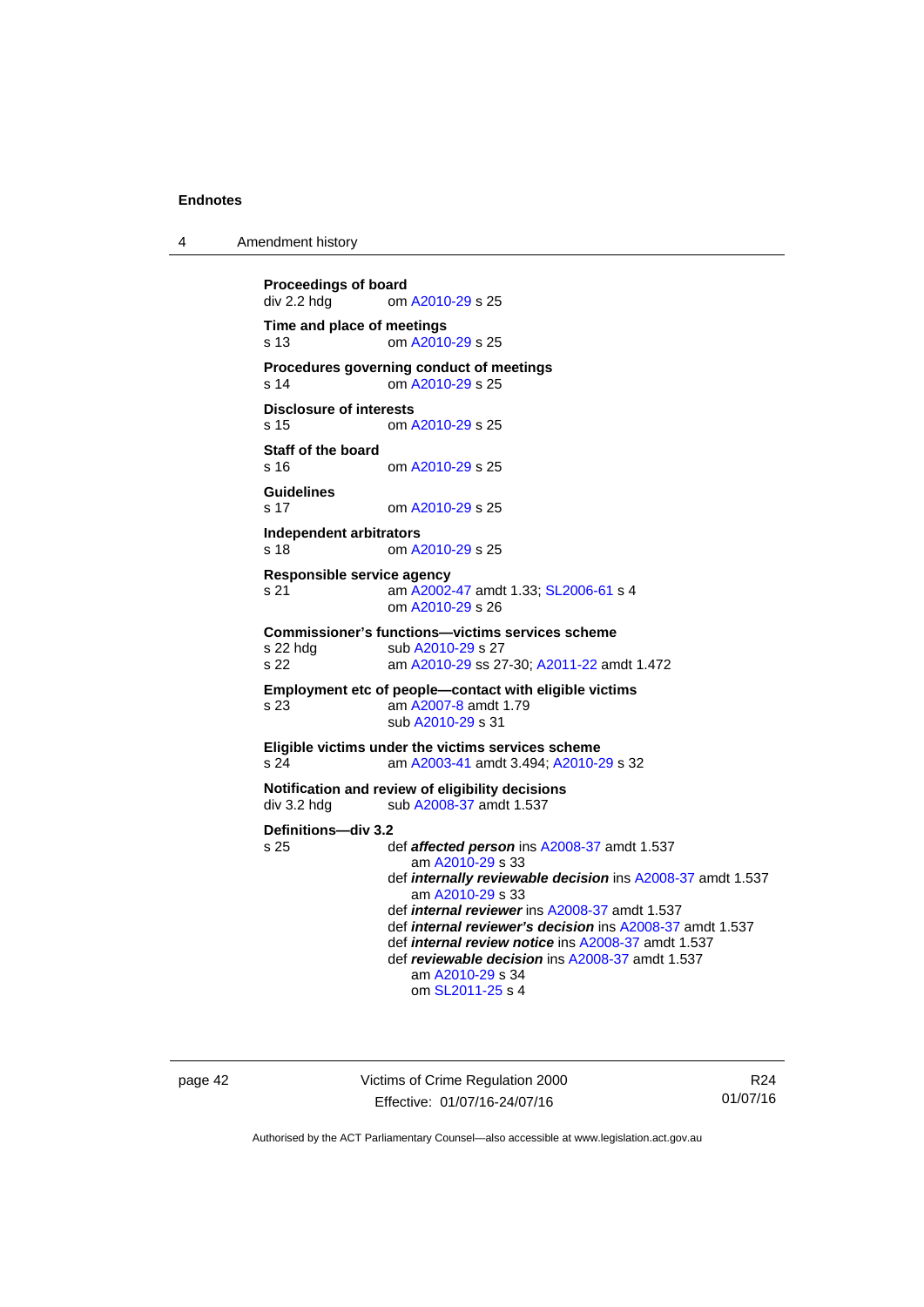4 Amendment history

```
Proceedings of board<br>div 2.2 hdg om
                A2010-29 s 25
Time and place of meetings 
s 13 om A2010-29 s 25 
Procedures governing conduct of meetings 
s 14 om A2010-29 s 25 
Disclosure of interests 
s 15 om A2010-29 s 25 
Staff of the board 
                A2010-29 s 25
Guidelines 
s 17 om A2010-29 s 25 
Independent arbitrators 
s 18 om A2010-29 s 25 
Responsible service agency 
s 21 am A2002-47 amdt 1.33; SL2006-61 s 4 
                 om A2010-29 s 26 
Commissioner's functions—victims services scheme 
A2010-29 s 27
s 22 am A2010-29 ss 27-30; A2011-22 amdt 1.472 
Employment etc of people—contact with eligible victims 
s 23 am A2007-8 amdt 1.79 
                 sub A2010-29 s 31 
Eligible victims under the victims services scheme 
s 24 am A2003-41 amdt 3.494; A2010-29 s 32 
Notification and review of eligibility decisions 
A2008-37 amdt 1.537
Definitions—div 3.2 
s 25 def affected person ins A2008-37 amdt 1.537 
                    am A2010-29 s 33 
                 def internally reviewable decision ins A2008-37 amdt 1.537 
                    am A2010-29 s 33 
                 def internal reviewer ins A2008-37 amdt 1.537 
                 def internal reviewer's decision ins A2008-37 amdt 1.537 
                 def internal review notice ins A2008-37 amdt 1.537 
                 def reviewable decision ins A2008-37 amdt 1.537 
                    am A2010-29 s 34 
                    om SL2011-25 s 4
```
page 42 Victims of Crime Regulation 2000 Effective: 01/07/16-24/07/16

R24 01/07/16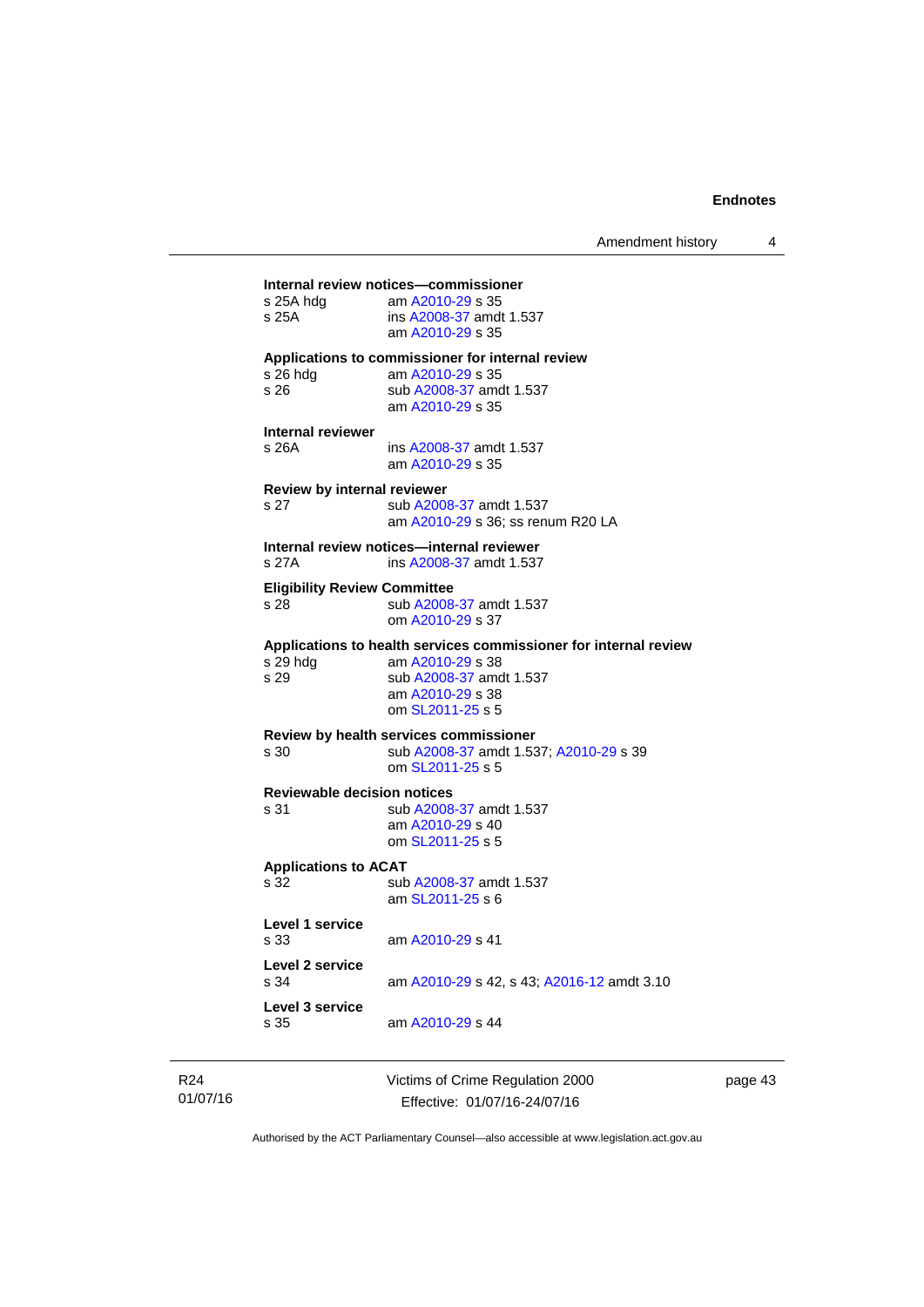| s 25A hda<br>s 25A                          | Internal review notices-commissioner<br>am A2010-29 s 35<br>ins A2008-37 amdt 1.537<br>am A2010-29 s 35                                                 |
|---------------------------------------------|---------------------------------------------------------------------------------------------------------------------------------------------------------|
| s 26 hda<br>s 26                            | Applications to commissioner for internal review<br>am A2010-29 s 35<br>sub A2008-37 amdt 1.537<br>am A2010-29 s 35                                     |
| <b>Internal reviewer</b><br>s 26A           | ins A2008-37 amdt 1.537<br>am A2010-29 s 35                                                                                                             |
| <b>Review by internal reviewer</b><br>s 27  | sub A2008-37 amdt 1.537<br>am A2010-29 s 36; ss renum R20 LA                                                                                            |
| s 27A                                       | Internal review notices-internal reviewer<br>ins A2008-37 amdt 1.537                                                                                    |
| <b>Eligibility Review Committee</b><br>s 28 | sub A2008-37 amdt 1.537<br>om A2010-29 s 37                                                                                                             |
| s 29 hdg<br>s 29                            | Applications to health services commissioner for internal review<br>am A2010-29 s 38<br>sub A2008-37 amdt 1.537<br>am A2010-29 s 38<br>om SL2011-25 s 5 |
| s 30                                        | <b>Review by health services commissioner</b><br>sub A2008-37 amdt 1.537; A2010-29 s 39<br>om SL2011-25 s 5                                             |
| <b>Reviewable decision notices</b><br>s 31  | sub A2008-37 amdt 1.537<br>am A2010-29 s 40<br>om SL2011-25 s 5                                                                                         |
| <b>Applications to ACAT</b><br>s 32         | sub A2008-37 amdt 1.537<br>am SL2011-25 s 6                                                                                                             |
| Level 1 service<br>s 33                     | am A2010-29 s 41                                                                                                                                        |
| Level 2 service<br>s 34                     | am A2010-29 s 42, s 43; A2016-12 amdt 3.10                                                                                                              |
| Level 3 service<br>s 35                     | am A2010-29 s 44                                                                                                                                        |

R24 01/07/16 Victims of Crime Regulation 2000 Effective: 01/07/16-24/07/16

page 43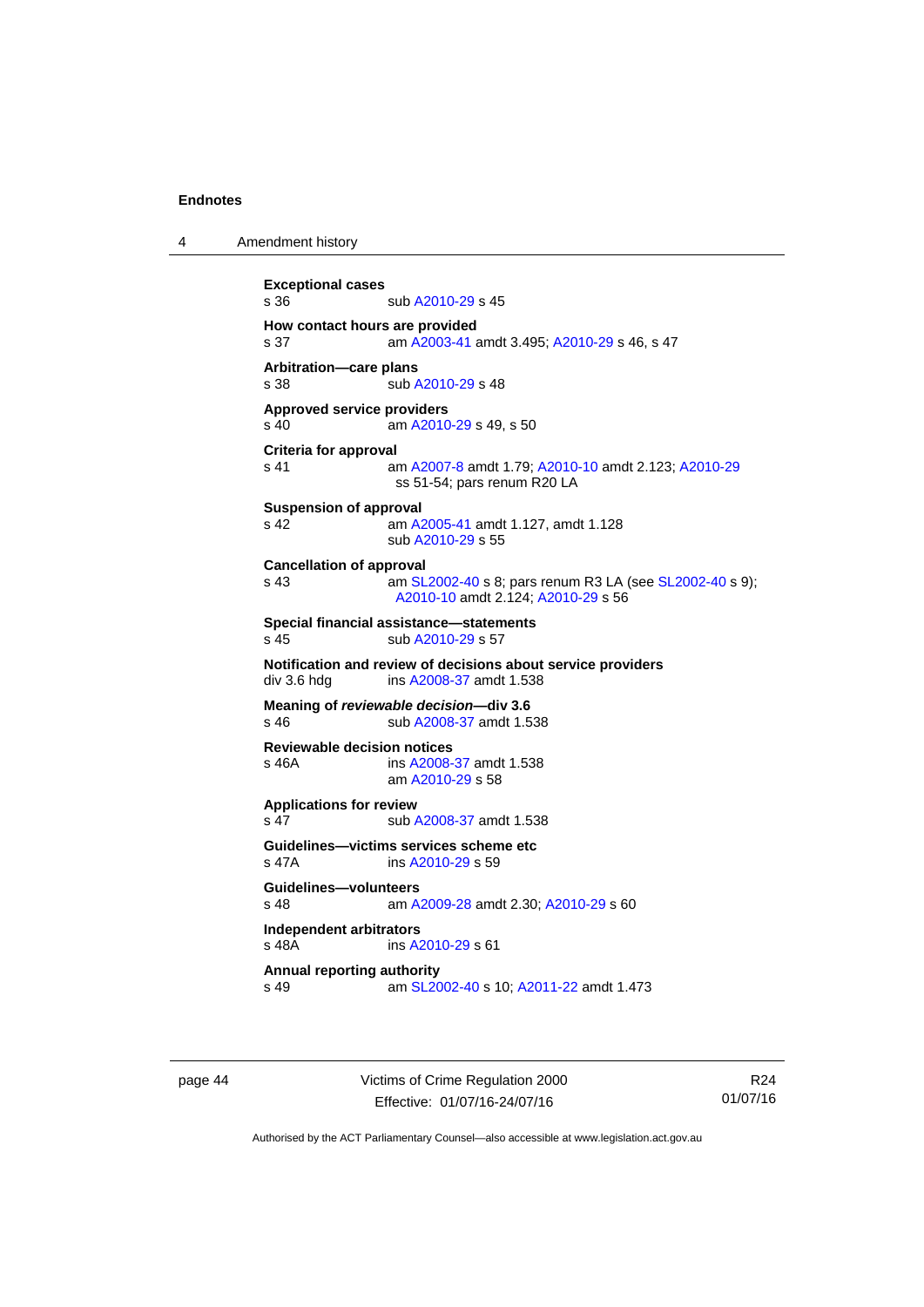4 Amendment history

```
Exceptional cases 
A2010-29 s 45
How contact hours are provided 
s 37 am A2003-41 amdt 3.495; A2010-29 s 46, s 47
Arbitration—care plans 
A2010-29 s 48
Approved service providers 
s 40  A2010-29 s 49, s 50
Criteria for approval 
s 41 am A2007-8 amdt 1.79; A2010-10 amdt 2.123; A2010-29
                ss 51-54; pars renum R20 LA 
Suspension of approval 
s 42 am A2005-41 amdt 1.127, amdt 1.128 
                sub A2010-29 s 55 
Cancellation of approval 
s 43  SL2002-40 s 8; pars renum R3 LA (see SL2002-40 s 9);
                A2010-10 amdt 2.124; A2010-29 s 56 
Special financial assistance—statements 
A2010-29 s 57
Notification and review of decisions about service providers 
A2008-37 amdt 1.538
Meaning of reviewable decision—div 3.6 
s 46 sub A2008-37 amdt 1.538 
Reviewable decision notices 
s 46A ins A2008-37 amdt 1.538 
                am A2010-29 s 58 
Applications for review 
s 47 sub A2008-37 amdt 1.538 
Guidelines—victims services scheme etc 
s 47A ins A2010-29 s 59 
Guidelines—volunteers 
s 48 am A2009-28 amdt 2.30; A2010-29 s 60 
Independent arbitrators 
s 48A ins A2010-29 s 61 
Annual reporting authority 
s 49 am SL2002-40 s 10; A2011-22 amdt 1.473
```
page 44 Victims of Crime Regulation 2000 Effective: 01/07/16-24/07/16

R24 01/07/16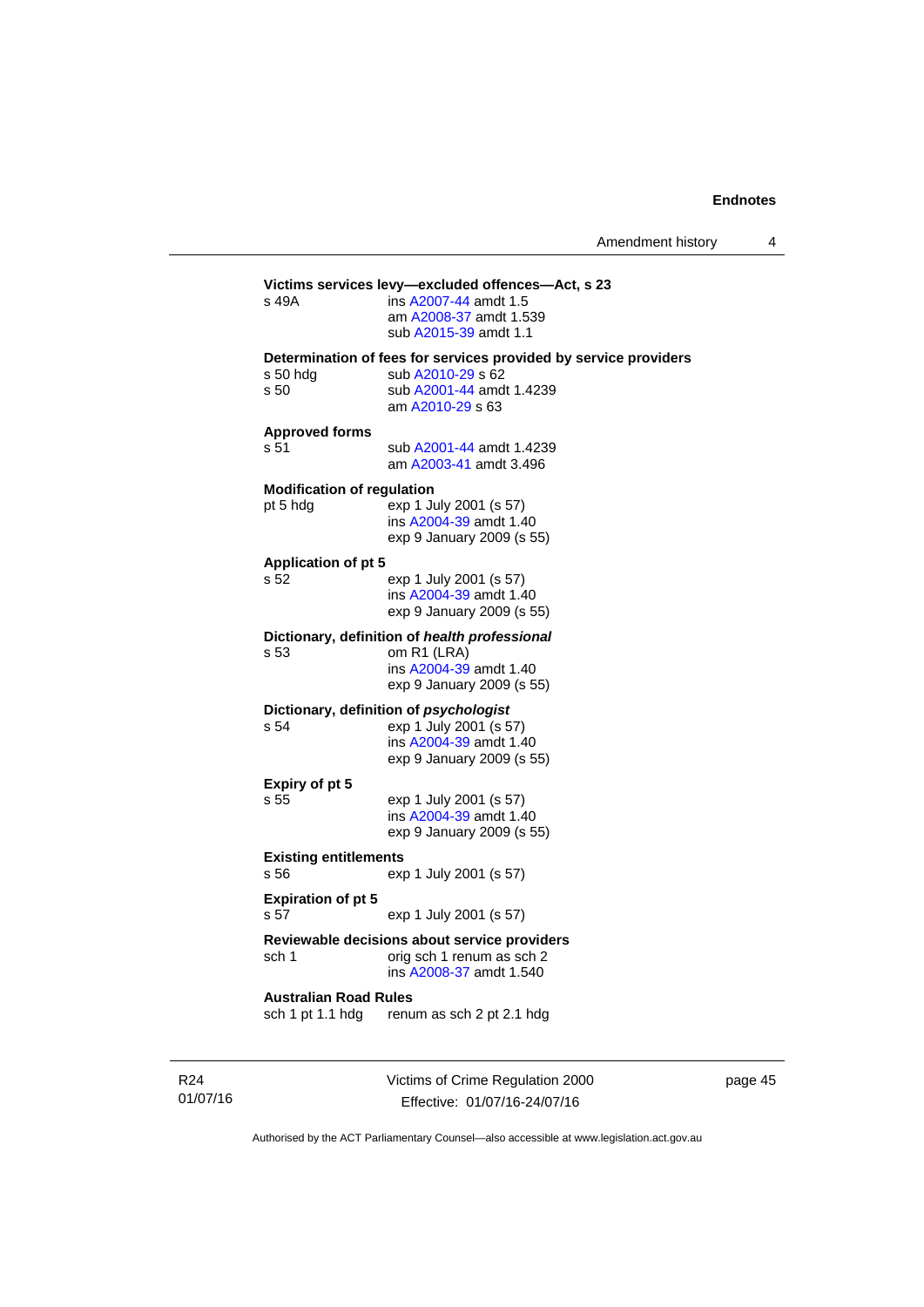page 45

| Amendment history |  |
|-------------------|--|
|-------------------|--|

### Victims of Crime Regulation 2000 Effective: 01/07/16-24/07/16 **Victims services levy—excluded offences—Act, s 23** s 49A **ims A2007-44** amdt 1.5 ins [A2007-44](http://www.legislation.act.gov.au/a/2007-44) amdt 1.5 am [A2008-37](http://www.legislation.act.gov.au/a/2008-37) amdt 1.539 sub [A2015-39](http://www.legislation.act.gov.au/a/2015-39) amdt 1.1 **Determination of fees for services provided by service providers**  s 50 hdg sub [A2010-29](http://www.legislation.act.gov.au/a/2010-29) s 62 s 50 sub [A2001-44](http://www.legislation.act.gov.au/a/2001-44) amdt 1.4239 am [A2010-29](http://www.legislation.act.gov.au/a/2010-29) s 63 **Approved forms**  s 51 sub [A2001-44](http://www.legislation.act.gov.au/a/2001-44) amdt 1.4239 am [A2003-41](http://www.legislation.act.gov.au/a/2003-41) amdt 3.496 **Modification of regulation**  pt 5 hdg exp 1 July 2001 (s 57) ins [A2004-39](http://www.legislation.act.gov.au/a/2004-39) amdt 1.40 exp 9 January 2009 (s 55) **Application of pt 5**  s 52 exp 1 July 2001 (s 57) ins [A2004-39](http://www.legislation.act.gov.au/a/2004-39) amdt 1.40 exp 9 January 2009 (s 55) **Dictionary, definition of** *health professional* s 53 om R1 (LRA) ins [A2004-39](http://www.legislation.act.gov.au/a/2004-39) amdt 1.40 exp 9 January 2009 (s 55) **Dictionary, definition of** *psychologist* s 54 exp 1 July 2001 (s 57) ins [A2004-39](http://www.legislation.act.gov.au/a/2004-39) amdt 1.40 exp 9 January 2009 (s 55) **Expiry of pt 5**  s 55 exp 1 July 2001 (s 57) ins [A2004-39](http://www.legislation.act.gov.au/a/2004-39) amdt 1.40 exp 9 January 2009 (s 55) **Existing entitlements**  s 56 exp 1 July 2001 (s 57) **Expiration of pt 5**  s 57 exp 1 July 2001 (s 57) **Reviewable decisions about service providers**  sch 1 orig sch 1 renum as sch 2 ins [A2008-37](http://www.legislation.act.gov.au/a/2008-37) amdt 1.540 **Australian Road Rules**  sch 1 pt 1.1 hdg renum as sch 2 pt 2.1 hdg

Authorised by the ACT Parliamentary Counsel—also accessible at www.legislation.act.gov.au

R24 01/07/16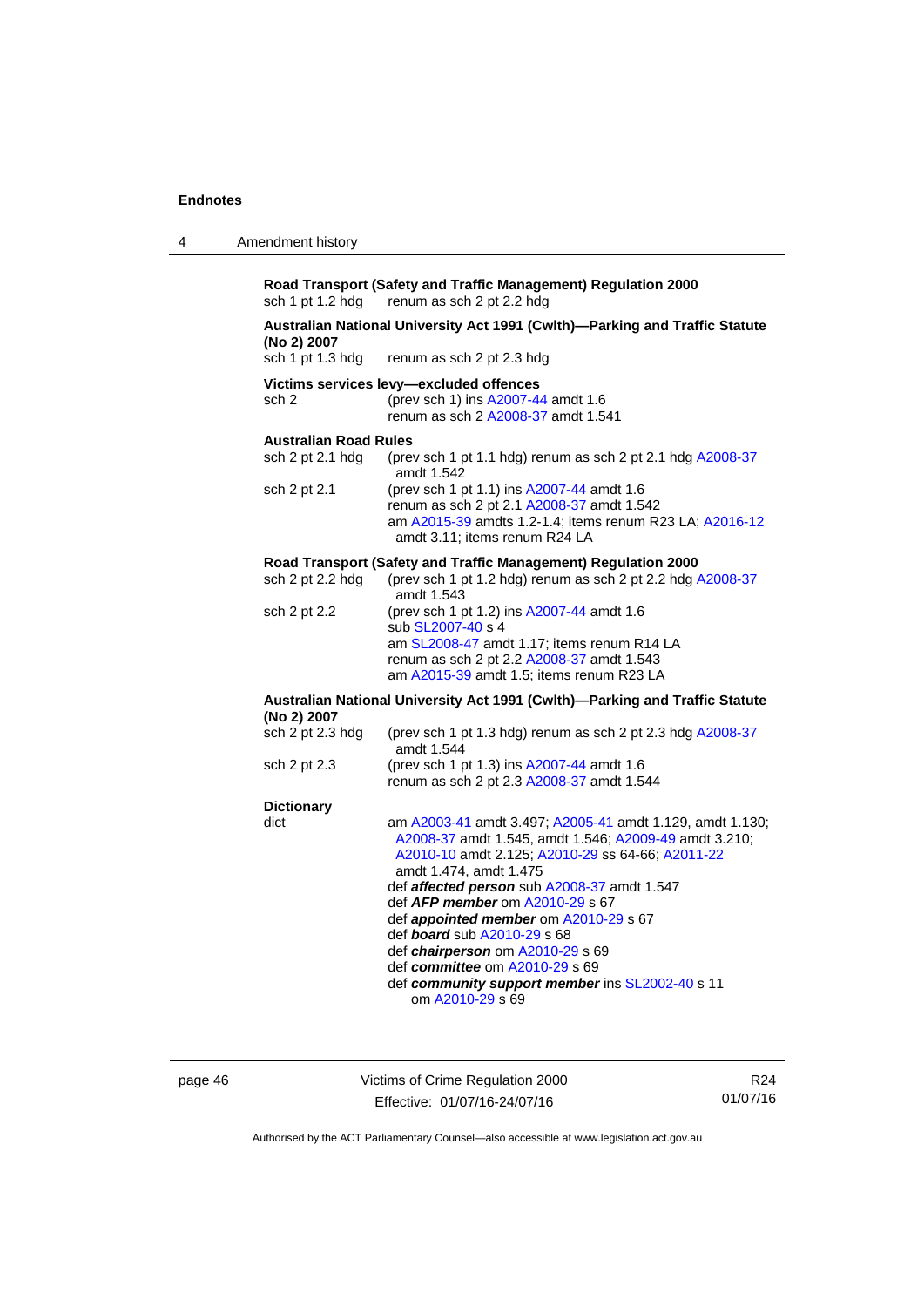| 4 | Amendment history |
|---|-------------------|
|---|-------------------|

**Road Transport (Safety and Traffic Management) Regulation 2000**  renum as sch 2 pt 2.2 hdg

## **Australian National University Act 1991 (Cwlth)—Parking and Traffic Statute (No 2) 2007**

renum as sch 2 pt 2.3 hdg

- **Victims services levy—excluded offences**
- sch 2 (prev sch 1) ins [A2007-44](http://www.legislation.act.gov.au/a/2007-44) amdt 1.6 renum as sch 2 [A2008-37](http://www.legislation.act.gov.au/a/2008-37) amdt 1.541

### **Australian Road Rules**

| sch $2$ pt $2.1$ hdg | (prev sch 1 pt 1.1 hdg) renum as sch 2 pt 2.1 hdg A2008-37<br>amdt 1.542                                                                                                           |
|----------------------|------------------------------------------------------------------------------------------------------------------------------------------------------------------------------------|
| sch 2 pt 2.1         | (prev sch 1 pt 1.1) ins A2007-44 amdt 1.6<br>renum as sch 2 pt 2.1 A2008-37 amdt 1.542<br>am A2015-39 amdts 1.2-1.4; items renum R23 LA; A2016-12<br>amdt 3.11: items renum R24 LA |

### **Road Transport (Safety and Traffic Management) Regulation 2000**

| sch 2 pt 2.2 hdg | (prev sch 1 pt 1.2 hdg) renum as sch 2 pt 2.2 hdg A2008-37 |
|------------------|------------------------------------------------------------|
|                  | amdt 1.543                                                 |
| sch 2 pt 2.2     | (prev sch 1 pt 1.2) ins A2007-44 amdt 1.6                  |
|                  | sub SL2007-40 s 4                                          |
|                  | am SL2008-47 amdt 1.17; items renum R14 LA                 |
|                  | renum as sch 2 pt 2.2 A2008-37 amdt 1.543                  |
|                  | am A2015-39 amdt 1.5; items renum R23 LA                   |
|                  |                                                            |

### **Australian National University Act 1991 (Cwlth)—Parking and Traffic Statute (No 2) 2007**

| sch 2 pt 2.3 hdg  | (prev sch 1 pt 1.3 hdg) renum as sch 2 pt 2.3 hdg A2008-37<br>amdt 1.544                                                                                                                                                                              |
|-------------------|-------------------------------------------------------------------------------------------------------------------------------------------------------------------------------------------------------------------------------------------------------|
| sch 2 pt 2.3      | (prev sch 1 pt 1.3) ins A2007-44 amdt 1.6<br>renum as sch 2 pt 2.3 A2008-37 amdt 1.544                                                                                                                                                                |
| <b>Dictionary</b> |                                                                                                                                                                                                                                                       |
| dict              | am A2003-41 amdt 3.497; A2005-41 amdt 1.129, amdt 1.130;<br>A2008-37 amdt 1.545, amdt 1.546; A2009-49 amdt 3.210;<br>A2010-10 amdt 2.125; A2010-29 ss 64-66; A2011-22<br>amdt 1.474, amdt 1.475<br>def <b>affected person</b> sub A2008-37 amdt 1.547 |
|                   |                                                                                                                                                                                                                                                       |

- def *AFP member* om [A2010-29](http://www.legislation.act.gov.au/a/2010-29) s 67
- def *appointed member* om [A2010-29](http://www.legislation.act.gov.au/a/2010-29) s 67
- def *board* sub [A2010-29](http://www.legislation.act.gov.au/a/2010-29) s 68
	- def *chairperson* om [A2010-29](http://www.legislation.act.gov.au/a/2010-29) s 69
	- def *committee* om [A2010-29](http://www.legislation.act.gov.au/a/2010-29) s 69
- def *community support member* ins [SL2002-40](http://www.legislation.act.gov.au/sl/2002-40) s 11 om [A2010-29](http://www.legislation.act.gov.au/a/2010-29) s 69

page 46 Victims of Crime Regulation 2000 Effective: 01/07/16-24/07/16

R24 01/07/16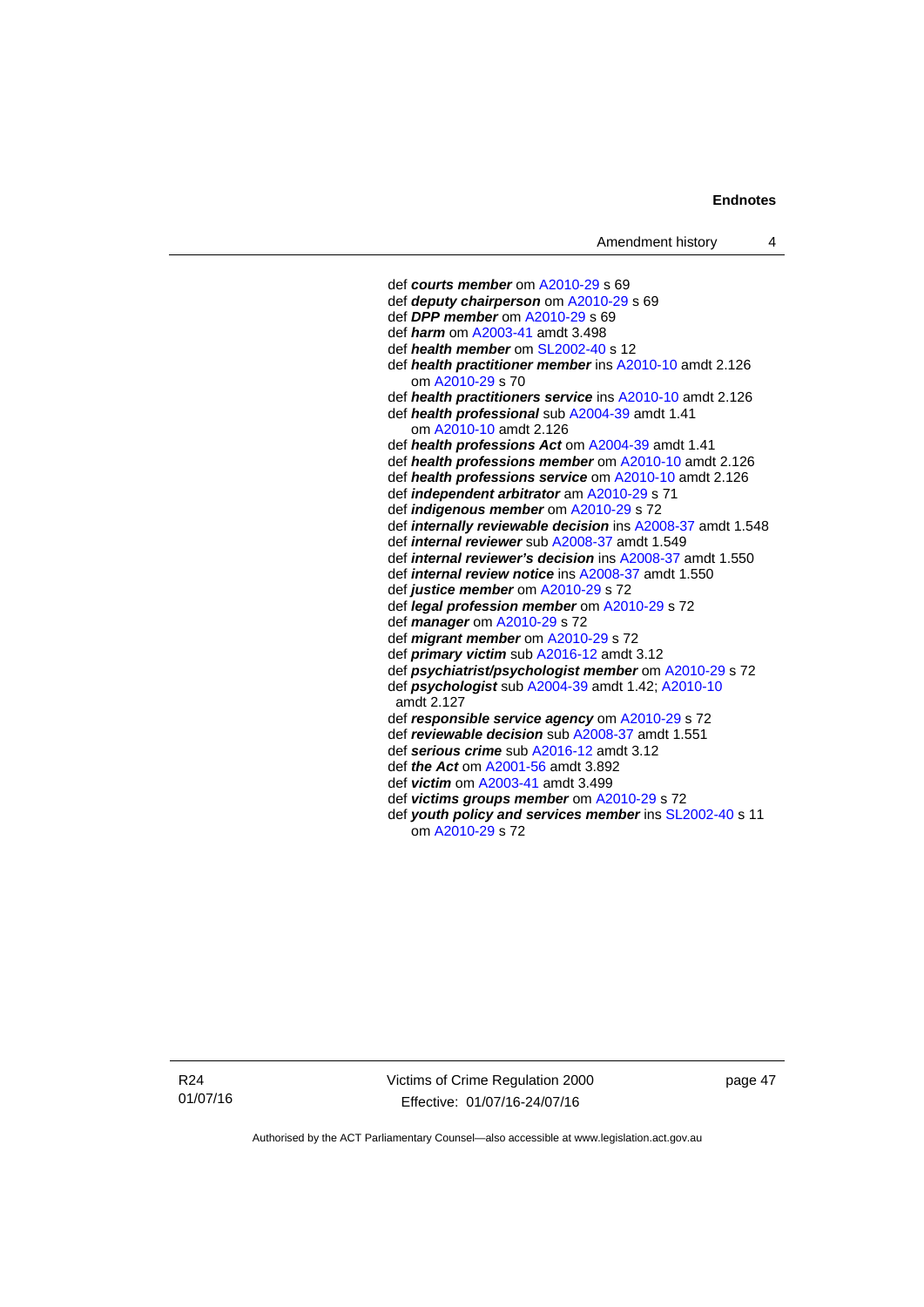def *courts member* om [A2010-29](http://www.legislation.act.gov.au/a/2010-29) s 69 def *deputy chairperson* om [A2010-29](http://www.legislation.act.gov.au/a/2010-29) s 69 def *DPP member* om [A2010-29](http://www.legislation.act.gov.au/a/2010-29) s 69 def *harm* om [A2003-41](http://www.legislation.act.gov.au/a/2003-41) amdt 3.498 def *health member* om [SL2002-40](http://www.legislation.act.gov.au/sl/2002-40) s 12 def *health practitioner member* ins [A2010-10](http://www.legislation.act.gov.au/a/2010-10) amdt 2.126 om [A2010-29](http://www.legislation.act.gov.au/a/2010-29) s 70 def *health practitioners service* ins [A2010-10](http://www.legislation.act.gov.au/a/2010-10) amdt 2.126 def *health professional* sub [A2004-39](http://www.legislation.act.gov.au/a/2004-39) amdt 1.41 om [A2010-10](http://www.legislation.act.gov.au/a/2010-10) amdt 2.126 def *health professions Act* om [A2004-39](http://www.legislation.act.gov.au/a/2004-39) amdt 1.41 def *health professions member* om [A2010-10](http://www.legislation.act.gov.au/a/2010-10) amdt 2.126 def *health professions service* om [A2010-10](http://www.legislation.act.gov.au/a/2010-10) amdt 2.126 def *independent arbitrator* am [A2010-29](http://www.legislation.act.gov.au/a/2010-29) s 71 def *indigenous member* om [A2010-29](http://www.legislation.act.gov.au/a/2010-29) s 72 def *internally reviewable decision* ins [A2008-37](http://www.legislation.act.gov.au/a/2008-37) amdt 1.548 def *internal reviewer* sub [A2008-37](http://www.legislation.act.gov.au/a/2008-37) amdt 1.549 def *internal reviewer's decision* ins [A2008-37](http://www.legislation.act.gov.au/a/2008-37) amdt 1.550 def *internal review notice* ins [A2008-37](http://www.legislation.act.gov.au/a/2008-37) amdt 1.550 def *justice member* om [A2010-29](http://www.legislation.act.gov.au/a/2010-29) s 72 def *legal profession member* om [A2010-29](http://www.legislation.act.gov.au/a/2010-29) s 72 def *manager* om [A2010-29](http://www.legislation.act.gov.au/a/2010-29) s 72 def *migrant member* om [A2010-29](http://www.legislation.act.gov.au/a/2010-29) s 72 def *primary victim* sub [A2016-12](http://www.legislation.act.gov.au/a/2016-12/default.asp) amdt 3.12 def *psychiatrist/psychologist member* om [A2010-29](http://www.legislation.act.gov.au/a/2010-29) s 72 def *psychologist* sub [A2004-39](http://www.legislation.act.gov.au/a/2004-39) amdt 1.42; [A2010-10](http://www.legislation.act.gov.au/a/2010-10) amdt 2.127 def *responsible service agency* om [A2010-29](http://www.legislation.act.gov.au/a/2010-29) s 72 def *reviewable decision* sub [A2008-37](http://www.legislation.act.gov.au/a/2008-37) amdt 1.551 def *serious crime* sub [A2016-12](http://www.legislation.act.gov.au/a/2016-12/default.asp) amdt 3.12 def *the Act* om [A2001-56](http://www.legislation.act.gov.au/a/2001-56) amdt 3.892 def *victim* om [A2003-41](http://www.legislation.act.gov.au/a/2003-41) amdt 3.499 def *victims groups member* om [A2010-29](http://www.legislation.act.gov.au/a/2010-29) s 72 def *youth policy and services member* ins [SL2002-40](http://www.legislation.act.gov.au/sl/2002-40) s 11 om [A2010-29](http://www.legislation.act.gov.au/a/2010-29) s 72

R24 01/07/16 Victims of Crime Regulation 2000 Effective: 01/07/16-24/07/16

page 47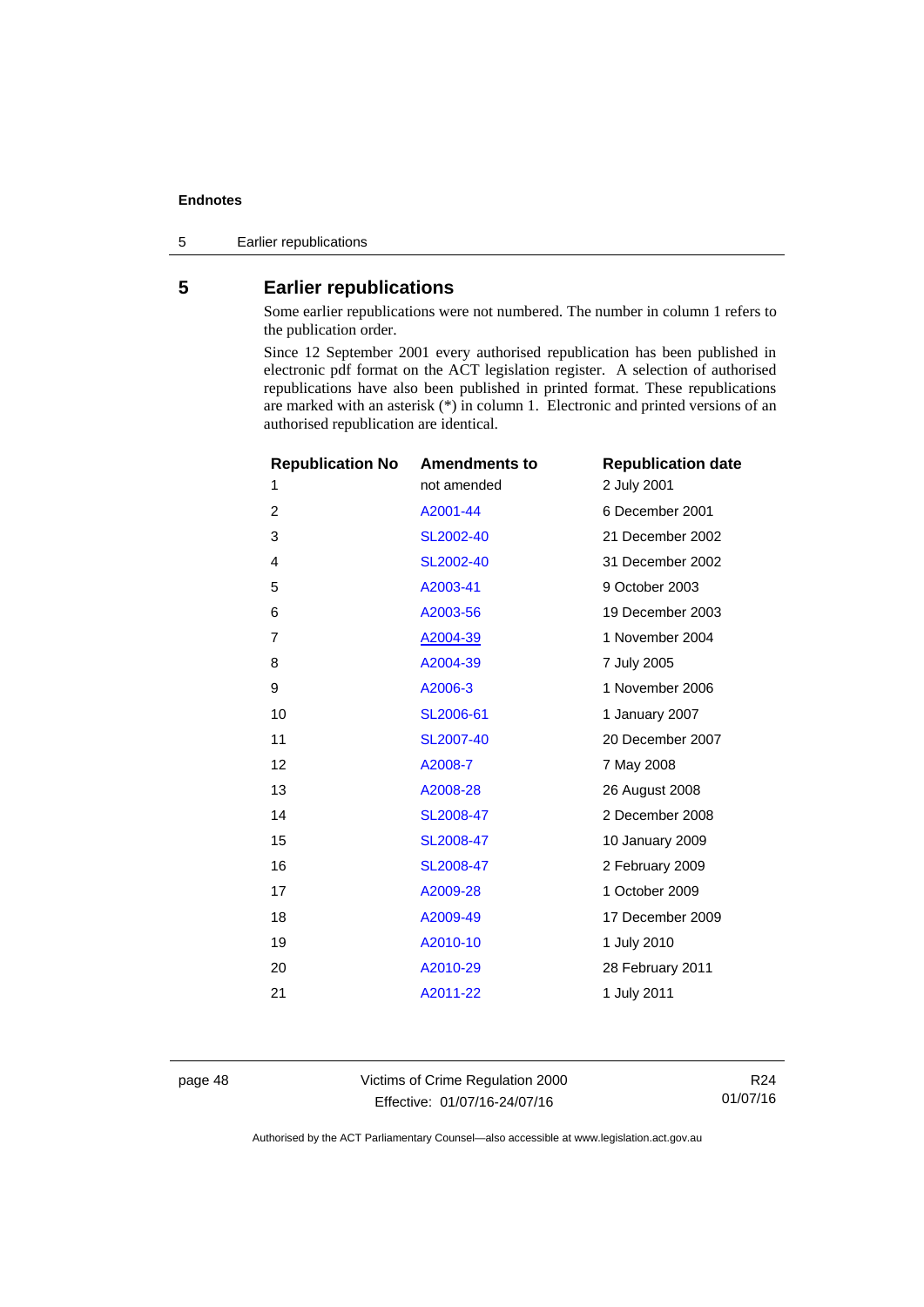5 Earlier republications

### <span id="page-53-0"></span>**5 Earlier republications**

Some earlier republications were not numbered. The number in column 1 refers to the publication order.

Since 12 September 2001 every authorised republication has been published in electronic pdf format on the ACT legislation register. A selection of authorised republications have also been published in printed format. These republications are marked with an asterisk (\*) in column 1. Electronic and printed versions of an authorised republication are identical.

| <b>Republication No</b> | <b>Amendments to</b> | <b>Republication date</b> |
|-------------------------|----------------------|---------------------------|
| 1                       | not amended          | 2 July 2001               |
| $\overline{2}$          | A2001-44             | 6 December 2001           |
| 3                       | SL2002-40            | 21 December 2002          |
| 4                       | SL2002-40            | 31 December 2002          |
| 5                       | A2003-41             | 9 October 2003            |
| 6                       | A2003-56             | 19 December 2003          |
| 7                       | A2004-39             | 1 November 2004           |
| 8                       | A2004-39             | 7 July 2005               |
| 9                       | A2006-3              | 1 November 2006           |
| 10                      | SL2006-61            | 1 January 2007            |
| 11                      | SL2007-40            | 20 December 2007          |
| 12                      | A2008-7              | 7 May 2008                |
| 13                      | A2008-28             | 26 August 2008            |
| 14                      | SL2008-47            | 2 December 2008           |
| 15                      | SL2008-47            | 10 January 2009           |
| 16                      | SL2008-47            | 2 February 2009           |
| 17                      | A2009-28             | 1 October 2009            |
| 18                      | A2009-49             | 17 December 2009          |
| 19                      | A2010-10             | 1 July 2010               |
| 20                      | A2010-29             | 28 February 2011          |
| 21                      | A2011-22             | 1 July 2011               |
|                         |                      |                           |

page 48 Victims of Crime Regulation 2000 Effective: 01/07/16-24/07/16

R24 01/07/16